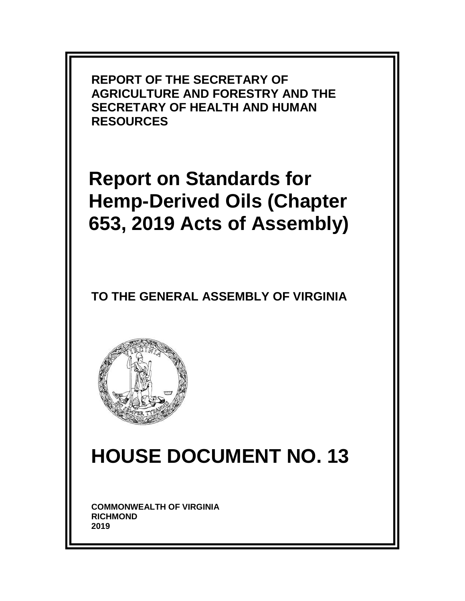

**Report on Standards for Hemp-Derived Oils (Chapter 653, 2019 Acts of Assembly)**

### **TO THE GENERAL ASSEMBLY OF VIRGINIA**



# **HOUSE DOCUMENT NO. 13**

**COMMONWEALTH OF VIRGINIA RICHMOND 2019**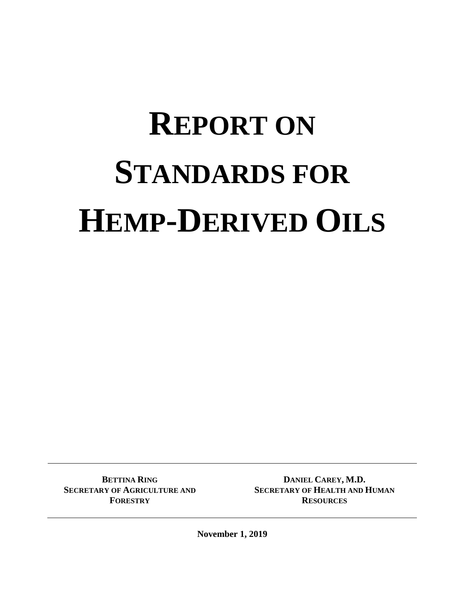# **REPORT ON STANDARDS FOR HEMP-DERIVED OILS**

**BETTINA RING SECRETARY OF AGRICULTURE AND FORESTRY**

**DANIEL CAREY, M.D. SECRETARY OF HEALTH AND HUMAN RESOURCES**

**November 1, 2019**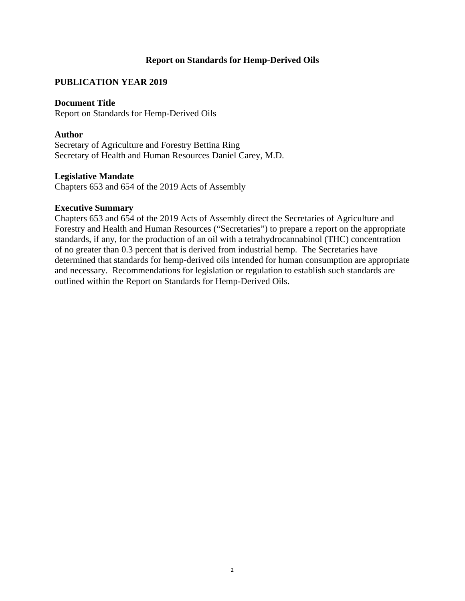#### **PUBLICATION YEAR 2019**

#### **Document Title**

Report on Standards for Hemp-Derived Oils

#### **Author**

Secretary of Agriculture and Forestry Bettina Ring Secretary of Health and Human Resources Daniel Carey, M.D.

#### **Legislative Mandate**

Chapters 653 and 654 of the 2019 Acts of Assembly

#### **Executive Summary**

Chapters 653 and 654 of the 2019 Acts of Assembly direct the Secretaries of Agriculture and Forestry and Health and Human Resources ("Secretaries") to prepare a report on the appropriate standards, if any, for the production of an oil with a tetrahydrocannabinol (THC) concentration of no greater than 0.3 percent that is derived from industrial hemp. The Secretaries have determined that standards for hemp-derived oils intended for human consumption are appropriate and necessary. Recommendations for legislation or regulation to establish such standards are outlined within the Report on Standards for Hemp-Derived Oils.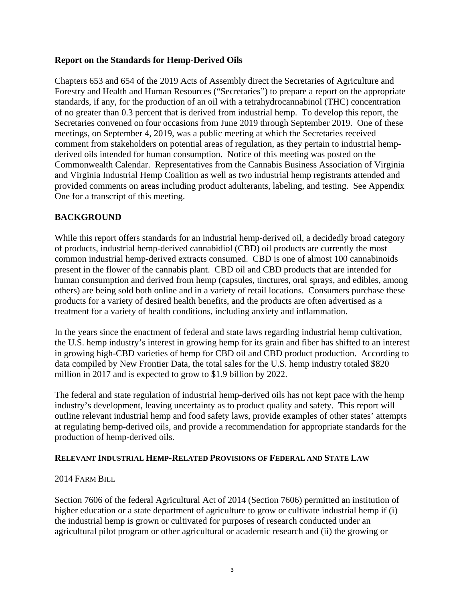#### **Report on the Standards for Hemp-Derived Oils**

Chapters 653 and 654 of the 2019 Acts of Assembly direct the Secretaries of Agriculture and Forestry and Health and Human Resources ("Secretaries") to prepare a report on the appropriate standards, if any, for the production of an oil with a tetrahydrocannabinol (THC) concentration of no greater than 0.3 percent that is derived from industrial hemp. To develop this report, the Secretaries convened on four occasions from June 2019 through September 2019. One of these meetings, on September 4, 2019, was a public meeting at which the Secretaries received comment from stakeholders on potential areas of regulation, as they pertain to industrial hempderived oils intended for human consumption. Notice of this meeting was posted on the Commonwealth Calendar. Representatives from the Cannabis Business Association of Virginia and Virginia Industrial Hemp Coalition as well as two industrial hemp registrants attended and provided comments on areas including product adulterants, labeling, and testing. See Appendix One for a transcript of this meeting.

#### **BACKGROUND**

While this report offers standards for an industrial hemp-derived oil, a decidedly broad category of products, industrial hemp-derived cannabidiol (CBD) oil products are currently the most common industrial hemp-derived extracts consumed. CBD is one of almost 100 cannabinoids present in the flower of the cannabis plant. CBD oil and CBD products that are intended for human consumption and derived from hemp (capsules, tinctures, oral sprays, and edibles, among others) are being sold both online and in a variety of retail locations. Consumers purchase these products for a variety of desired health benefits, and the products are often advertised as a treatment for a variety of health conditions, including anxiety and inflammation.

In the years since the enactment of federal and state laws regarding industrial hemp cultivation, the U.S. hemp industry's interest in growing hemp for its grain and fiber has shifted to an interest in growing high-CBD varieties of hemp for CBD oil and CBD product production. According to data compiled by New Frontier Data, the total sales for the U.S. hemp industry totaled \$820 million in 2017 and is expected to grow to \$1.9 billion by 2022.

The federal and state regulation of industrial hemp-derived oils has not kept pace with the hemp industry's development, leaving uncertainty as to product quality and safety. This report will outline relevant industrial hemp and food safety laws, provide examples of other states' attempts at regulating hemp-derived oils, and provide a recommendation for appropriate standards for the production of hemp-derived oils.

#### **RELEVANT INDUSTRIAL HEMP-RELATED PROVISIONS OF FEDERAL AND STATE LAW**

#### 2014 FARM BILL

Section 7606 of the federal Agricultural Act of 2014 (Section 7606) permitted an institution of higher education or a state department of agriculture to grow or cultivate industrial hemp if (i) the industrial hemp is grown or cultivated for purposes of research conducted under an agricultural pilot program or other agricultural or academic research and (ii) the growing or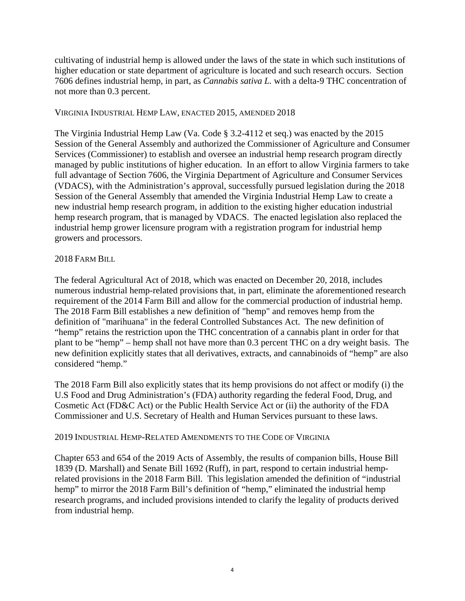cultivating of industrial hemp is allowed under the laws of the state in which such institutions of higher education or state department of agriculture is located and such research occurs. Section 7606 defines industrial hemp, in part, as *Cannabis sativa L.* with a delta-9 THC concentration of not more than 0.3 percent.

#### VIRGINIA INDUSTRIAL HEMP LAW, ENACTED 2015, AMENDED 2018

The Virginia Industrial Hemp Law (Va. Code § 3.2-4112 et seq.) was enacted by the 2015 Session of the General Assembly and authorized the Commissioner of Agriculture and Consumer Services (Commissioner) to establish and oversee an industrial hemp research program directly managed by public institutions of higher education. In an effort to allow Virginia farmers to take full advantage of Section 7606, the Virginia Department of Agriculture and Consumer Services (VDACS), with the Administration's approval, successfully pursued legislation during the 2018 Session of the General Assembly that amended the Virginia Industrial Hemp Law to create a new industrial hemp research program, in addition to the existing higher education industrial hemp research program, that is managed by VDACS. The enacted legislation also replaced the industrial hemp grower licensure program with a registration program for industrial hemp growers and processors.

#### 2018 FARM BILL

The federal Agricultural Act of 2018, which was enacted on December 20, 2018, includes numerous industrial hemp-related provisions that, in part, eliminate the aforementioned research requirement of the 2014 Farm Bill and allow for the commercial production of industrial hemp. The 2018 Farm Bill establishes a new definition of "hemp" and removes hemp from the definition of "marihuana" in the federal Controlled Substances Act. The new definition of "hemp" retains the restriction upon the THC concentration of a cannabis plant in order for that plant to be "hemp" – hemp shall not have more than 0.3 percent THC on a dry weight basis. The new definition explicitly states that all derivatives, extracts, and cannabinoids of "hemp" are also considered "hemp."

The 2018 Farm Bill also explicitly states that its hemp provisions do not affect or modify (i) the U.S Food and Drug Administration's (FDA) authority regarding the federal Food, Drug, and Cosmetic Act (FD&C Act) or the Public Health Service Act or (ii) the authority of the FDA Commissioner and U.S. Secretary of Health and Human Services pursuant to these laws.

#### 2019 INDUSTRIAL HEMP-RELATED AMENDMENTS TO THE CODE OF VIRGINIA

Chapter 653 and 654 of the 2019 Acts of Assembly, the results of companion bills, House Bill 1839 (D. Marshall) and Senate Bill 1692 (Ruff), in part, respond to certain industrial hemprelated provisions in the 2018 Farm Bill. This legislation amended the definition of "industrial hemp" to mirror the 2018 Farm Bill's definition of "hemp," eliminated the industrial hemp research programs, and included provisions intended to clarify the legality of products derived from industrial hemp.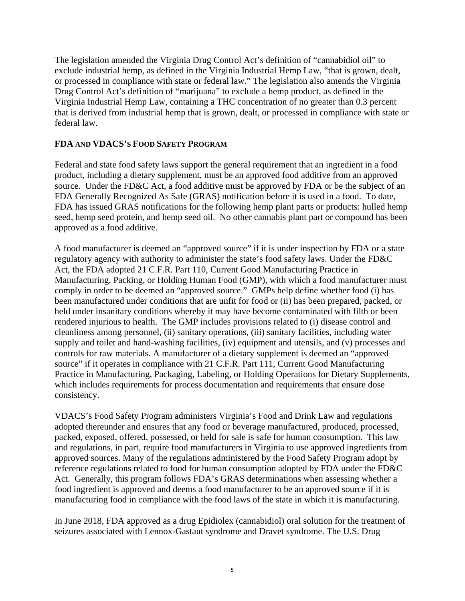The legislation amended the Virginia Drug Control Act's definition of "cannabidiol oil" to exclude industrial hemp, as defined in the Virginia Industrial Hemp Law, "that is grown, dealt, or processed in compliance with state or federal law." The legislation also amends the Virginia Drug Control Act's definition of "marijuana" to exclude a hemp product, as defined in the Virginia Industrial Hemp Law, containing a THC concentration of no greater than 0.3 percent that is derived from industrial hemp that is grown, dealt, or processed in compliance with state or federal law.

#### **FDA AND VDACS'S FOOD SAFETY PROGRAM**

Federal and state food safety laws support the general requirement that an ingredient in a food product, including a dietary supplement, must be an approved food additive from an approved source. Under the FD&C Act, a food additive must be approved by FDA or be the subject of an FDA Generally Recognized As Safe (GRAS) notification before it is used in a food. To date, FDA has issued GRAS notifications for the following hemp plant parts or products: hulled hemp seed, hemp seed protein, and hemp seed oil. No other cannabis plant part or compound has been approved as a food additive.

A food manufacturer is deemed an "approved source" if it is under inspection by FDA or a state regulatory agency with authority to administer the state's food safety laws. Under the FD&C Act, the FDA adopted 21 C.F.R. Part 110, Current Good Manufacturing Practice in Manufacturing, Packing, or Holding Human Food (GMP), with which a food manufacturer must comply in order to be deemed an "approved source." GMPs help define whether food (i) has been manufactured under conditions that are unfit for food or (ii) has been prepared, packed, or held under insanitary conditions whereby it may have become contaminated with filth or been rendered injurious to health. The GMP includes provisions related to (i) disease control and cleanliness among personnel, (ii) sanitary operations, (iii) sanitary facilities, including water supply and toilet and hand-washing facilities, (iv) equipment and utensils, and (v) processes and controls for raw materials. A manufacturer of a dietary supplement is deemed an "approved source" if it operates in compliance with 21 C.F.R. Part 111, Current Good Manufacturing Practice in Manufacturing, Packaging, Labeling, or Holding Operations for Dietary Supplements, which includes requirements for process documentation and requirements that ensure dose consistency.

VDACS's Food Safety Program administers Virginia's Food and Drink Law and regulations adopted thereunder and ensures that any food or beverage manufactured, produced, processed, packed, exposed, offered, possessed, or held for sale is safe for human consumption. This law and regulations, in part, require food manufacturers in Virginia to use approved ingredients from approved sources. Many of the regulations administered by the Food Safety Program adopt by reference regulations related to food for human consumption adopted by FDA under the FD&C Act. Generally, this program follows FDA's GRAS determinations when assessing whether a food ingredient is approved and deems a food manufacturer to be an approved source if it is manufacturing food in compliance with the food laws of the state in which it is manufacturing.

In June 2018, FDA approved as a drug Epidiolex (cannabidiol) oral solution for the treatment of seizures associated with Lennox-Gastaut syndrome and Dravet syndrome. The U.S. Drug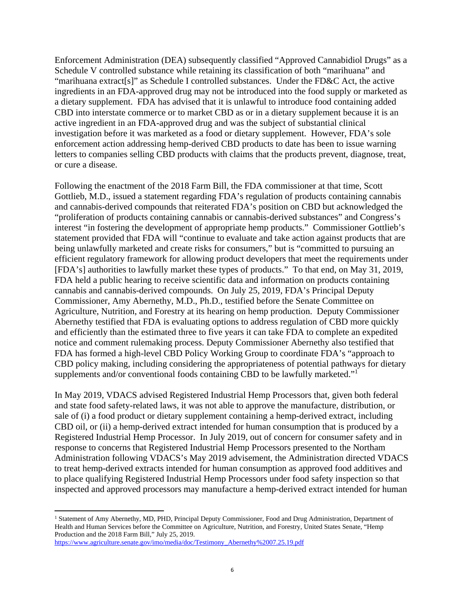Enforcement Administration (DEA) subsequently classified "Approved Cannabidiol Drugs" as a Schedule V controlled substance while retaining its classification of both "marihuana" and "marihuana extract[s]" as Schedule I controlled substances. Under the FD&C Act, the active ingredients in an FDA-approved drug may not be introduced into the food supply or marketed as a dietary supplement. FDA has advised that it is unlawful to introduce food containing added CBD into interstate commerce or to market CBD as or in a dietary supplement because it is an active ingredient in an FDA-approved drug and was the subject of substantial clinical investigation before it was marketed as a food or dietary supplement. However, FDA's sole enforcement action addressing hemp-derived CBD products to date has been to issue warning letters to companies selling CBD products with claims that the products prevent, diagnose, treat, or cure a disease.

Following the enactment of the 2018 Farm Bill, the FDA commissioner at that time, Scott Gottlieb, M.D., issued a statement regarding FDA's regulation of products containing cannabis and cannabis-derived compounds that reiterated FDA's position on CBD but acknowledged the "proliferation of products containing cannabis or cannabis-derived substances" and Congress's interest "in fostering the development of appropriate hemp products." Commissioner Gottlieb's statement provided that FDA will "continue to evaluate and take action against products that are being unlawfully marketed and create risks for consumers," but is "committed to pursuing an efficient regulatory framework for allowing product developers that meet the requirements under [FDA's] authorities to lawfully market these types of products." To that end, on May 31, 2019, FDA held a public hearing to receive scientific data and information on products containing cannabis and cannabis-derived compounds. On July 25, 2019, FDA's Principal Deputy Commissioner, Amy Abernethy, M.D., Ph.D., testified before the Senate Committee on Agriculture, Nutrition, and Forestry at its hearing on hemp production. Deputy Commissioner Abernethy testified that FDA is evaluating options to address regulation of CBD more quickly and efficiently than the estimated three to five years it can take FDA to complete an expedited notice and comment rulemaking process. Deputy Commissioner Abernethy also testified that FDA has formed a high-level CBD Policy Working Group to coordinate FDA's "approach to CBD policy making, including considering the appropriateness of potential pathways for dietary supplements and/or conventional foods containing CBD to be lawfully marketed."<sup>1</sup>

In May 2019, VDACS advised Registered Industrial Hemp Processors that, given both federal and state food safety-related laws, it was not able to approve the manufacture, distribution, or sale of (i) a food product or dietary supplement containing a hemp-derived extract, including CBD oil, or (ii) a hemp-derived extract intended for human consumption that is produced by a Registered Industrial Hemp Processor. In July 2019, out of concern for consumer safety and in response to concerns that Registered Industrial Hemp Processors presented to the Northam Administration following VDACS's May 2019 advisement, the Administration directed VDACS to treat hemp-derived extracts intended for human consumption as approved food additives and to place qualifying Registered Industrial Hemp Processors under food safety inspection so that inspected and approved processors may manufacture a hemp-derived extract intended for human

 <sup>1</sup> Statement of Amy Abernethy, MD, PHD, Principal Deputy Commissioner, Food and Drug Administration, Department of Health and Human Services before the Committee on Agriculture, Nutrition, and Forestry, United States Senate, "Hemp Production and the 2018 Farm Bill," July 25, 2019. https://www.agriculture.senate.gov/imo/media/doc/Testimony\_Abernethy%2007.25.19.pdf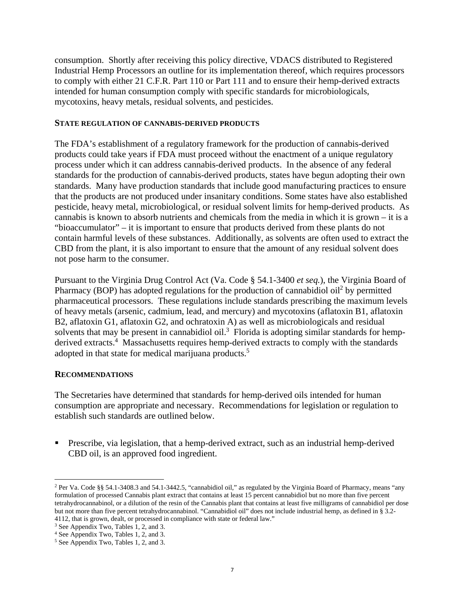consumption. Shortly after receiving this policy directive, VDACS distributed to Registered Industrial Hemp Processors an outline for its implementation thereof, which requires processors to comply with either 21 C.F.R. Part 110 or Part 111 and to ensure their hemp-derived extracts intended for human consumption comply with specific standards for microbiologicals, mycotoxins, heavy metals, residual solvents, and pesticides.

#### **STATE REGULATION OF CANNABIS-DERIVED PRODUCTS**

The FDA's establishment of a regulatory framework for the production of cannabis-derived products could take years if FDA must proceed without the enactment of a unique regulatory process under which it can address cannabis-derived products. In the absence of any federal standards for the production of cannabis-derived products, states have begun adopting their own standards. Many have production standards that include good manufacturing practices to ensure that the products are not produced under insanitary conditions. Some states have also established pesticide, heavy metal, microbiological, or residual solvent limits for hemp-derived products. As cannabis is known to absorb nutrients and chemicals from the media in which it is grown – it is a "bioaccumulator" – it is important to ensure that products derived from these plants do not contain harmful levels of these substances. Additionally, as solvents are often used to extract the CBD from the plant, it is also important to ensure that the amount of any residual solvent does not pose harm to the consumer.

Pursuant to the Virginia Drug Control Act (Va. Code § 54.1-3400 *et seq.*), the Virginia Board of Pharmacy (BOP) has adopted regulations for the production of cannabidiol oil<sup>2</sup> by permitted pharmaceutical processors. These regulations include standards prescribing the maximum levels of heavy metals (arsenic, cadmium, lead, and mercury) and mycotoxins (aflatoxin B1, aflatoxin B2, aflatoxin G1, aflatoxin G2, and ochratoxin A) as well as microbiologicals and residual solvents that may be present in cannabidiol oil.<sup>3</sup> Florida is adopting similar standards for hempderived extracts.<sup>4</sup> Massachusetts requires hemp-derived extracts to comply with the standards adopted in that state for medical marijuana products.<sup>5</sup>

#### **RECOMMENDATIONS**

The Secretaries have determined that standards for hemp-derived oils intended for human consumption are appropriate and necessary. Recommendations for legislation or regulation to establish such standards are outlined below.

 Prescribe, via legislation, that a hemp-derived extract, such as an industrial hemp-derived CBD oil, is an approved food ingredient.

 <sup>2</sup> Per Va. Code §§ 54.1-3408.3 and 54.1-3442.5, "cannabidiol oil," as regulated by the Virginia Board of Pharmacy, means "any formulation of processed Cannabis plant extract that contains at least 15 percent cannabidiol but no more than five percent tetrahydrocannabinol, or a dilution of the resin of the Cannabis plant that contains at least five milligrams of cannabidiol per dose but not more than five percent tetrahydrocannabinol. "Cannabidiol oil" does not include industrial hemp, as defined in § 3.2- 4112, that is grown, dealt, or processed in compliance with state or federal law." 3

<sup>&</sup>lt;sup>3</sup> See Appendix Two, Tables 1, 2, and 3.

<sup>4</sup> See Appendix Two, Tables 1, 2, and 3.

<sup>5</sup> See Appendix Two, Tables 1, 2, and 3.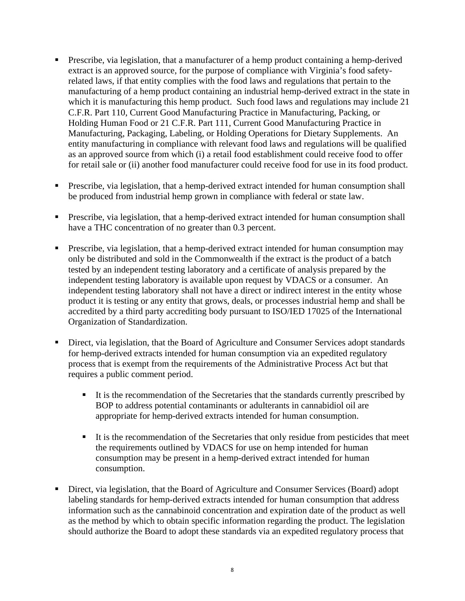- Prescribe, via legislation, that a manufacturer of a hemp product containing a hemp-derived extract is an approved source, for the purpose of compliance with Virginia's food safetyrelated laws, if that entity complies with the food laws and regulations that pertain to the manufacturing of a hemp product containing an industrial hemp-derived extract in the state in which it is manufacturing this hemp product. Such food laws and regulations may include 21 C.F.R. Part 110, Current Good Manufacturing Practice in Manufacturing, Packing, or Holding Human Food or 21 C.F.R. Part 111, Current Good Manufacturing Practice in Manufacturing, Packaging, Labeling, or Holding Operations for Dietary Supplements. An entity manufacturing in compliance with relevant food laws and regulations will be qualified as an approved source from which (i) a retail food establishment could receive food to offer for retail sale or (ii) another food manufacturer could receive food for use in its food product.
- **Prescribe, via legislation, that a hemp-derived extract intended for human consumption shall** be produced from industrial hemp grown in compliance with federal or state law.
- **Prescribe, via legislation, that a hemp-derived extract intended for human consumption shall** have a THC concentration of no greater than 0.3 percent.
- Prescribe, via legislation, that a hemp-derived extract intended for human consumption may only be distributed and sold in the Commonwealth if the extract is the product of a batch tested by an independent testing laboratory and a certificate of analysis prepared by the independent testing laboratory is available upon request by VDACS or a consumer. An independent testing laboratory shall not have a direct or indirect interest in the entity whose product it is testing or any entity that grows, deals, or processes industrial hemp and shall be accredited by a third party accrediting body pursuant to ISO/IED 17025 of the International Organization of Standardization.
- Direct, via legislation, that the Board of Agriculture and Consumer Services adopt standards for hemp-derived extracts intended for human consumption via an expedited regulatory process that is exempt from the requirements of the Administrative Process Act but that requires a public comment period.
	- It is the recommendation of the Secretaries that the standards currently prescribed by BOP to address potential contaminants or adulterants in cannabidiol oil are appropriate for hemp-derived extracts intended for human consumption.
	- It is the recommendation of the Secretaries that only residue from pesticides that meet the requirements outlined by VDACS for use on hemp intended for human consumption may be present in a hemp-derived extract intended for human consumption.
- Direct, via legislation, that the Board of Agriculture and Consumer Services (Board) adopt labeling standards for hemp-derived extracts intended for human consumption that address information such as the cannabinoid concentration and expiration date of the product as well as the method by which to obtain specific information regarding the product. The legislation should authorize the Board to adopt these standards via an expedited regulatory process that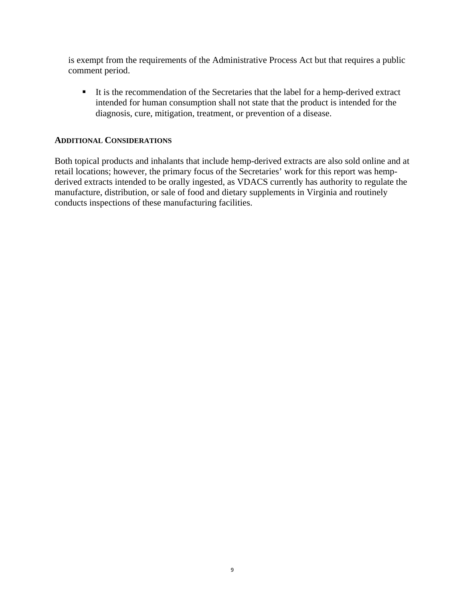is exempt from the requirements of the Administrative Process Act but that requires a public comment period.

It is the recommendation of the Secretaries that the label for a hemp-derived extract intended for human consumption shall not state that the product is intended for the diagnosis, cure, mitigation, treatment, or prevention of a disease.

#### **ADDITIONAL CONSIDERATIONS**

Both topical products and inhalants that include hemp-derived extracts are also sold online and at retail locations; however, the primary focus of the Secretaries' work for this report was hempderived extracts intended to be orally ingested, as VDACS currently has authority to regulate the manufacture, distribution, or sale of food and dietary supplements in Virginia and routinely conducts inspections of these manufacturing facilities.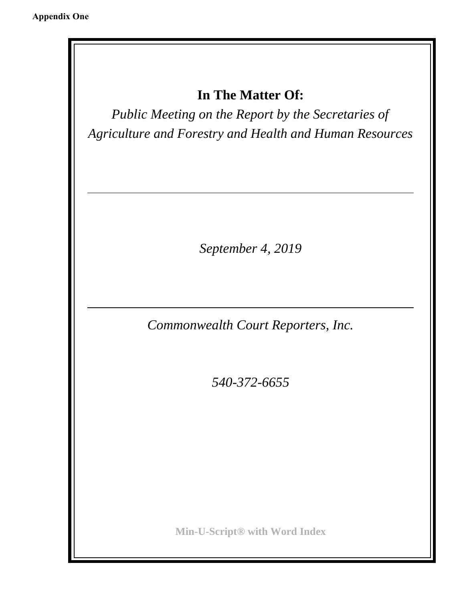## **In The Matter Of:**

*Public Meeting on the Report by the Secretaries of Agriculture and Forestry and Health and Human Resources*

*September 4, 2019*

*Commonwealth Court Reporters, Inc.*

*540-372-6655*

**Min-U-Script® with Word Index**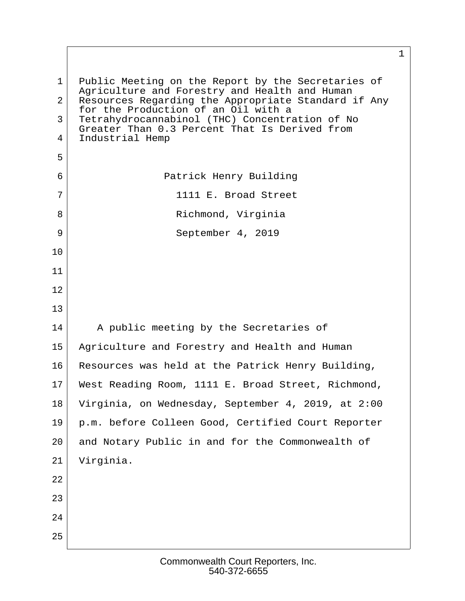1 Public Meeting on the Report by the Secretaries of Agriculture and Forestry and Health and Human 2 Resources Regarding the Appropriate Standard if Any for the Production of an Oil with a 3 Tetrahydrocannabinol (THC) Concentration of No Greater Than 0.3 Percent That Is Derived from 4 Industrial Hemp  $5 \mid$  6 Patrick Henry Building 7 2 1111 E. Broad Street 8 Richmond, Virginia 9 September 4, 2019 10 11 12 13 14 A public meeting by the Secretaries of 15 Agriculture and Forestry and Health and Human 16 Resources was held at the Patrick Henry Building, 17 West Reading Room, 1111 E. Broad Street, Richmond, 18 Virginia, on Wednesday, September 4, 2019, at 2:00 19 p.m. before Colleen Good, Certified Court Reporter 20 and Notary Public in and for the Commonwealth of 21 Virginia. 22 23 24 25

 $1 \quad \Box$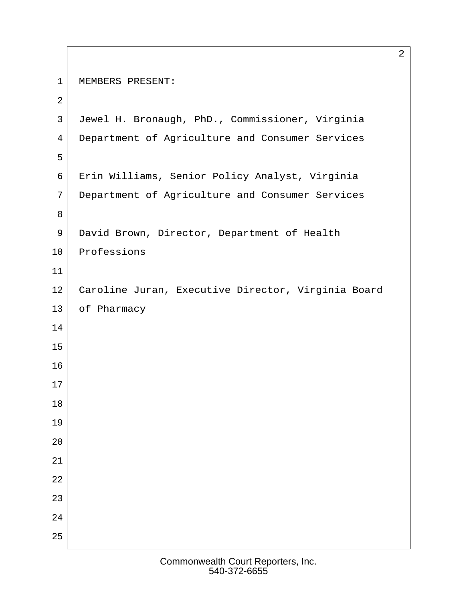```
1 | MEMBERS PRESENT:
 2
 3 Jewel H. Bronaugh, PhD., Commissioner, Virginia
4 Department of Agriculture and Consumer Services
 5
 6 Erin Williams, Senior Policy Analyst, Virginia
 7 Department of Agriculture and Consumer Services
 8
9 David Brown, Director, Department of Health
10 Professions
11
12 Caroline Juran, Executive Director, Virginia Board
13 of Pharmacy
14
15
16
17
18
19
20
21
22
23
24
25
```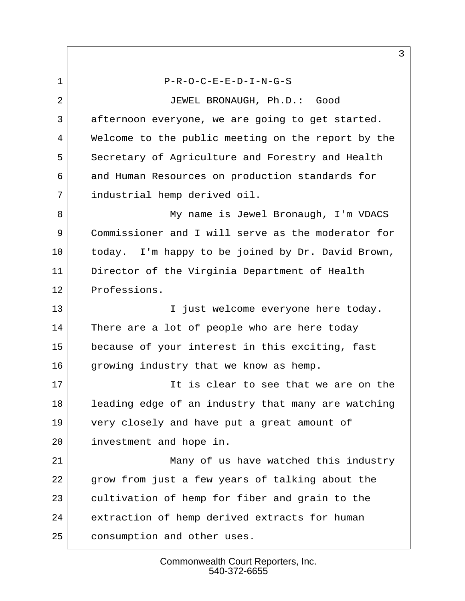$P-R-O-C-E-E-D-I-N-G-S$ 2 JEWEL BRONAUGH, Ph.D.: Good 3 afternoon everyone, we are going to get started. 4 Welcome to the public meeting on the report by the 5 Secretary of Agriculture and Forestry and Health 6 and Human Resources on production standards for 7 industrial hemp derived oil. 8 My name is Jewel Bronaugh, I'm VDACS 9 Commissioner and I will serve as the moderator for 10 today. I'm happy to be joined by Dr. David Brown, 11 Director of the Virginia Department of Health 12 Professions. 13 | I just welcome everyone here today. 14 There are a lot of people who are here today 15 because of your interest in this exciting, fast 16 growing industry that we know as hemp. 17 It is clear to see that we are on the 18 leading edge of an industry that many are watching 19 very closely and have put a great amount of 20 investment and hope in. 21 Many of us have watched this industry 22 grow from just a few years of talking about the 23 cultivation of hemp for fiber and grain to the 24 extraction of hemp derived extracts for human 25 consumption and other uses.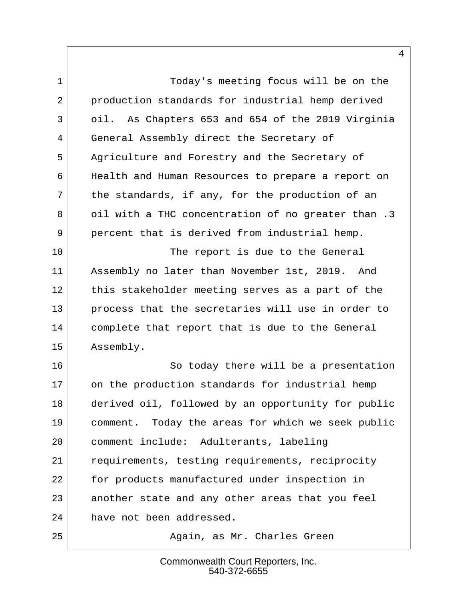1 Today's meeting focus will be on the 2 production standards for industrial hemp derived 3 oil. As Chapters 653 and 654 of the 2019 Virginia 4 General Assembly direct the Secretary of 5 Agriculture and Forestry and the Secretary of 6 Health and Human Resources to prepare a report on  $7$  the standards, if any, for the production of an 8 oil with a THC concentration of no greater than .3 9 percent that is derived from industrial hemp.

10 The report is due to the General 11 Assembly no later than November 1st, 2019. And 12 this stakeholder meeting serves as a part of the 13 process that the secretaries will use in order to 14 complete that report that is due to the General 15 Assembly.

16 So today there will be a presentation 17 on the production standards for industrial hemp 18 derived oil, followed by an opportunity for public 19 comment. Today the areas for which we seek public 20 comment include: Adulterants, labeling 21 requirements, testing requirements, reciprocity 22 for products manufactured under inspection in 23 another state and any other areas that you feel 24 have not been addressed.

25 Again, as Mr. Charles Green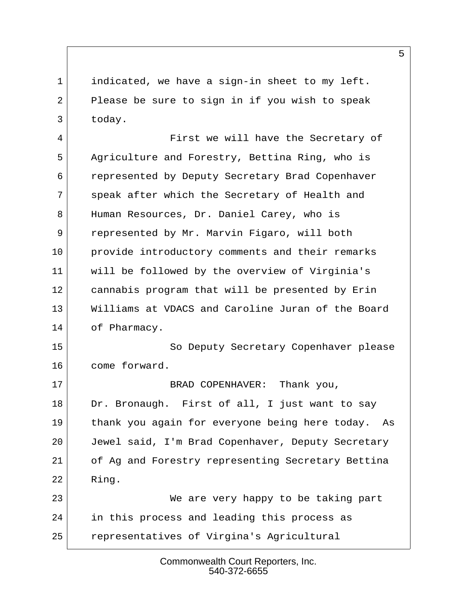1 indicated, we have a sign-in sheet to my left. 2 Please be sure to sign in if you wish to speak 3 today.

4 First we will have the Secretary of 5 Agriculture and Forestry, Bettina Ring, who is 6 represented by Deputy Secretary Brad Copenhaver 7 speak after which the Secretary of Health and 8 Human Resources, Dr. Daniel Carey, who is 9 represented by Mr. Marvin Figaro, will both 10 provide introductory comments and their remarks 11 will be followed by the overview of Virginia's 12 cannabis program that will be presented by Erin 13 Williams at VDACS and Caroline Juran of the Board 14 of Pharmacy.

15 So Deputy Secretary Copenhaver please 16 come forward.

17 BRAD COPENHAVER: Thank you, 18 Dr. Bronaugh. First of all, I just want to say 19 thank you again for everyone being here today. As 20 Jewel said, I'm Brad Copenhaver, Deputy Secretary 21 of Ag and Forestry representing Secretary Bettina 22 Ring.

23 We are very happy to be taking part 24 in this process and leading this process as 25 representatives of Virgina's Agricultural

> Commonwealth Court Reporters, Inc. 540-372-6655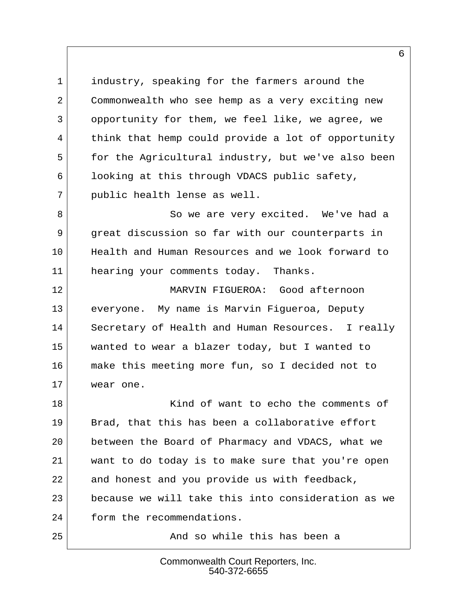1 industry, speaking for the farmers around the 2 Commonwealth who see hemp as a very exciting new 3 opportunity for them, we feel like, we agree, we 4 think that hemp could provide a lot of opportunity 5 for the Agricultural industry, but we've also been 6 looking at this through VDACS public safety, 7 public health lense as well.

8 So we are very excited. We've had a 9 great discussion so far with our counterparts in 10 Health and Human Resources and we look forward to 11 hearing your comments today. Thanks.

12 MARVIN FIGUEROA: Good afternoon 13 everyone. My name is Marvin Figueroa, Deputy 14 Secretary of Health and Human Resources. I really 15 wanted to wear a blazer today, but I wanted to 16 make this meeting more fun, so I decided not to 17 wear one.

18 Kind of want to echo the comments of 19 Brad, that this has been a collaborative effort 20 between the Board of Pharmacy and VDACS, what we 21 want to do today is to make sure that you're open 22 and honest and you provide us with feedback, 23 because we will take this into consideration as we 24 form the recommendations.

25 And so while this has been a

#### Commonwealth Court Reporters, Inc. 540-372-6655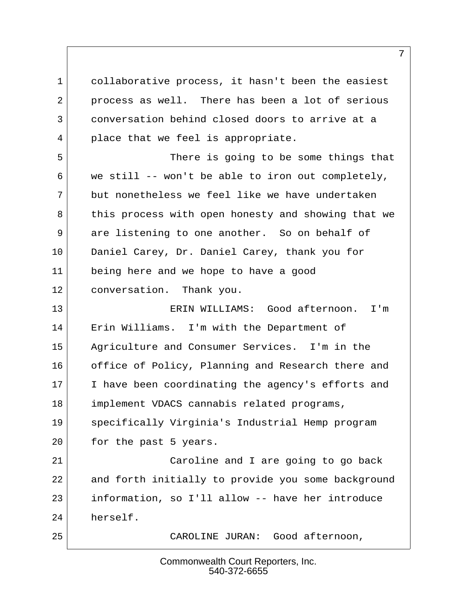1 collaborative process, it hasn't been the easiest 2 process as well. There has been a lot of serious 3 conversation behind closed doors to arrive at a 4 place that we feel is appropriate.

 5 There is going to be some things that  $6$  we still -- won't be able to iron out completely, 7 but nonetheless we feel like we have undertaken 8 this process with open honesty and showing that we 9 are listening to one another. So on behalf of 10 Daniel Carey, Dr. Daniel Carey, thank you for 11 being here and we hope to have a good 12 conversation. Thank you.

13 ERIN WILLIAMS: Good afternoon. I'm 14 Erin Williams. I'm with the Department of 15 Agriculture and Consumer Services. I'm in the 16 office of Policy, Planning and Research there and 17 I have been coordinating the agency's efforts and 18 implement VDACS cannabis related programs, 19 specifically Virginia's Industrial Hemp program 20 for the past 5 years.

21 | Caroline and I are going to go back 22 and forth initially to provide you some background 23 information, so I'll allow -- have her introduce 24 herself.

25 CAROLINE JURAN: Good afternoon,

Commonwealth Court Reporters, Inc. 540-372-6655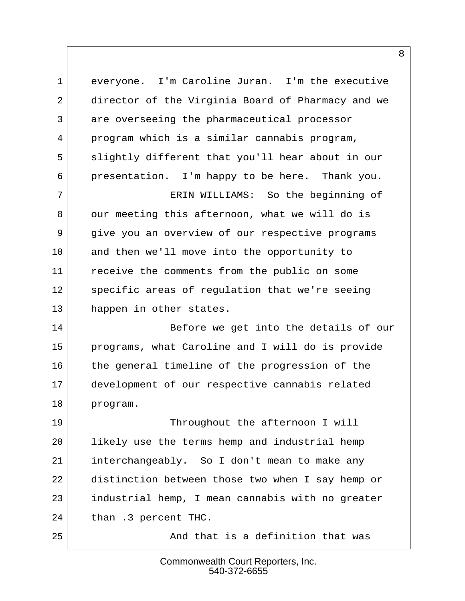1 everyone. I'm Caroline Juran. I'm the executive 2 director of the Virginia Board of Pharmacy and we 3 are overseeing the pharmaceutical processor  $4$  program which is a similar cannabis program, 5 slightly different that you'll hear about in our 6 presentation. I'm happy to be here. Thank you. 7 ERIN WILLIAMS: So the beginning of

8 our meeting this afternoon, what we will do is 9 give you an overview of our respective programs 10 and then we'll move into the opportunity to 11 receive the comments from the public on some 12 specific areas of requlation that we're seeing 13 happen in other states.

14 Before we get into the details of our 15 programs, what Caroline and I will do is provide 16 the general timeline of the progression of the 17 development of our respective cannabis related 18 program.

19 Throughout the afternoon I will 20 likely use the terms hemp and industrial hemp 21 interchangeably. So I don't mean to make any 22 distinction between those two when I say hemp or 23 industrial hemp, I mean cannabis with no greater 24 than .3 percent THC.

25 And that is a definition that was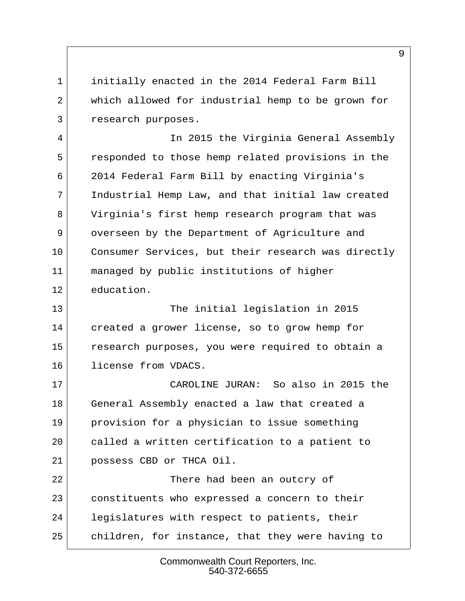1 initially enacted in the 2014 Federal Farm Bill 2 which allowed for industrial hemp to be grown for 3 research purposes.

 4 In 2015 the Virginia General Assembly 5 responded to those hemp related provisions in the 6 2014 Federal Farm Bill by enacting Virginia's 7 Industrial Hemp Law, and that initial law created 8 Virginia's first hemp research program that was 9 overseen by the Department of Agriculture and 10 Consumer Services, but their research was directly 11 managed by public institutions of higher 12 education.

13 The initial legislation in 2015 14 created a grower license, so to grow hemp for 15 research purposes, you were required to obtain a 16 license from VDACS.

17 CAROLINE JURAN: So also in 2015 the 18 General Assembly enacted a law that created a 19 provision for a physician to issue something 20 called a written certification to a patient to 21 possess CBD or THCA Oil.

22 There had been an outcry of 23 constituents who expressed a concern to their 24 legislatures with respect to patients, their 25 children, for instance, that they were having to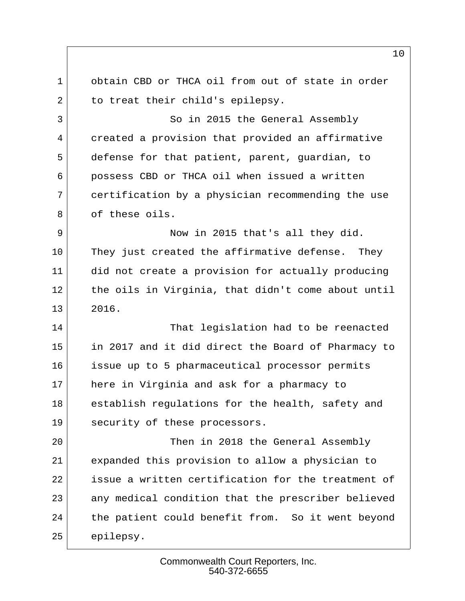1 obtain CBD or THCA oil from out of state in order 2 to treat their child's epilepsy. 3 So in 2015 the General Assembly 4 created a provision that provided an affirmative 5 defense for that patient, parent, guardian, to 6 possess CBD or THCA oil when issued a written 7 certification by a physician recommending the use 8 of these oils. 9 Now in 2015 that's all they did. 10 They just created the affirmative defense. They 11 did not create a provision for actually producing 12 the oils in Virginia, that didn't come about until 13 2016. 14 That legislation had to be reenacted 15 in 2017 and it did direct the Board of Pharmacy to 16 issue up to 5 pharmaceutical processor permits 17 here in Virginia and ask for a pharmacy to 18 establish regulations for the health, safety and 19 security of these processors. 20 Then in 2018 the General Assembly 21 expanded this provision to allow a physician to 22 issue a written certification for the treatment of 23 any medical condition that the prescriber believed 24 the patient could benefit from. So it went beyond 25 epilepsy.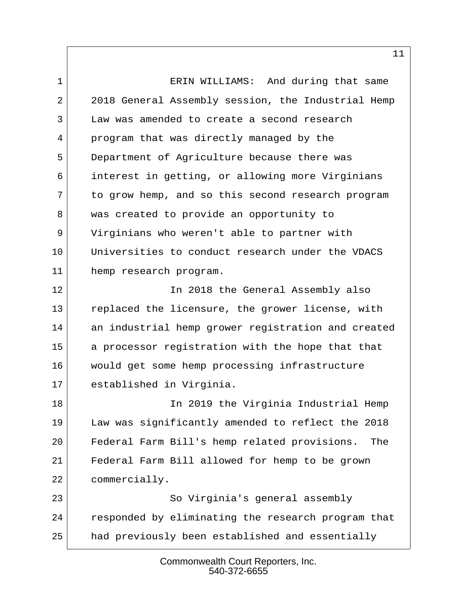1 **ERIN WILLIAMS:** And during that same 2 2018 General Assembly session, the Industrial Hemp  $3$  Law was amended to create a second research 4 program that was directly managed by the 5 Department of Agriculture because there was 6 interest in getting, or allowing more Virginians 7 to grow hemp, and so this second research program 8 was created to provide an opportunity to 9 Virginians who weren't able to partner with 10 Universities to conduct research under the VDACS 11 hemp research program. 12 In 2018 the General Assembly also 13 replaced the licensure, the grower license, with 14 an industrial hemp grower registration and created 15 a processor registration with the hope that that 16 would get some hemp processing infrastructure 17 established in Virginia. 18 | The 2019 the Virginia Industrial Hemp 19 Law was significantly amended to reflect the 2018 20 Federal Farm Bill's hemp related provisions. The

21 Federal Farm Bill allowed for hemp to be grown 22 commercially.

23 So Virginia's general assembly 24 responded by eliminating the research program that 25 had previously been established and essentially

> Commonwealth Court Reporters, Inc. 540-372-6655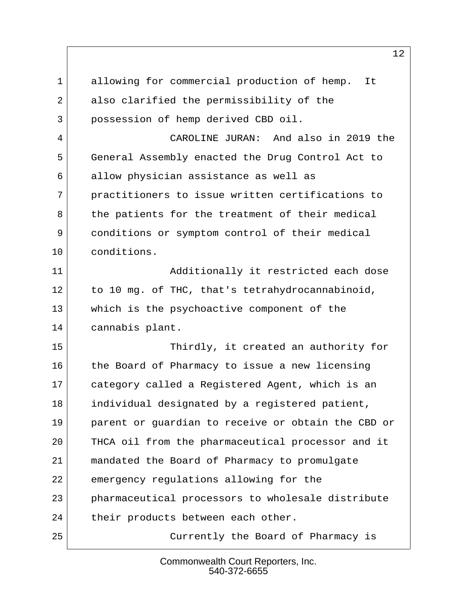1 allowing for commercial production of hemp. It 2 also clarified the permissibility of the 3 possession of hemp derived CBD oil. 4 CAROLINE JURAN: And also in 2019 the 5 General Assembly enacted the Drug Control Act to 6 allow physician assistance as well as 7 practitioners to issue written certifications to 8 | the patients for the treatment of their medical 9 conditions or symptom control of their medical 10 conditions. 11 | Additionally it restricted each dose 12 to 10 mg. of THC, that's tetrahydrocannabinoid, 13 which is the psychoactive component of the 14 cannabis plant. 15 Thirdly, it created an authority for 16 the Board of Pharmacy to issue a new licensing 17 category called a Registered Agent, which is an 18 individual designated by a registered patient, 19 parent or guardian to receive or obtain the CBD or 20 THCA oil from the pharmaceutical processor and it 21 mandated the Board of Pharmacy to promulgate 22 emergency regulations allowing for the 23 pharmaceutical processors to wholesale distribute 24 their products between each other. 25 Currently the Board of Pharmacy is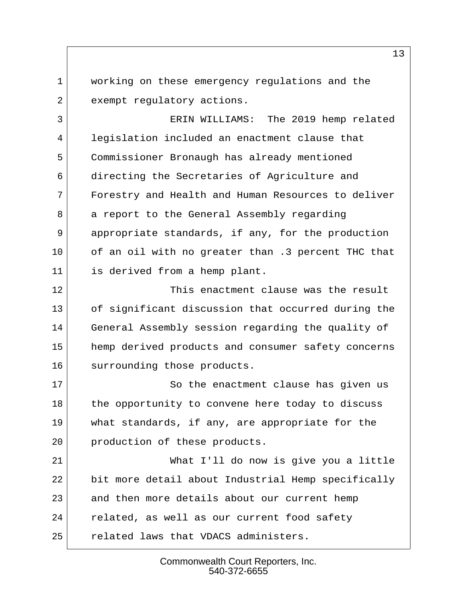1 working on these emergency regulations and the 2 exempt regulatory actions.

 3 ERIN WILLIAMS: The 2019 hemp related 4 legislation included an enactment clause that 5 Commissioner Bronaugh has already mentioned 6 directing the Secretaries of Agriculture and 7 Forestry and Health and Human Resources to deliver 8 a report to the General Assembly regarding 9 appropriate standards, if any, for the production 10 of an oil with no greater than .3 percent THC that 11 is derived from a hemp plant.

12 This enactment clause was the result 13 of significant discussion that occurred during the 14 General Assembly session regarding the quality of 15 hemp derived products and consumer safety concerns 16 surrounding those products.

17 So the enactment clause has given us 18 the opportunity to convene here today to discuss 19 what standards, if any, are appropriate for the 20 production of these products.

21 What I'll do now is give you a little 22 bit more detail about Industrial Hemp specifically 23 and then more details about our current hemp 24 related, as well as our current food safety 25 related laws that VDACS administers.

> Commonwealth Court Reporters, Inc. 540-372-6655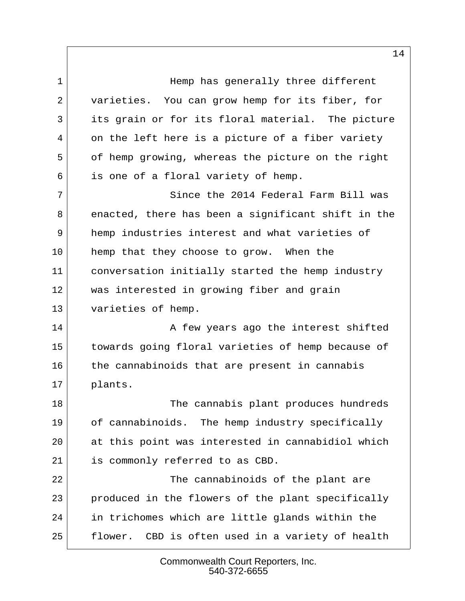1 **1** Hemp has generally three different 2 varieties. You can grow hemp for its fiber, for 3 its grain or for its floral material. The picture 4 on the left here is a picture of a fiber variety 5 of hemp growing, whereas the picture on the right 6 is one of a floral variety of hemp.

 7 Since the 2014 Federal Farm Bill was 8 enacted, there has been a significant shift in the 9 hemp industries interest and what varieties of 10 hemp that they choose to grow. When the 11 conversation initially started the hemp industry 12 was interested in growing fiber and grain 13 varieties of hemp.

14 A few years ago the interest shifted 15 towards going floral varieties of hemp because of 16 the cannabinoids that are present in cannabis 17 plants.

18 The cannabis plant produces hundreds 19 of cannabinoids. The hemp industry specifically 20 at this point was interested in cannabidiol which 21 is commonly referred to as CBD.

22 The cannabinoids of the plant are 23 produced in the flowers of the plant specifically 24 in trichomes which are little glands within the 25 flower. CBD is often used in a variety of health

> Commonwealth Court Reporters, Inc. 540-372-6655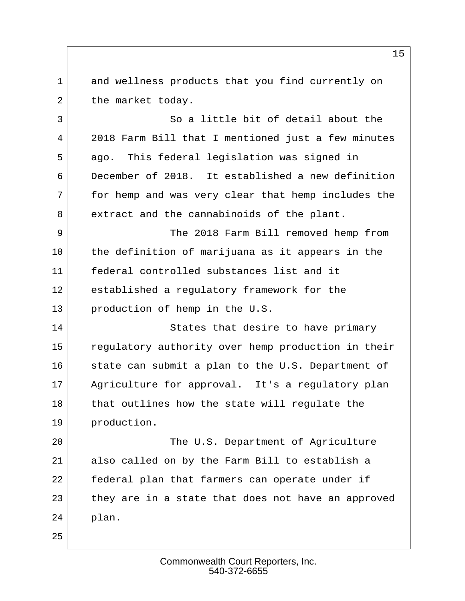1 and wellness products that you find currently on 2 the market today.

3 So a little bit of detail about the 4 2018 Farm Bill that I mentioned just a few minutes 5 ago. This federal legislation was signed in 6 December of 2018. It established a new definition 7 for hemp and was very clear that hemp includes the 8 extract and the cannabinoids of the plant.

 9 The 2018 Farm Bill removed hemp from 10 the definition of marijuana as it appears in the 11 federal controlled substances list and it 12 established a regulatory framework for the 13 production of hemp in the U.S.

14 States that desire to have primary 15 regulatory authority over hemp production in their 16 state can submit a plan to the U.S. Department of 17 Agriculture for approval. It's a regulatory plan 18 that outlines how the state will regulate the 19 production.

20 The U.S. Department of Agriculture 21 also called on by the Farm Bill to establish a 22 federal plan that farmers can operate under if 23 they are in a state that does not have an approved 24 plan.

25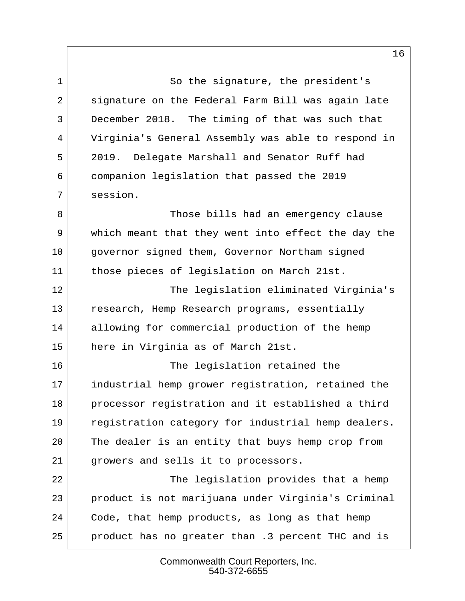1 So the signature, the president's 2 signature on the Federal Farm Bill was again late 3 December 2018. The timing of that was such that 4 Virginia's General Assembly was able to respond in 5 2019. Delegate Marshall and Senator Ruff had 6 companion legislation that passed the 2019 7 session.

8 Those bills had an emergency clause 9 which meant that they went into effect the day the 10 governor signed them, Governor Northam signed 11 those pieces of legislation on March 21st.

12 The legislation eliminated Virginia's 13 research, Hemp Research programs, essentially 14 allowing for commercial production of the hemp 15 here in Virginia as of March 21st.

16 The legislation retained the 17 industrial hemp grower registration, retained the 18 processor registration and it established a third 19 registration category for industrial hemp dealers. 20 The dealer is an entity that buys hemp crop from 21 growers and sells it to processors.

22 The legislation provides that a hemp 23 product is not marijuana under Virginia's Criminal 24 Code, that hemp products, as long as that hemp 25 product has no greater than .3 percent THC and is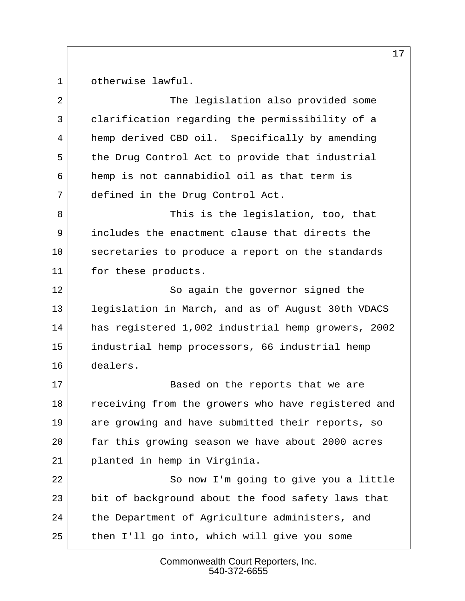1 otherwise lawful.

2 The legislation also provided some 3 clarification regarding the permissibility of a 4 hemp derived CBD oil. Specifically by amending 5 the Drug Control Act to provide that industrial 6 hemp is not cannabidiol oil as that term is 7 defined in the Drug Control Act.

8 a Shirt Indeed This is the legislation, too, that 9 includes the enactment clause that directs the 10 secretaries to produce a report on the standards 11 for these products.

12 So again the governor signed the 13 legislation in March, and as of August 30th VDACS 14 has registered 1,002 industrial hemp growers, 2002 15 industrial hemp processors, 66 industrial hemp 16 dealers.

17 Based on the reports that we are 18 receiving from the growers who have registered and 19 are growing and have submitted their reports, so 20 far this growing season we have about 2000 acres 21 planted in hemp in Virginia.

22 So now I'm going to give you a little 23 bit of background about the food safety laws that 24 the Department of Agriculture administers, and 25 then I'll go into, which will give you some

> Commonwealth Court Reporters, Inc. 540-372-6655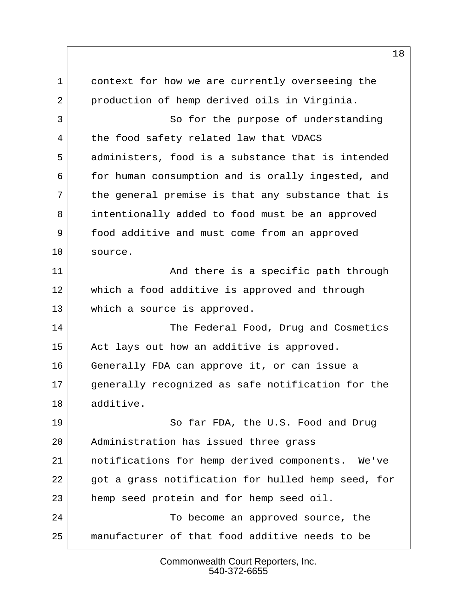1 context for how we are currently overseeing the 2 production of hemp derived oils in Virginia. 3 So for the purpose of understanding 4 the food safety related law that VDACS 5 administers, food is a substance that is intended 6 for human consumption and is orally ingested, and 7 the general premise is that any substance that is 8 intentionally added to food must be an approved 9 food additive and must come from an approved 10 source. 11 and there is a specific path through 12 which a food additive is approved and through 13 which a source is approved. 14 The Federal Food, Drug and Cosmetics 15 Act lays out how an additive is approved. 16 Generally FDA can approve it, or can issue a 17 generally recognized as safe notification for the 18 additive. 19 So far FDA, the U.S. Food and Drug 20 Administration has issued three grass 21 notifications for hemp derived components. We've 22 got a grass notification for hulled hemp seed, for 23 hemp seed protein and for hemp seed oil. 24 To become an approved source, the 25 manufacturer of that food additive needs to be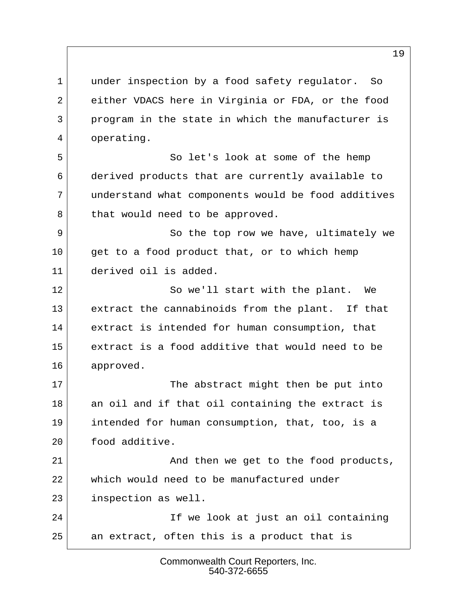1 under inspection by a food safety regulator. So 2 either VDACS here in Virginia or FDA, or the food 3 program in the state in which the manufacturer is 4 operating.

5 So let's look at some of the hemp 6 derived products that are currently available to 7 understand what components would be food additives 8 that would need to be approved.

9 So the top row we have, ultimately we 10 | get to a food product that, or to which hemp 11 derived oil is added.

12 So we'll start with the plant. We 13 extract the cannabinoids from the plant. If that 14 extract is intended for human consumption, that 15 extract is a food additive that would need to be 16 approved.

17 The abstract might then be put into 18 an oil and if that oil containing the extract is 19 intended for human consumption, that, too, is a 20 food additive.

21 and then we get to the food products, 22 which would need to be manufactured under 23 inspection as well.

24 If we look at just an oil containing 25 an extract, often this is a product that is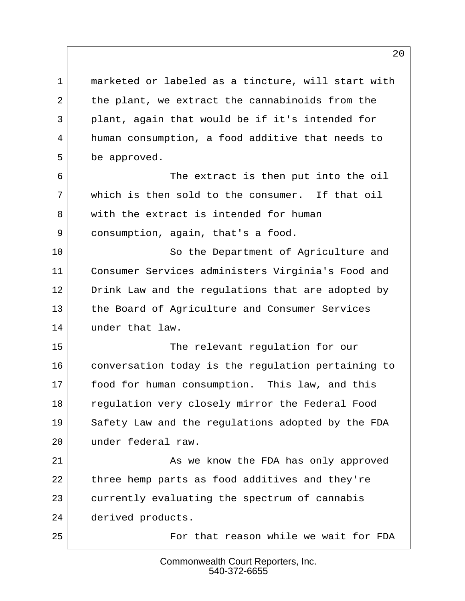1 marketed or labeled as a tincture, will start with 2 the plant, we extract the cannabinoids from the 3 plant, again that would be if it's intended for 4 human consumption, a food additive that needs to 5 be approved.

 6 The extract is then put into the oil  $7$  which is then sold to the consumer. If that oil 8 with the extract is intended for human 9 consumption, again, that's a food.

10 So the Department of Agriculture and 11 Consumer Services administers Virginia's Food and 12 Drink Law and the regulations that are adopted by 13 the Board of Agriculture and Consumer Services 14 under that law.

15 The relevant regulation for our 16 conversation today is the regulation pertaining to 17 food for human consumption. This law, and this 18 regulation very closely mirror the Federal Food 19 Safety Law and the regulations adopted by the FDA 20 under federal raw.

21 As we know the FDA has only approved 22 three hemp parts as food additives and they're 23 currently evaluating the spectrum of cannabis 24 derived products.

25 For that reason while we wait for FDA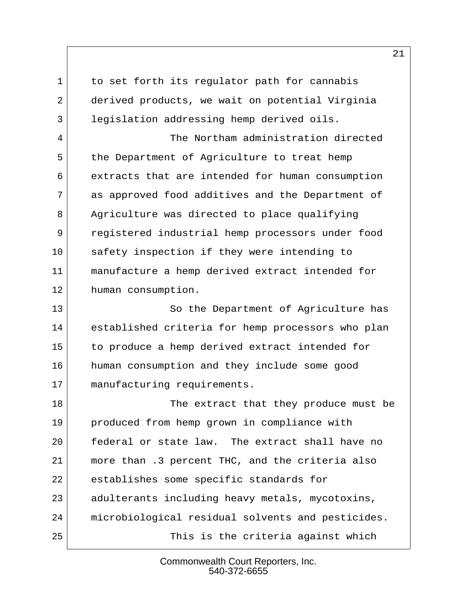1 to set forth its regulator path for cannabis 2 derived products, we wait on potential Virginia 3 legislation addressing hemp derived oils.

 4 The Northam administration directed 5 the Department of Agriculture to treat hemp 6 extracts that are intended for human consumption 7 as approved food additives and the Department of 8 Agriculture was directed to place qualifying 9 registered industrial hemp processors under food 10 safety inspection if they were intending to 11 manufacture a hemp derived extract intended for 12 human consumption.

13 So the Department of Agriculture has 14 established criteria for hemp processors who plan 15 to produce a hemp derived extract intended for 16 human consumption and they include some good 17 manufacturing requirements.

18 | The extract that they produce must be 19 produced from hemp grown in compliance with 20 federal or state law. The extract shall have no 21 more than .3 percent THC, and the criteria also 22 establishes some specific standards for 23 adulterants including heavy metals, mycotoxins, 24 microbiological residual solvents and pesticides. 25 This is the criteria against which

> Commonwealth Court Reporters, Inc. 540-372-6655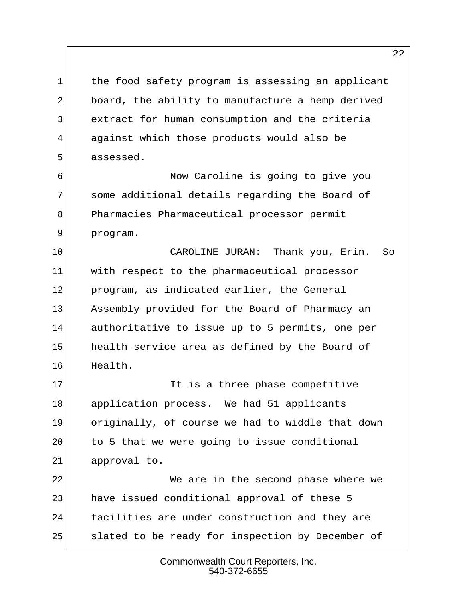1 the food safety program is assessing an applicant 2 board, the ability to manufacture a hemp derived 3 extract for human consumption and the criteria 4 against which those products would also be 5 assessed.

 6 Now Caroline is going to give you 7 some additional details regarding the Board of 8 Pharmacies Pharmaceutical processor permit 9 program.

10 CAROLINE JURAN: Thank you, Erin. So 11 with respect to the pharmaceutical processor 12 program, as indicated earlier, the General 13 Assembly provided for the Board of Pharmacy an 14 authoritative to issue up to 5 permits, one per 15 health service area as defined by the Board of 16 Health.

17 It is a three phase competitive 18 application process. We had 51 applicants 19 originally, of course we had to widdle that down 20 to 5 that we were going to issue conditional 21 approval to.

22 We are in the second phase where we 23 have issued conditional approval of these 5 24 facilities are under construction and they are 25 slated to be ready for inspection by December of

> Commonwealth Court Reporters, Inc. 540-372-6655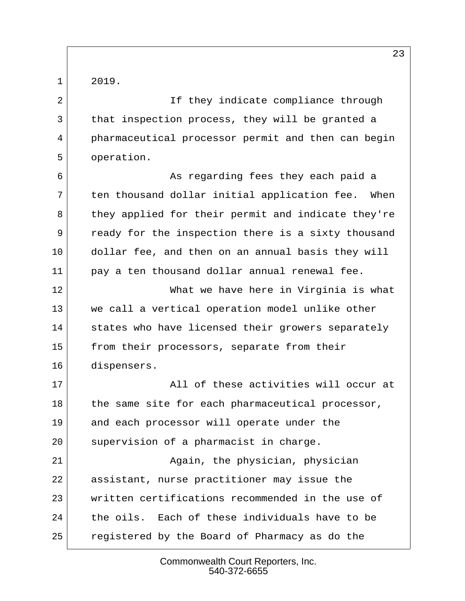$1 | 2019.$ 

2 If they indicate compliance through 3 that inspection process, they will be granted a 4 pharmaceutical processor permit and then can begin 5 operation.

6 **As regarding fees they each paid a**  $7$  ten thousand dollar initial application fee. When 8 they applied for their permit and indicate they're 9 ready for the inspection there is a sixty thousand 10 dollar fee, and then on an annual basis they will 11 pay a ten thousand dollar annual renewal fee.

12 What we have here in Virginia is what 13 we call a vertical operation model unlike other 14 states who have licensed their growers separately 15 from their processors, separate from their 16 dispensers.

17 all of these activities will occur at 18 the same site for each pharmaceutical processor, 19 and each processor will operate under the 20 supervision of a pharmacist in charge.

21 Again, the physician, physician 22 assistant, nurse practitioner may issue the 23 written certifications recommended in the use of 24 the oils. Each of these individuals have to be 25 registered by the Board of Pharmacy as do the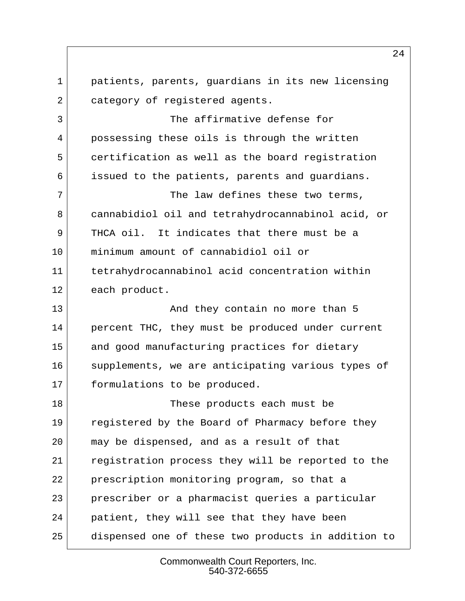1 patients, parents, guardians in its new licensing 2 category of registered agents. 3 The affirmative defense for 4 possessing these oils is through the written 5 certification as well as the board registration 6 issued to the patients, parents and guardians.  $7$  The law defines these two terms, 8 cannabidiol oil and tetrahydrocannabinol acid, or 9 THCA oil. It indicates that there must be a 10 minimum amount of cannabidiol oil or 11 tetrahydrocannabinol acid concentration within 12 each product. 13 And they contain no more than 5 14 percent THC, they must be produced under current 15 and good manufacturing practices for dietary 16 supplements, we are anticipating various types of 17 formulations to be produced. 18 These products each must be 19 registered by the Board of Pharmacy before they 20 may be dispensed, and as a result of that 21 registration process they will be reported to the 22 prescription monitoring program, so that a 23 prescriber or a pharmacist queries a particular 24 patient, they will see that they have been 25 dispensed one of these two products in addition to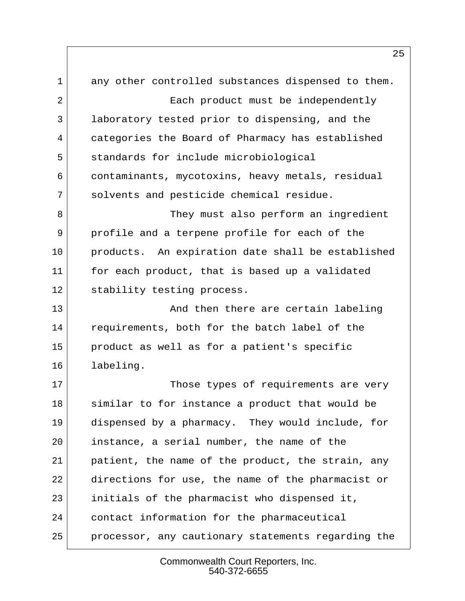1 any other controlled substances dispensed to them. 2 Each product must be independently 3 laboratory tested prior to dispensing, and the 4 categories the Board of Pharmacy has established 5 standards for include microbiological 6 contaminants, mycotoxins, heavy metals, residual 7 solvents and pesticide chemical residue. 8 They must also perform an ingredient 9 profile and a terpene profile for each of the 10 products. An expiration date shall be established 11 for each product, that is based up a validated 12 stability testing process. 13 And then there are certain labeling 14 requirements, both for the batch label of the 15 product as well as for a patient's specific 16 labeling. 17 Those types of requirements are very 18 similar to for instance a product that would be 19 dispensed by a pharmacy. They would include, for 20 instance, a serial number, the name of the 21 patient, the name of the product, the strain, any 22 directions for use, the name of the pharmacist or 23 initials of the pharmacist who dispensed it, 24 contact information for the pharmaceutical 25 processor, any cautionary statements regarding the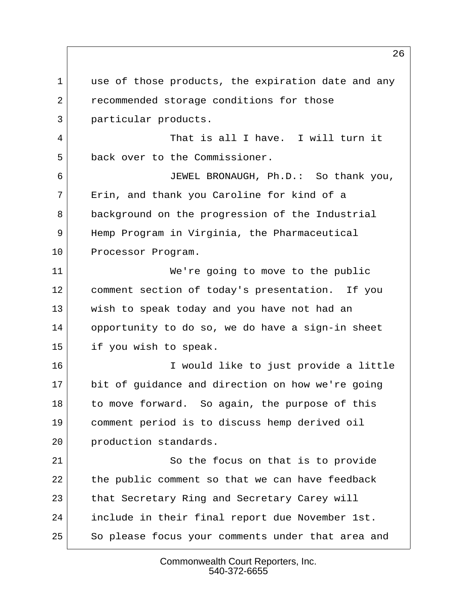1 use of those products, the expiration date and any 2 recommended storage conditions for those 3 particular products. 4 That is all I have. I will turn it 5 back over to the Commissioner. 6 JEWEL BRONAUGH, Ph.D.: So thank you, 7 Erin, and thank you Caroline for kind of a 8 background on the progression of the Industrial 9 Hemp Program in Virginia, the Pharmaceutical 10 Processor Program. 11 We're going to move to the public 12 comment section of today's presentation. If you 13 wish to speak today and you have not had an 14 opportunity to do so, we do have a sign-in sheet 15 if you wish to speak. 16 I would like to just provide a little 17 bit of guidance and direction on how we're going 18 to move forward. So again, the purpose of this 19 comment period is to discuss hemp derived oil 20 production standards. 21 So the focus on that is to provide  $22$  the public comment so that we can have feedback 23 that Secretary Ring and Secretary Carey will 24 include in their final report due November 1st. 25 So please focus your comments under that area and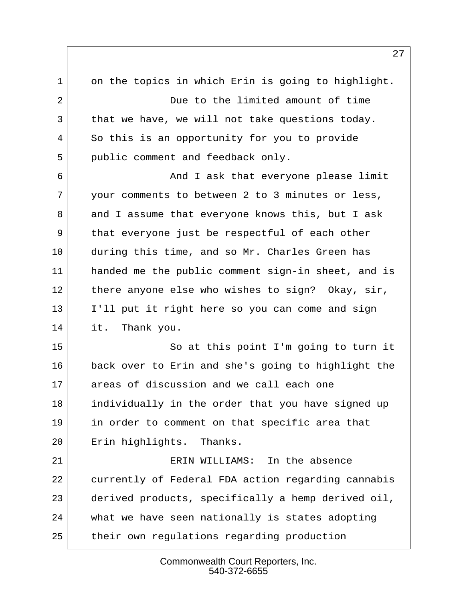1 on the topics in which Erin is going to highlight. 2 Due to the limited amount of time 3 that we have, we will not take questions today. 4 So this is an opportunity for you to provide 5 public comment and feedback only. 6 **And I ask that everyone please limit**  7 your comments to between 2 to 3 minutes or less, 8 and I assume that everyone knows this, but I ask 9 that everyone just be respectful of each other 10 during this time, and so Mr. Charles Green has 11 handed me the public comment sign-in sheet, and is 12 there anyone else who wishes to sign? Okay, sir, 13 I'll put it right here so you can come and sign 14 it. Thank you. 15 So at this point I'm going to turn it 16 back over to Erin and she's going to highlight the 17 areas of discussion and we call each one 18 individually in the order that you have signed up 19 in order to comment on that specific area that 20 Erin highlights. Thanks. 21 ERIN WILLIAMS: In the absence 22 currently of Federal FDA action regarding cannabis 23 derived products, specifically a hemp derived oil, 24 what we have seen nationally is states adopting 25 their own regulations regarding production

> Commonwealth Court Reporters, Inc. 540-372-6655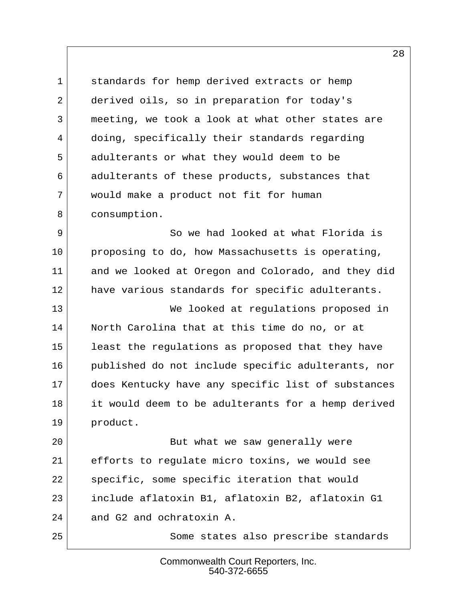1 standards for hemp derived extracts or hemp 2 derived oils, so in preparation for today's 3 meeting, we took a look at what other states are 4 doing, specifically their standards regarding 5 adulterants or what they would deem to be 6 adulterants of these products, substances that 7 would make a product not fit for human 8 consumption.

 9 So we had looked at what Florida is 10 proposing to do, how Massachusetts is operating, 11 and we looked at Oregon and Colorado, and they did 12 have various standards for specific adulterants.

13 We looked at regulations proposed in 14 North Carolina that at this time do no, or at 15 least the regulations as proposed that they have 16 published do not include specific adulterants, nor 17 does Kentucky have any specific list of substances 18 it would deem to be adulterants for a hemp derived 19 product.

20 But what we saw generally were 21 efforts to regulate micro toxins, we would see 22 specific, some specific iteration that would 23 include aflatoxin B1, aflatoxin B2, aflatoxin G1 24 and G2 and ochratoxin A.

25 Some states also prescribe standards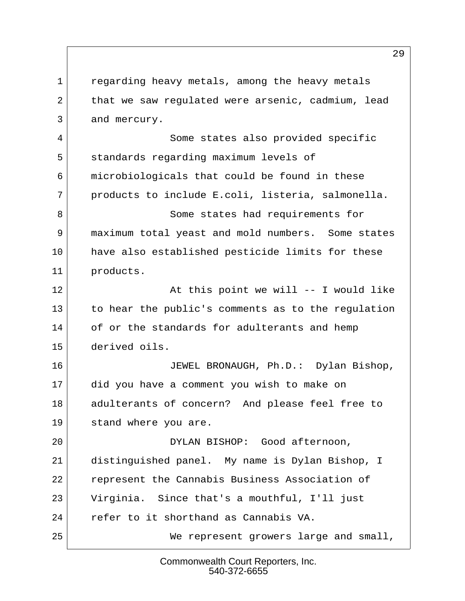1 regarding heavy metals, among the heavy metals 2 that we saw requlated were arsenic, cadmium, lead 3 and mercury. 4 Some states also provided specific 5 standards regarding maximum levels of 6 microbiologicals that could be found in these 7 | products to include E.coli, listeria, salmonella. 8 Some states had requirements for 9 maximum total yeast and mold numbers. Some states 10 have also established pesticide limits for these 11 products. 12 At this point we will -- I would like 13 to hear the public's comments as to the regulation 14 of or the standards for adulterants and hemp 15 derived oils. 16 JEWEL BRONAUGH, Ph.D.: Dylan Bishop, 17 did you have a comment you wish to make on 18 adulterants of concern? And please feel free to 19 stand where you are. 20 DYLAN BISHOP: Good afternoon, 21 distinguished panel. My name is Dylan Bishop, I 22 represent the Cannabis Business Association of 23 Virginia. Since that's a mouthful, I'll just 24 refer to it shorthand as Cannabis VA. 25 We represent growers large and small,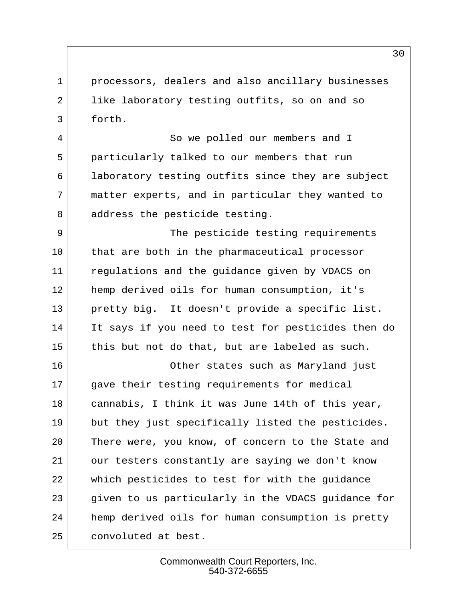1 processors, dealers and also ancillary businesses 2 like laboratory testing outfits, so on and so 3 forth.

4 So we polled our members and I 5 particularly talked to our members that run 6 laboratory testing outfits since they are subject 7 matter experts, and in particular they wanted to 8 address the pesticide testing.

9 The pesticide testing requirements 10 that are both in the pharmaceutical processor 11 regulations and the guidance given by VDACS on 12 hemp derived oils for human consumption, it's 13 pretty big. It doesn't provide a specific list. 14 It says if you need to test for pesticides then do  $15$  this but not do that, but are labeled as such.

16 Other states such as Maryland just 17 gave their testing requirements for medical 18 cannabis, I think it was June 14th of this year, 19 but they just specifically listed the pesticides. 20 There were, you know, of concern to the State and 21 our testers constantly are saying we don't know 22 which pesticides to test for with the guidance 23 given to us particularly in the VDACS guidance for 24 hemp derived oils for human consumption is pretty 25 convoluted at best.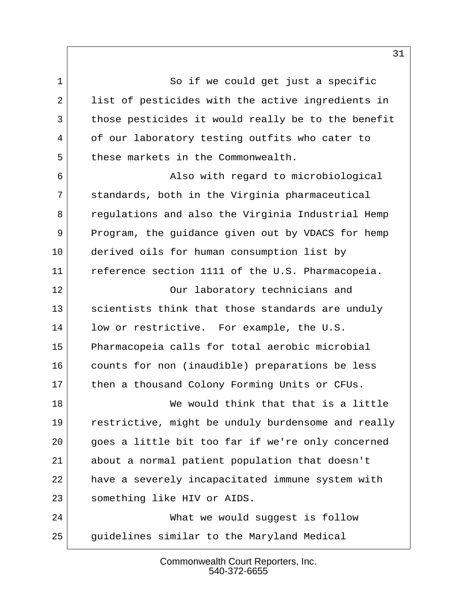1 So if we could get just a specific 2 list of pesticides with the active ingredients in 3 those pesticides it would really be to the benefit 4 of our laboratory testing outfits who cater to 5 these markets in the Commonwealth. 6 Also with regard to microbiological 7 standards, both in the Virginia pharmaceutical 8 regulations and also the Virginia Industrial Hemp 9 Program, the guidance given out by VDACS for hemp 10 derived oils for human consumption list by 11 reference section 1111 of the U.S. Pharmacopeia. 12 Our laboratory technicians and 13 scientists think that those standards are unduly 14 low or restrictive. For example, the U.S.

15 Pharmacopeia calls for total aerobic microbial 16 counts for non (inaudible) preparations be less 17 then a thousand Colony Forming Units or CFUs.

18 We would think that that is a little 19 restrictive, might be unduly burdensome and really 20 goes a little bit too far if we're only concerned 21 about a normal patient population that doesn't 22 have a severely incapacitated immune system with 23 something like HIV or AIDS.

24 What we would suggest is follow 25 guidelines similar to the Maryland Medical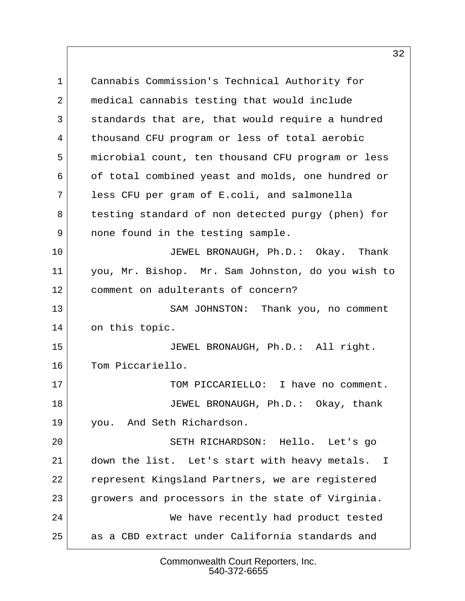1 Cannabis Commission's Technical Authority for 2 medical cannabis testing that would include 3 standards that are, that would require a hundred 4 thousand CFU program or less of total aerobic 5 microbial count, ten thousand CFU program or less 6 of total combined yeast and molds, one hundred or 7 less CFU per gram of E.coli, and salmonella 8 testing standard of non detected purgy (phen) for 9 | none found in the testing sample. 10 JEWEL BRONAUGH, Ph.D.: Okay. Thank 11 you, Mr. Bishop. Mr. Sam Johnston, do you wish to 12 comment on adulterants of concern? 13 SAM JOHNSTON: Thank you, no comment 14 on this topic. 15 JEWEL BRONAUGH, Ph.D.: All right. 16 Tom Piccariello. 17 TOM PICCARIELLO: I have no comment. 18 JEWEL BRONAUGH, Ph.D.: Okay, thank 19 you. And Seth Richardson. 20 SETH RICHARDSON: Hello. Let's go 21 down the list. Let's start with heavy metals. I 22 represent Kingsland Partners, we are registered 23 growers and processors in the state of Virginia. 24 We have recently had product tested 25 as a CBD extract under California standards and

> Commonwealth Court Reporters, Inc. 540-372-6655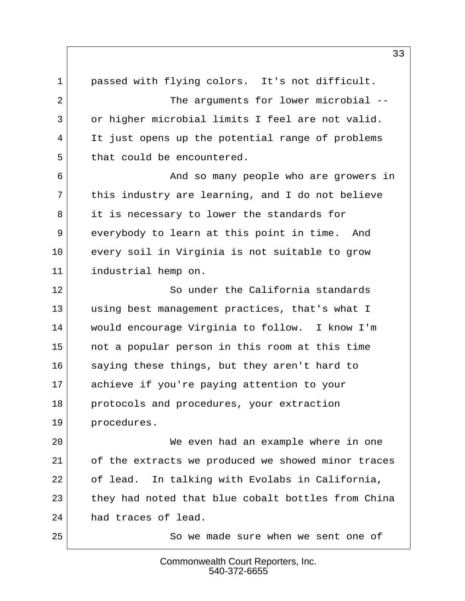1 passed with flying colors. It's not difficult. 2 The arguments for lower microbial --3 or higher microbial limits I feel are not valid. 4 It just opens up the potential range of problems 5 that could be encountered. 6 And so many people who are growers in  $7$  this industry are learning, and I do not believe 8 it is necessary to lower the standards for 9 everybody to learn at this point in time. And 10 every soil in Virginia is not suitable to grow 11 industrial hemp on. 12 So under the California standards 13 using best management practices, that's what I 14 would encourage Virginia to follow. I know I'm 15 not a popular person in this room at this time 16 saying these things, but they aren't hard to 17 achieve if you're paying attention to your 18 protocols and procedures, your extraction 19 procedures. 20 We even had an example where in one 21 of the extracts we produced we showed minor traces 22 of lead. In talking with Evolabs in California, 23 they had noted that blue cobalt bottles from China 24 had traces of lead. 25 So we made sure when we sent one of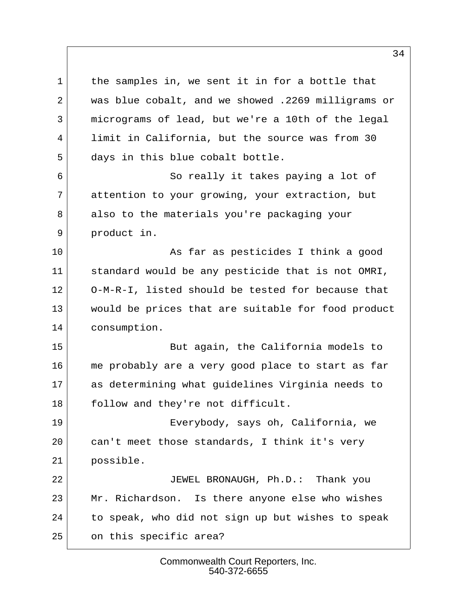1 the samples in, we sent it in for a bottle that 2 was blue cobalt, and we showed .2269 milligrams or 3 micrograms of lead, but we're a 10th of the legal 4 limit in California, but the source was from 30 5 days in this blue cobalt bottle. 6 So really it takes paying a lot of 7 attention to your growing, your extraction, but 8 also to the materials you're packaging your

10 As far as pesticides I think a good 11 standard would be any pesticide that is not OMRI, 12 O-M-R-I, listed should be tested for because that 13 would be prices that are suitable for food product 14 consumption.

9 product in.

15 But again, the California models to 16 me probably are a very good place to start as far 17 as determining what guidelines Virginia needs to 18 follow and they're not difficult.

19 Everybody, says oh, California, we 20 can't meet those standards, I think it's very 21 possible.

22 JEWEL BRONAUGH, Ph.D.: Thank you 23 Mr. Richardson. Is there anyone else who wishes 24 to speak, who did not sign up but wishes to speak 25 on this specific area?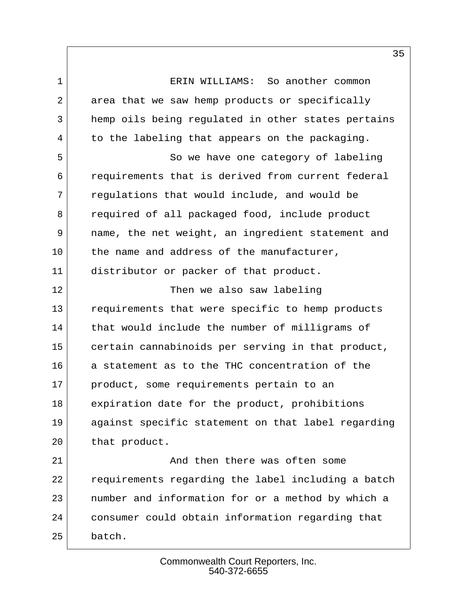1 ERIN WILLIAMS: So another common 2 area that we saw hemp products or specifically 3 hemp oils being regulated in other states pertains  $4$  to the labeling that appears on the packaging. 5 So we have one category of labeling

 6 requirements that is derived from current federal 7 regulations that would include, and would be 8 required of all packaged food, include product 9 mame, the net weight, an ingredient statement and 10 the name and address of the manufacturer, 11 distributor or packer of that product.

12 Then we also saw labeling 13 requirements that were specific to hemp products 14 that would include the number of milligrams of 15 certain cannabinoids per serving in that product, 16 a statement as to the THC concentration of the 17 product, some requirements pertain to an 18 expiration date for the product, prohibitions 19 against specific statement on that label regarding 20 that product.

21 and then there was often some 22 requirements regarding the label including a batch 23 number and information for or a method by which a 24 consumer could obtain information regarding that 25 batch.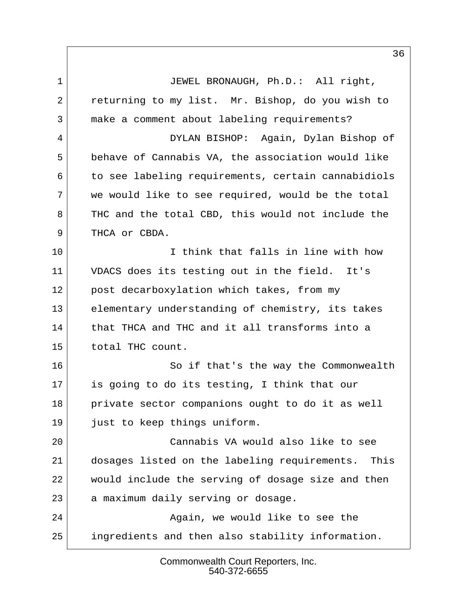1 JEWEL BRONAUGH, Ph.D.: All right, 2 returning to my list. Mr. Bishop, do you wish to 3 make a comment about labeling requirements? 4 DYLAN BISHOP: Again, Dylan Bishop of 5 behave of Cannabis VA, the association would like 6 to see labeling requirements, certain cannabidiols  $7$  we would like to see required, would be the total 8 THC and the total CBD, this would not include the 9 THCA or CBDA. 10 10 I think that falls in line with how 11 VDACS does its testing out in the field. It's 12 post decarboxylation which takes, from my 13 elementary understanding of chemistry, its takes 14 that THCA and THC and it all transforms into a 15 total THC count. 16 So if that's the way the Commonwealth 17 is going to do its testing, I think that our 18 private sector companions ought to do it as well 19 just to keep things uniform. 20 Cannabis VA would also like to see 21 dosages listed on the labeling requirements. This 22 would include the serving of dosage size and then 23 a maximum daily serving or dosage. 24 Again, we would like to see the 25 ingredients and then also stability information.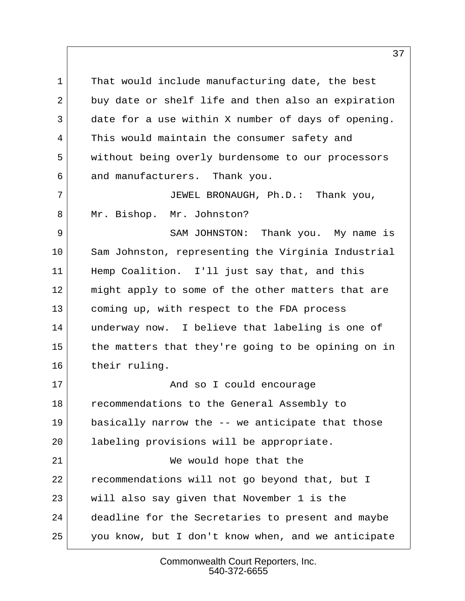1 That would include manufacturing date, the best 2 buy date or shelf life and then also an expiration 3 date for a use within X number of days of opening. 4 This would maintain the consumer safety and 5 without being overly burdensome to our processors 6 and manufacturers. Thank you.

 7 JEWEL BRONAUGH, Ph.D.: Thank you, 8 Mr. Bishop. Mr. Johnston?

9 SAM JOHNSTON: Thank you. My name is 10 Sam Johnston, representing the Virginia Industrial 11 Hemp Coalition. I'll just say that, and this 12 might apply to some of the other matters that are 13 coming up, with respect to the FDA process 14 underway now. I believe that labeling is one of 15 the matters that they're going to be opining on in 16 their ruling.

17 And so I could encourage 18 recommendations to the General Assembly to 19 basically narrow the -- we anticipate that those 20 labeling provisions will be appropriate. 21 We would hope that the 22 recommendations will not go beyond that, but I 23 will also say given that November 1 is the 24 deadline for the Secretaries to present and maybe 25 you know, but I don't know when, and we anticipate

> Commonwealth Court Reporters, Inc. 540-372-6655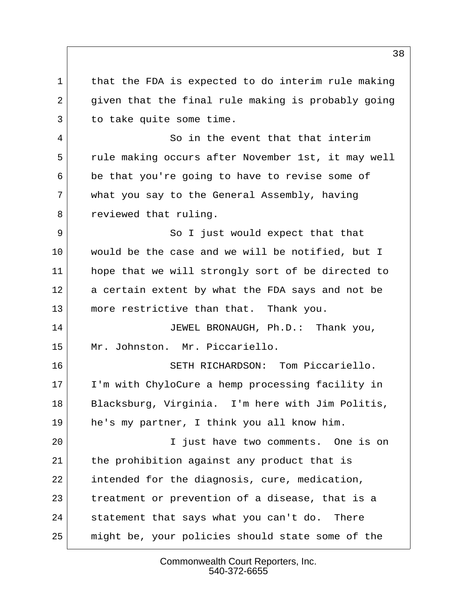1 that the FDA is expected to do interim rule making 2 given that the final rule making is probably going 3 to take quite some time. 4 So in the event that that interim 5 rule making occurs after November 1st, it may well 6 be that you're going to have to revise some of 7 what you say to the General Assembly, having 8 reviewed that ruling. 9 So I just would expect that that 10 would be the case and we will be notified, but I 11 hope that we will strongly sort of be directed to 12 a certain extent by what the FDA says and not be 13 more restrictive than that. Thank you. 14 JEWEL BRONAUGH, Ph.D.: Thank you, 15 Mr. Johnston. Mr. Piccariello. 16 SETH RICHARDSON: Tom Piccariello. 17 I'm with ChyloCure a hemp processing facility in 18 Blacksburg, Virginia. I'm here with Jim Politis, 19 he's my partner, I think you all know him. 20 I just have two comments. One is on 21 the prohibition against any product that is 22 intended for the diagnosis, cure, medication, 23 treatment or prevention of a disease, that is a 24 statement that says what you can't do. There 25 might be, your policies should state some of the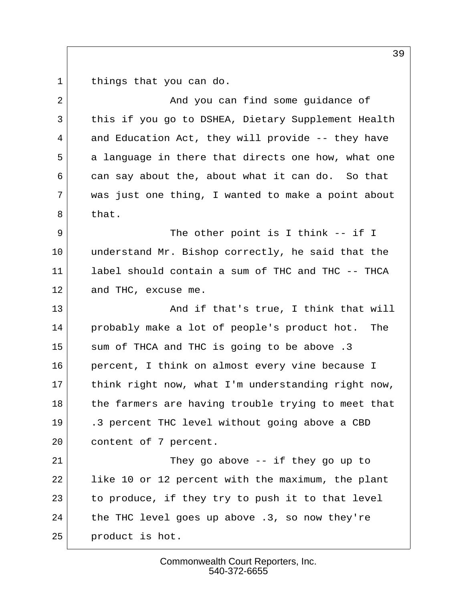1 things that you can do.

| 2  | And you can find some guidance of                   |
|----|-----------------------------------------------------|
| 3  | this if you go to DSHEA, Dietary Supplement Health  |
| 4  | and Education Act, they will provide -- they have   |
| 5  | a language in there that directs one how, what one  |
| 6  | can say about the, about what it can do. So that    |
| 7  | was just one thing, I wanted to make a point about  |
| 8  | that.                                               |
| 9  | The other point is I think -- if I                  |
| 10 | understand Mr. Bishop correctly, he said that the   |
| 11 | label should contain a sum of THC and THC -- THCA   |
| 12 | and THC, excuse me.                                 |
| 13 | And if that's true, I think that will               |
| 14 | probably make a lot of people's product hot.<br>The |
| 15 | sum of THCA and THC is going to be above .3         |
| 16 | percent, I think on almost every vine because I     |
| 17 | think right now, what I'm understanding right now,  |
| 18 | the farmers are having trouble trying to meet that  |
| 19 | .3 percent THC level without going above a CBD      |
| 20 | content of 7 percent.                               |
| 21 | They go above $--$ if they go up to                 |
| 22 | like 10 or 12 percent with the maximum, the plant   |
| 23 | to produce, if they try to push it to that level    |
| 24 | the THC level goes up above .3, so now they're      |
| 25 | product is hot.                                     |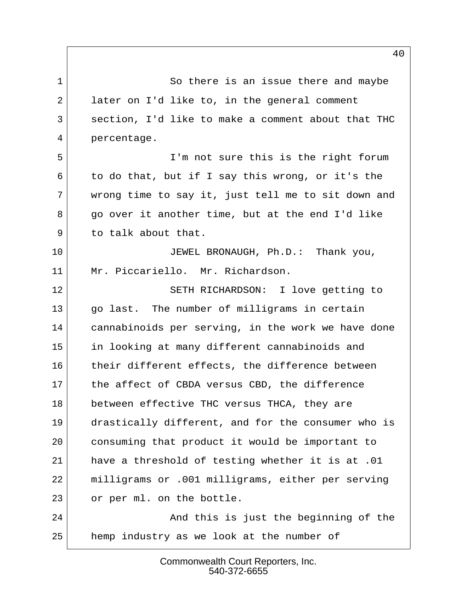1 So there is an issue there and maybe 2 later on I'd like to, in the general comment 3 section, I'd like to make a comment about that THC 4 percentage.

 5 I'm not sure this is the right forum  $6$  to do that, but if I say this wrong, or it's the 7 wrong time to say it, just tell me to sit down and 8 | go over it another time, but at the end I'd like  $9$  to talk about that.

10 JEWEL BRONAUGH, Ph.D.: Thank you, 11 Mr. Piccariello. Mr. Richardson.

12 SETH RICHARDSON: I love getting to 13 go last. The number of milligrams in certain 14 cannabinoids per serving, in the work we have done 15 in looking at many different cannabinoids and 16 their different effects, the difference between 17 the affect of CBDA versus CBD, the difference 18 between effective THC versus THCA, they are 19 drastically different, and for the consumer who is 20 consuming that product it would be important to 21 have a threshold of testing whether it is at .01 22 milligrams or .001 milligrams, either per serving 23 or per ml. on the bottle.

24 And this is just the beginning of the 25 hemp industry as we look at the number of

> Commonwealth Court Reporters, Inc. 540-372-6655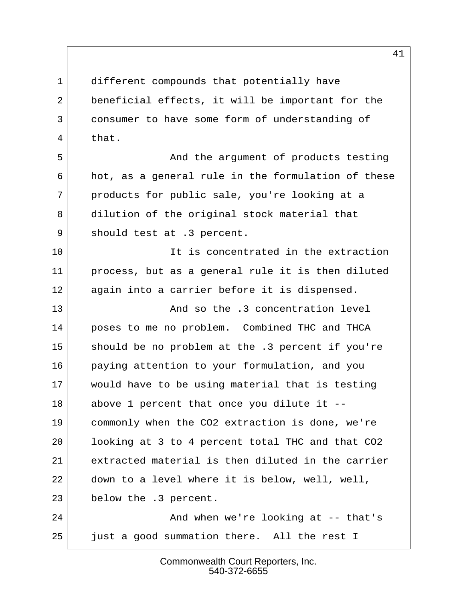1 different compounds that potentially have 2 beneficial effects, it will be important for the 3 consumer to have some form of understanding of 4 that.

5 And the argument of products testing 6 hot, as a general rule in the formulation of these 7 products for public sale, you're looking at a 8 dilution of the original stock material that 9 should test at .3 percent.

10 10 It is concentrated in the extraction 11 process, but as a general rule it is then diluted 12 again into a carrier before it is dispensed.

13 And so the .3 concentration level 14 poses to me no problem. Combined THC and THCA 15 should be no problem at the .3 percent if you're 16 paying attention to your formulation, and you 17 would have to be using material that is testing 18 above 1 percent that once you dilute it -- 19 commonly when the CO2 extraction is done, we're 20 looking at 3 to 4 percent total THC and that CO2 21 extracted material is then diluted in the carrier 22 down to a level where it is below, well, well, 23 below the .3 percent.

24 And when we're looking at -- that's 25 just a good summation there. All the rest I

> Commonwealth Court Reporters, Inc. 540-372-6655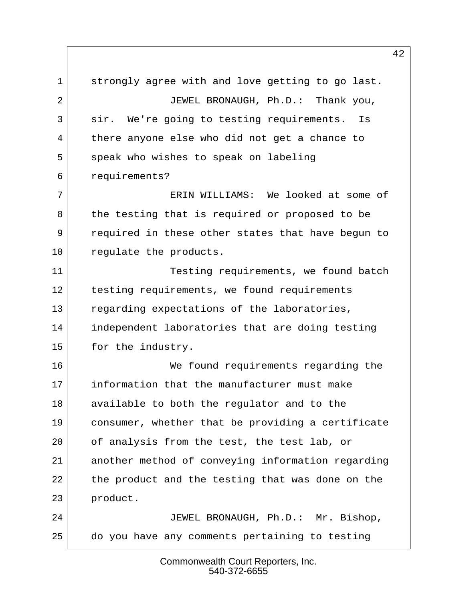1 strongly agree with and love getting to go last. 2 JEWEL BRONAUGH, Ph.D.: Thank you, 3 sir. We're going to testing requirements. Is 4 there anyone else who did not get a chance to 5 speak who wishes to speak on labeling 6 requirements? 7 ERIN WILLIAMS: We looked at some of 8 the testing that is required or proposed to be 9 required in these other states that have begun to 10 requiate the products. 11 Testing requirements, we found batch 12 testing requirements, we found requirements 13 regarding expectations of the laboratories, 14 independent laboratories that are doing testing 15 for the industry. 16 We found requirements regarding the 17 information that the manufacturer must make 18 available to both the regulator and to the 19 consumer, whether that be providing a certificate 20 of analysis from the test, the test lab, or 21 another method of conveying information regarding 22 the product and the testing that was done on the 23 product. 24 JEWEL BRONAUGH, Ph.D.: Mr. Bishop, 25 do you have any comments pertaining to testing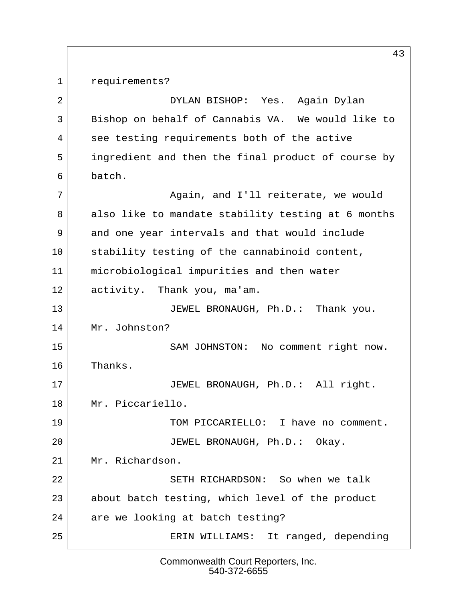1 requirements?

 2 DYLAN BISHOP: Yes. Again Dylan 3 Bishop on behalf of Cannabis VA. We would like to 4 see testing requirements both of the active 5 ingredient and then the final product of course by 6 batch. 7 Again, and I'll reiterate, we would 8 also like to mandate stability testing at 6 months 9 and one year intervals and that would include 10 stability testing of the cannabinoid content, 11 microbiological impurities and then water 12 activity. Thank you, ma'am. 13 JEWEL BRONAUGH, Ph.D.: Thank you. 14 Mr. Johnston? 15 SAM JOHNSTON: No comment right now. 16 Thanks. 17 JEWEL BRONAUGH, Ph.D.: All right. 18 Mr. Piccariello. 19 TOM PICCARIELLO: I have no comment. 20 JEWEL BRONAUGH, Ph.D.: Okay. 21 Mr. Richardson. 22 SETH RICHARDSON: So when we talk 23 about batch testing, which level of the product 24 are we looking at batch testing? 25 ERIN WILLIAMS: It ranged, depending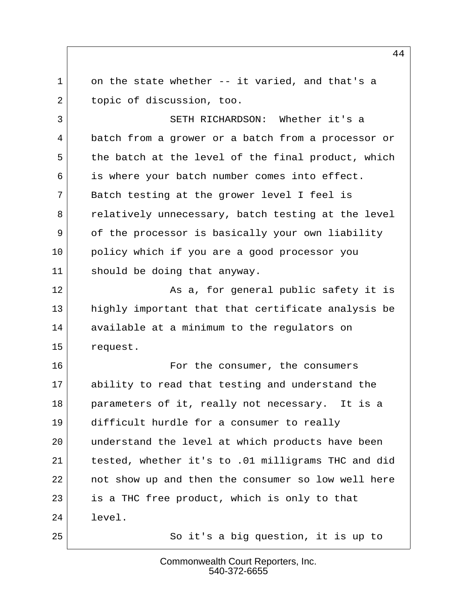$1$  on the state whether  $-$  it varied, and that's a 2 topic of discussion, too.

 3 SETH RICHARDSON: Whether it's a 4 batch from a grower or a batch from a processor or 5 the batch at the level of the final product, which 6 is where your batch number comes into effect. 7 Batch testing at the grower level I feel is 8 relatively unnecessary, batch testing at the level 9 of the processor is basically your own liability 10 policy which if you are a good processor you 11 should be doing that anyway.

12 As a, for general public safety it is 13 highly important that that certificate analysis be 14 available at a minimum to the regulators on 15 request.

16 Tor the consumer, the consumers 17 ability to read that testing and understand the 18 parameters of it, really not necessary. It is a 19 difficult hurdle for a consumer to really 20 | understand the level at which products have been 21 tested, whether it's to .01 milligrams THC and did 22 not show up and then the consumer so low well here 23 is a THC free product, which is only to that 24 level.

25 So it's a big question, it is up to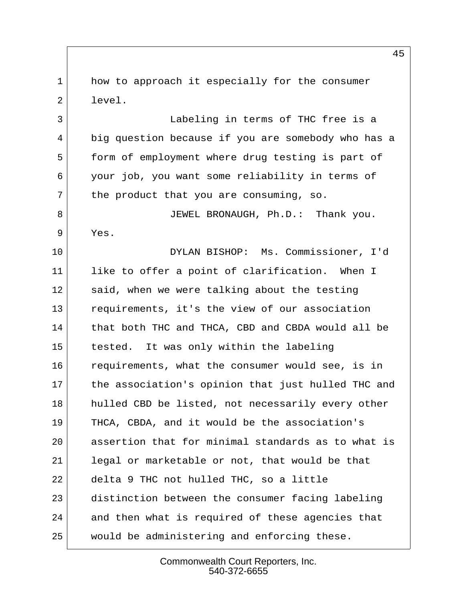1 how to approach it especially for the consumer  $2$  level.

 3 Labeling in terms of THC free is a 4 big question because if you are somebody who has a 5 form of employment where drug testing is part of 6 your job, you want some reliability in terms of  $7$  the product that you are consuming, so.

8 JEWEL BRONAUGH, Ph.D.: Thank you. 9 Yes.

10 DYLAN BISHOP: Ms. Commissioner, I'd 11 like to offer a point of clarification. When I 12 said, when we were talking about the testing 13 requirements, it's the view of our association 14 that both THC and THCA, CBD and CBDA would all be 15 tested. It was only within the labeling 16 requirements, what the consumer would see, is in 17 the association's opinion that just hulled THC and 18 hulled CBD be listed, not necessarily every other 19 THCA, CBDA, and it would be the association's 20 assertion that for minimal standards as to what is 21 legal or marketable or not, that would be that 22 delta 9 THC not hulled THC, so a little 23 distinction between the consumer facing labeling 24 and then what is required of these agencies that 25 would be administering and enforcing these.

> Commonwealth Court Reporters, Inc. 540-372-6655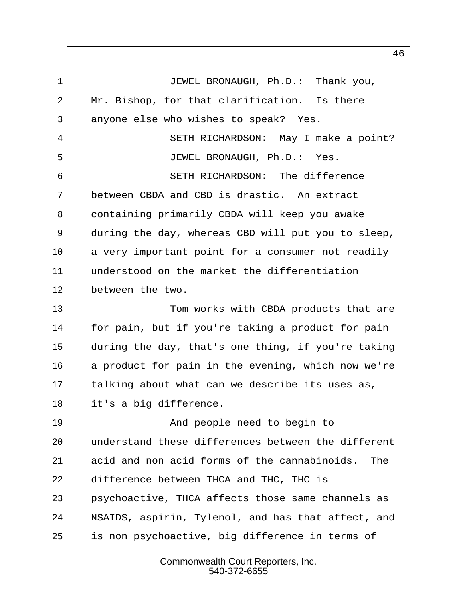1 JEWEL BRONAUGH, Ph.D.: Thank you, 2 Mr. Bishop, for that clarification. Is there 3 anyone else who wishes to speak? Yes. 4 SETH RICHARDSON: May I make a point? 5 JEWEL BRONAUGH, Ph.D.: Yes. 6 SETH RICHARDSON: The difference 7 between CBDA and CBD is drastic. An extract 8 containing primarily CBDA will keep you awake 9 during the day, whereas CBD will put you to sleep, 10 a very important point for a consumer not readily 11 understood on the market the differentiation 12 between the two. 13 Tom works with CBDA products that are 14 for pain, but if you're taking a product for pain 15 during the day, that's one thing, if you're taking 16 a product for pain in the evening, which now we're 17 talking about what can we describe its uses as, 18 it's a big difference. 19 and people need to begin to 20 understand these differences between the different 21 acid and non acid forms of the cannabinoids. The 22 difference between THCA and THC, THC is 23 psychoactive, THCA affects those same channels as 24 NSAIDS, aspirin, Tylenol, and has that affect, and 25 is non psychoactive, big difference in terms of

> Commonwealth Court Reporters, Inc. 540-372-6655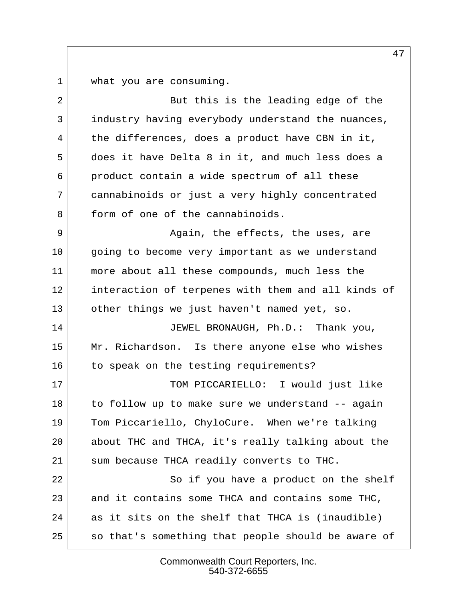1 what you are consuming.

| $\overline{2}$ | But this is the leading edge of the                |
|----------------|----------------------------------------------------|
| 3              | industry having everybody understand the nuances,  |
| 4              | the differences, does a product have CBN in it,    |
| 5              | does it have Delta 8 in it, and much less does a   |
| 6              | product contain a wide spectrum of all these       |
| 7              | cannabinoids or just a very highly concentrated    |
| 8              | form of one of the cannabinoids.                   |
| 9              | Again, the effects, the uses, are                  |
| 10             | going to become very important as we understand    |
| 11             | more about all these compounds, much less the      |
| 12             | interaction of terpenes with them and all kinds of |
| 13             | other things we just haven't named yet, so.        |
| 14             | JEWEL BRONAUGH, Ph.D.: Thank you,                  |
| 15             | Mr. Richardson. Is there anyone else who wishes    |
| 16             | to speak on the testing requirements?              |
| 17             | TOM PICCARIELLO: I would just like                 |
| 18             | to follow up to make sure we understand -- again   |
| 19             | Tom Piccariello, ChyloCure. When we're talking     |
| 20             | about THC and THCA, it's really talking about the  |
| 21             | sum because THCA readily converts to THC.          |
| 22             | So if you have a product on the shelf              |
| 23             | and it contains some THCA and contains some THC,   |
| 24             | as it sits on the shelf that THCA is (inaudible)   |
| 25             | so that's something that people should be aware of |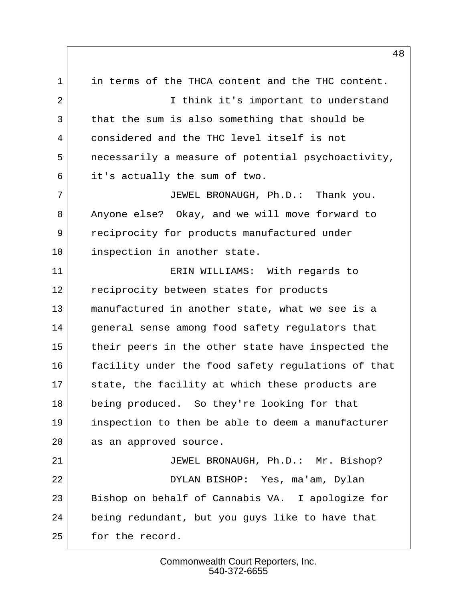1 in terms of the THCA content and the THC content. 2 I think it's important to understand 3 that the sum is also something that should be 4 considered and the THC level itself is not 5 necessarily a measure of potential psychoactivity, 6 it's actually the sum of two. 7 JEWEL BRONAUGH, Ph.D.: Thank you. 8 Anyone else? Okay, and we will move forward to 9 reciprocity for products manufactured under 10 inspection in another state. 11 ERIN WILLIAMS: With regards to 12 reciprocity between states for products 13 manufactured in another state, what we see is a 14 general sense among food safety regulators that 15 their peers in the other state have inspected the 16 facility under the food safety regulations of that 17 state, the facility at which these products are 18 being produced. So they're looking for that 19 inspection to then be able to deem a manufacturer 20 as an approved source. 21 JEWEL BRONAUGH, Ph.D.: Mr. Bishop? 22 DYLAN BISHOP: Yes, ma'am, Dylan 23 Bishop on behalf of Cannabis VA. I apologize for 24 being redundant, but you guys like to have that 25 for the record.

> Commonwealth Court Reporters, Inc. 540-372-6655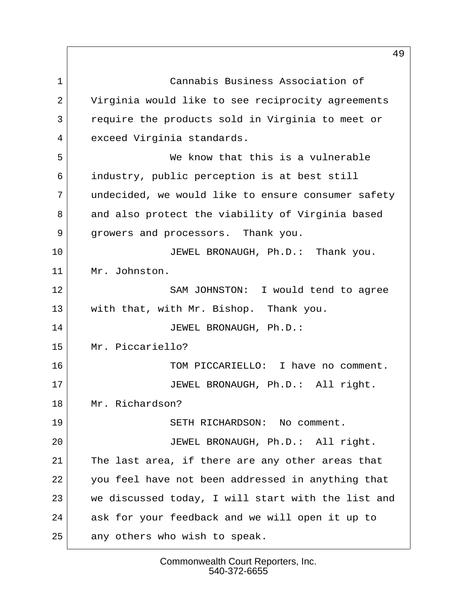1 Cannabis Business Association of 2 Virginia would like to see reciprocity agreements 3 require the products sold in Virginia to meet or 4 exceed Virginia standards. 5 We know that this is a vulnerable 6 industry, public perception is at best still 7 undecided, we would like to ensure consumer safety 8 and also protect the viability of Virginia based 9 growers and processors. Thank you. 10 JEWEL BRONAUGH, Ph.D.: Thank you. 11 Mr. Johnston. 12 SAM JOHNSTON: I would tend to agree 13 with that, with Mr. Bishop. Thank you. 14 | JEWEL BRONAUGH, Ph.D.: 15 Mr. Piccariello? 16 TOM PICCARIELLO: I have no comment. 17 JEWEL BRONAUGH, Ph.D.: All right. 18 Mr. Richardson? 19 SETH RICHARDSON: No comment. 20 JEWEL BRONAUGH, Ph.D.: All right. 21 The last area, if there are any other areas that 22 you feel have not been addressed in anything that 23 we discussed today, I will start with the list and 24 ask for your feedback and we will open it up to 25 any others who wish to speak.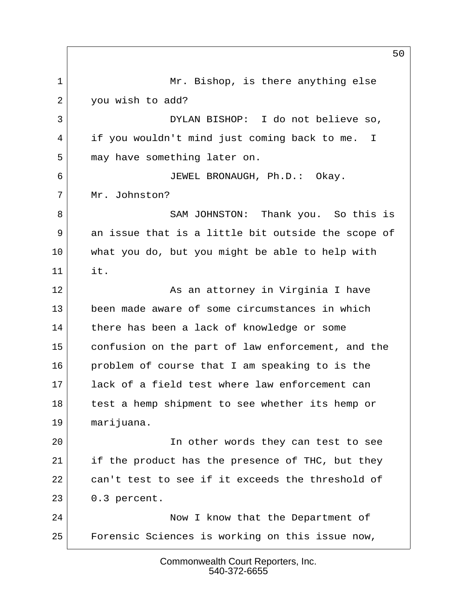1 Mr. Bishop, is there anything else 2 you wish to add? 3 DYLAN BISHOP: I do not believe so, 4 if you wouldn't mind just coming back to me. I 5 may have something later on. 6 JEWEL BRONAUGH, Ph.D.: Okay. 7 Mr. Johnston? 8 SAM JOHNSTON: Thank you. So this is 9 an issue that is a little bit outside the scope of 10 what you do, but you might be able to help with 11 it. 12 **As an attorney in Virginia I have** 13 been made aware of some circumstances in which 14 there has been a lack of knowledge or some 15 confusion on the part of law enforcement, and the 16 problem of course that I am speaking to is the 17 lack of a field test where law enforcement can 18 test a hemp shipment to see whether its hemp or 19 marijuana. 20 In other words they can test to see 21 if the product has the presence of THC, but they 22 can't test to see if it exceeds the threshold of 23 0.3 percent. 24 Now I know that the Department of 25 Forensic Sciences is working on this issue now,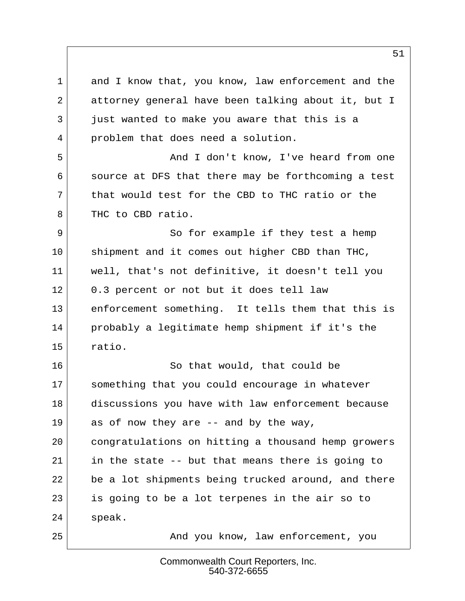1 and I know that, you know, law enforcement and the 2 attorney general have been talking about it, but I 3 just wanted to make you aware that this is a 4 problem that does need a solution. 5 And I don't know, I've heard from one 6 source at DFS that there may be forthcoming a test 7 that would test for the CBD to THC ratio or the 8 THC to CBD ratio. 9 So for example if they test a hemp  $10$  shipment and it comes out higher CBD than THC, 11 well, that's not definitive, it doesn't tell you 12 0.3 percent or not but it does tell law 13 enforcement something. It tells them that this is 14 probably a legitimate hemp shipment if it's the 15 ratio. 16 So that would, that could be 17 something that you could encourage in whatever 18 discussions you have with law enforcement because  $19$  as of now they are  $-$  and by the way, 20 congratulations on hitting a thousand hemp growers 21 in the state -- but that means there is going to 22 be a lot shipments being trucked around, and there 23 is going to be a lot terpenes in the air so to 24 speak. 25 And you know, law enforcement, you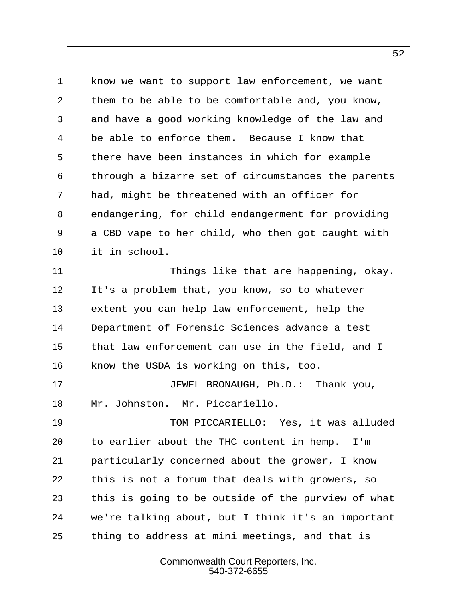1 know we want to support law enforcement, we want 2 them to be able to be comfortable and, you know, 3 and have a good working knowledge of the law and 4 be able to enforce them. Because I know that 5 there have been instances in which for example 6 through a bizarre set of circumstances the parents 7 had, might be threatened with an officer for 8 endangering, for child endangerment for providing 9 a CBD vape to her child, who then got caught with 10 it in school. 11 Things like that are happening, okay. 12 It's a problem that, you know, so to whatever 13 extent you can help law enforcement, help the 14 Department of Forensic Sciences advance a test 15 that law enforcement can use in the field, and I 16 know the USDA is working on this, too. 17 JEWEL BRONAUGH, Ph.D.: Thank you, 18 Mr. Johnston. Mr. Piccariello. 19 TOM PICCARIELLO: Yes, it was alluded 20 to earlier about the THC content in hemp. I'm 21 particularly concerned about the grower, I know 22 this is not a forum that deals with growers, so 23 this is going to be outside of the purview of what 24 we're talking about, but I think it's an important 25 thing to address at mini meetings, and that is

> Commonwealth Court Reporters, Inc. 540-372-6655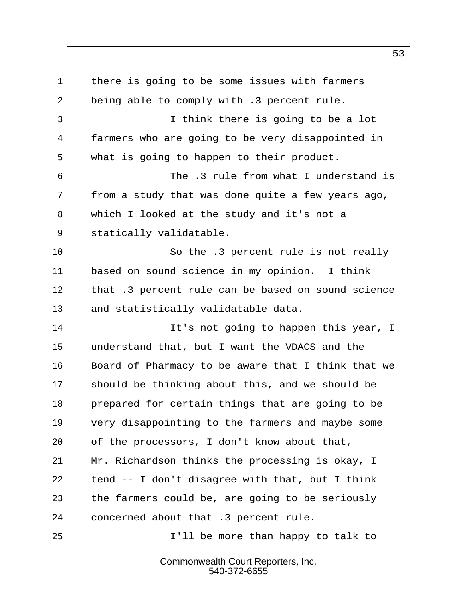1 there is going to be some issues with farmers 2 being able to comply with .3 percent rule. 3 I think there is going to be a lot 4 farmers who are going to be very disappointed in 5 what is going to happen to their product. 6 The .3 rule from what I understand is  $7$  from a study that was done quite a few years ago, 8 which I looked at the study and it's not a 9 statically validatable. 10 So the .3 percent rule is not really 11 based on sound science in my opinion. I think 12 that .3 percent rule can be based on sound science 13 and statistically validatable data. 14 It's not going to happen this year, I 15 understand that, but I want the VDACS and the 16 Board of Pharmacy to be aware that I think that we 17 should be thinking about this, and we should be 18 prepared for certain things that are going to be 19 very disappointing to the farmers and maybe some 20 of the processors, I don't know about that, 21 Mr. Richardson thinks the processing is okay, I 22 tend  $-$  I don't disagree with that, but I think  $23$  the farmers could be, are going to be seriously 24 concerned about that .3 percent rule. 25 I'll be more than happy to talk to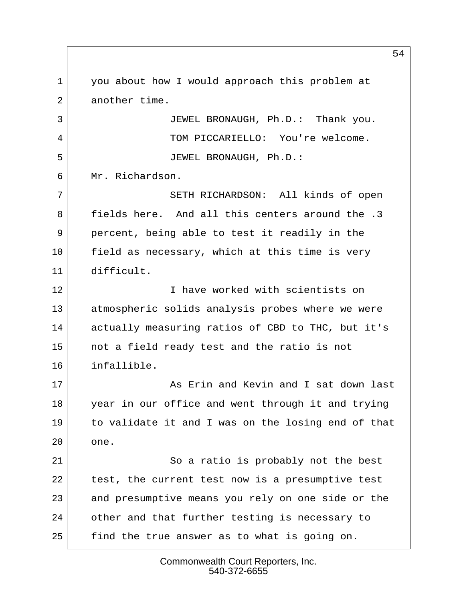1 you about how I would approach this problem at 2 another time. 3 JEWEL BRONAUGH, Ph.D.: Thank you. 4 TOM PICCARIELLO: You're welcome. 5 JEWEL BRONAUGH, Ph.D.: 6 Mr. Richardson. 7 SETH RICHARDSON: All kinds of open 8 fields here. And all this centers around the .3 9 percent, being able to test it readily in the 10 field as necessary, which at this time is very 11 difficult. 12 I have worked with scientists on 13 atmospheric solids analysis probes where we were 14 actually measuring ratios of CBD to THC, but it's 15 not a field ready test and the ratio is not 16 infallible. 17 As Erin and Kevin and I sat down last 18 year in our office and went through it and trying 19 to validate it and I was on the losing end of that 20 one. 21 So a ratio is probably not the best 22 test, the current test now is a presumptive test 23 and presumptive means you rely on one side or the 24 other and that further testing is necessary to 25 find the true answer as to what is going on.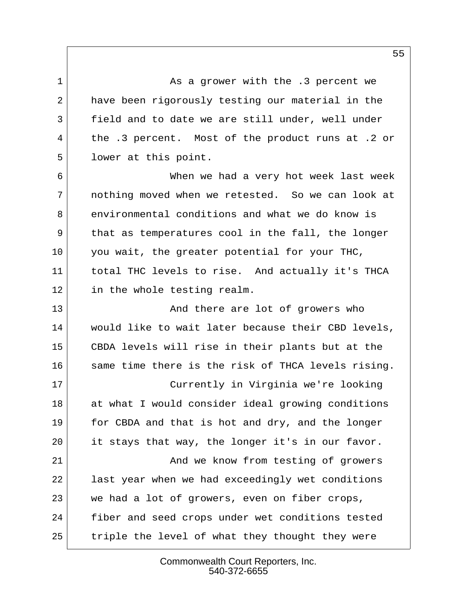1 As a grower with the .3 percent we 2 have been rigorously testing our material in the 3 field and to date we are still under, well under 4 the .3 percent. Most of the product runs at .2 or 5 lower at this point.

 6 When we had a very hot week last week 7 nothing moved when we retested. So we can look at 8 environmental conditions and what we do know is 9 that as temperatures cool in the fall, the longer 10 you wait, the greater potential for your THC, 11 total THC levels to rise. And actually it's THCA 12 in the whole testing realm.

13 And there are lot of growers who 14 would like to wait later because their CBD levels, 15 CBDA levels will rise in their plants but at the 16 same time there is the risk of THCA levels rising. 17 Currently in Virginia we're looking 18 at what I would consider ideal growing conditions 19 for CBDA and that is hot and dry, and the longer 20 it stays that way, the longer it's in our favor. 21 and we know from testing of growers 22 last year when we had exceedingly wet conditions 23 we had a lot of growers, even on fiber crops, 24 fiber and seed crops under wet conditions tested 25 triple the level of what they thought they were

> Commonwealth Court Reporters, Inc. 540-372-6655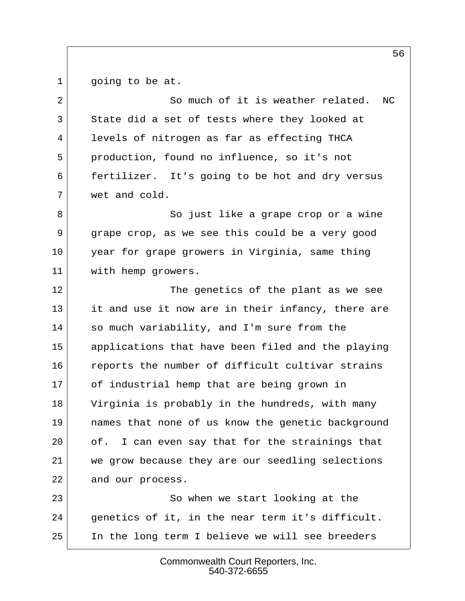1 going to be at.

2 So much of it is weather related. NC 3 State did a set of tests where they looked at 4 levels of nitrogen as far as effecting THCA 5 production, found no influence, so it's not 6 fertilizer. It's going to be hot and dry versus 7 wet and cold.

8 So just like a grape crop or a wine 9 grape crop, as we see this could be a very good 10 year for grape growers in Virginia, same thing 11 with hemp growers.

12 The genetics of the plant as we see 13 it and use it now are in their infancy, there are 14 so much variability, and I'm sure from the 15 applications that have been filed and the playing 16 reports the number of difficult cultivar strains 17 of industrial hemp that are being grown in 18 Virginia is probably in the hundreds, with many 19 names that none of us know the genetic background 20 of. I can even say that for the strainings that 21 we grow because they are our seedling selections 22 and our process.

23 So when we start looking at the 24 genetics of it, in the near term it's difficult. 25 In the long term I believe we will see breeders

> Commonwealth Court Reporters, Inc. 540-372-6655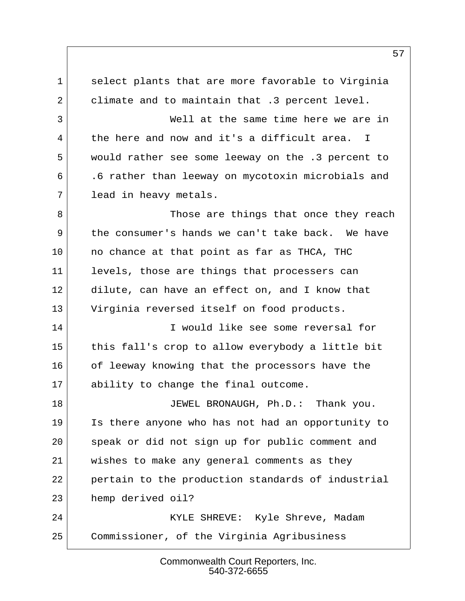1 select plants that are more favorable to Virginia 2 climate and to maintain that .3 percent level. 3 Well at the same time here we are in 4 the here and now and it's a difficult area. I 5 would rather see some leeway on the .3 percent to 6 .6 rather than leeway on mycotoxin microbials and 7 lead in heavy metals. 8 Those are things that once they reach 9 the consumer's hands we can't take back. We have 10 no chance at that point as far as THCA, THC 11 levels, those are things that processers can 12 dilute, can have an effect on, and I know that 13 Virginia reversed itself on food products. 14 I would like see some reversal for 15 this fall's crop to allow everybody a little bit 16 of leeway knowing that the processors have the 17 ability to change the final outcome. 18 JEWEL BRONAUGH, Ph.D.: Thank you. 19 Is there anyone who has not had an opportunity to 20 speak or did not sign up for public comment and 21 wishes to make any general comments as they 22 pertain to the production standards of industrial 23 hemp derived oil? 24 KYLE SHREVE: Kyle Shreve, Madam 25 Commissioner, of the Virginia Agribusiness

> Commonwealth Court Reporters, Inc. 540-372-6655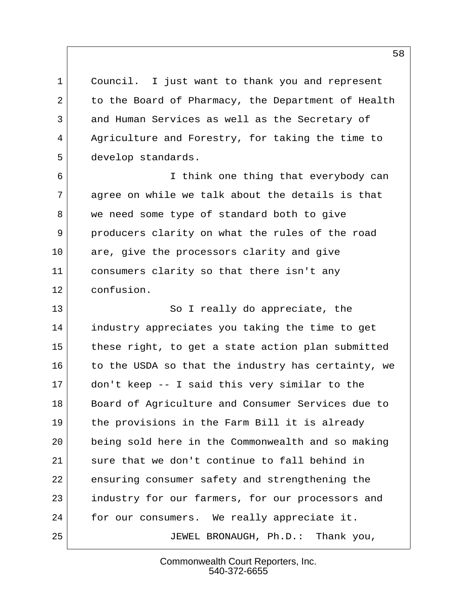1 Council. I just want to thank you and represent 2 to the Board of Pharmacy, the Department of Health 3 and Human Services as well as the Secretary of 4 Agriculture and Forestry, for taking the time to 5 develop standards.

 6 I think one thing that everybody can  $7$  agree on while we talk about the details is that 8 we need some type of standard both to give 9 producers clarity on what the rules of the road 10 are, give the processors clarity and give 11 consumers clarity so that there isn't any 12 confusion.

13 So I really do appreciate, the 14 industry appreciates you taking the time to get 15 these right, to get a state action plan submitted 16 to the USDA so that the industry has certainty, we 17 don't keep -- I said this very similar to the 18 Board of Agriculture and Consumer Services due to 19 the provisions in the Farm Bill it is already 20 being sold here in the Commonwealth and so making 21 sure that we don't continue to fall behind in 22 ensuring consumer safety and strengthening the 23 industry for our farmers, for our processors and 24 for our consumers. We really appreciate it. 25 JEWEL BRONAUGH, Ph.D.: Thank you,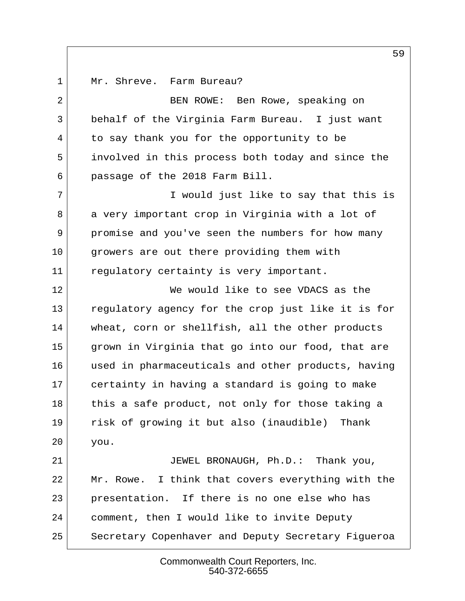1 Mr. Shreve. Farm Bureau?

| $\overline{2}$ | BEN ROWE: Ben Rowe, speaking on                    |  |
|----------------|----------------------------------------------------|--|
| 3              | behalf of the Virginia Farm Bureau. I just want    |  |
| 4              | to say thank you for the opportunity to be         |  |
| 5              | involved in this process both today and since the  |  |
| 6              | passage of the 2018 Farm Bill.                     |  |
| 7              | I would just like to say that this is              |  |
| 8              | a very important crop in Virginia with a lot of    |  |
| 9              | promise and you've seen the numbers for how many   |  |
| 10             | growers are out there providing them with          |  |
| 11             | regulatory certainty is very important.            |  |
| 12             | We would like to see VDACS as the                  |  |
| 13             | regulatory agency for the crop just like it is for |  |
| 14             | wheat, corn or shellfish, all the other products   |  |
| 15             | grown in Virginia that go into our food, that are  |  |
| 16             | used in pharmaceuticals and other products, having |  |
| 17             | certainty in having a standard is going to make    |  |
| 18             | this a safe product, not only for those taking a   |  |
| 19             | risk of growing it but also (inaudible) Thank      |  |
| 20             | you.                                               |  |
| 21             | JEWEL BRONAUGH, Ph.D.: Thank you,                  |  |
| 22             | Mr. Rowe. I think that covers everything with the  |  |
| 23             | presentation. If there is no one else who has      |  |
| 24             | comment, then I would like to invite Deputy        |  |
| 25             | Secretary Copenhaver and Deputy Secretary Figueroa |  |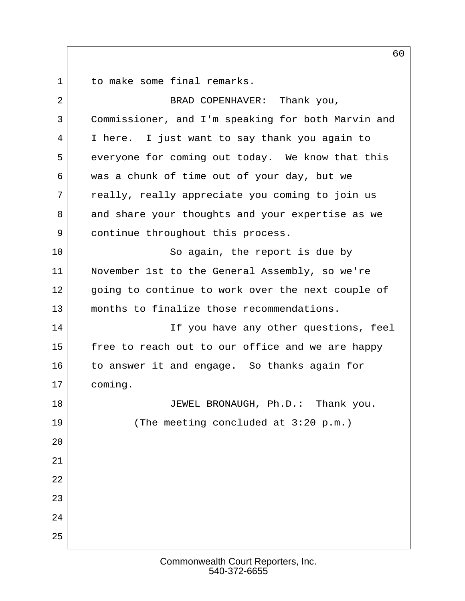1 to make some final remarks.

| 2  | BRAD COPENHAVER: Thank you,                        |
|----|----------------------------------------------------|
| 3  | Commissioner, and I'm speaking for both Marvin and |
| 4  | I here. I just want to say thank you again to      |
| 5  | everyone for coming out today. We know that this   |
| 6  | was a chunk of time out of your day, but we        |
| 7  | really, really appreciate you coming to join us    |
| 8  | and share your thoughts and your expertise as we   |
| 9  | continue throughout this process.                  |
| 10 | So again, the report is due by                     |
| 11 | November 1st to the General Assembly, so we're     |
| 12 | going to continue to work over the next couple of  |
| 13 | months to finalize those recommendations.          |
| 14 | If you have any other questions, feel              |
| 15 | free to reach out to our office and we are happy   |
| 16 | to answer it and engage. So thanks again for       |
| 17 | coming.                                            |
| 18 | JEWEL BRONAUGH, Ph.D.: Thank you.                  |
| 19 | (The meeting concluded at 3:20 p.m.)               |
| 20 |                                                    |
| 21 |                                                    |
| 22 |                                                    |
| 23 |                                                    |
| 24 |                                                    |
| 25 |                                                    |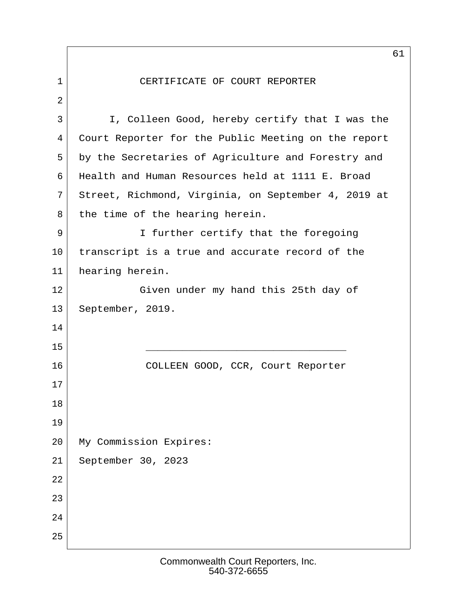1 CERTIFICATE OF COURT REPORTER 2 3 I, Colleen Good, hereby certify that I was the 4 Court Reporter for the Public Meeting on the report 5 by the Secretaries of Agriculture and Forestry and 6 Health and Human Resources held at 1111 E. Broad 7 Street, Richmond, Virginia, on September 4, 2019 at 8 the time of the hearing herein. 9 I further certify that the foregoing 10 transcript is a true and accurate record of the 11 hearing herein. 12 Given under my hand this 25th day of 13 September, 2019. 14 15  $\overline{\phantom{a}}$ 16 COLLEEN GOOD, CCR, Court Reporter 17 18 19 20 My Commission Expires: 21 September 30, 2023 22 23 24 25

61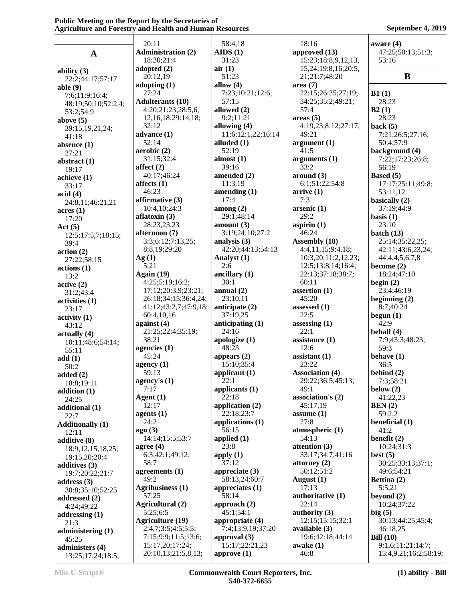|                         | 20:11                     | 58:4,18            | 18:16                  | aware $(4)$           |
|-------------------------|---------------------------|--------------------|------------------------|-----------------------|
| $\mathbf A$             | <b>Administration (2)</b> | AIDS(1)            | approved (13)          | 47:25;50:13;51:3;     |
|                         | 18:20;21:4                | 31:23              | 15:23;18:8,9,12,13,    | 53:16                 |
|                         | adopted $(2)$             | air(1)             | 15,24;19:8,16;20:5,    |                       |
| ability $(3)$           | 20:12,19                  | 51:23              | 21;21:7;48:20          | B                     |
| 22:2;44:17;57:17        | adopting $(1)$            | allow $(4)$        | area(7)                |                       |
| able $(9)$              | 27:24                     | 7:23;10:21;12:6;   | 22:15;26:25;27:19;     | B1(1)                 |
| 7:6;11:9;16:4;          |                           | 57:15              |                        |                       |
| 48:19;50:10;52:2,4;     | <b>Adulterants (10)</b>   |                    | 34:25;35:2;49:21;      | 28:23                 |
| 53:2;54:9               | 4:20;21:23;28:5,6,        | allowed (2)        | 57:4                   | B2(1)                 |
| above $(5)$             | 12, 16, 18; 29: 14, 18;   | 9:2;11:21          | areas(5)               | 28:23                 |
| 39:15,19,21,24;         | 32:12                     | allowing (4)       | 4:19,23;8:12;27:17;    | back $(5)$            |
| 41:18                   | advance $(1)$             | 11:6;12:1,22;16:14 | 49:21                  | 7:21;26:5;27:16;      |
| absence $(1)$           | 52:14                     | alluded (1)        | argument(1)            | 50:4;57:9             |
| 27:21                   | aerobic(2)                | 52:19              | 41:5                   | background (4)        |
| abstract $(1)$          | 31:15;32:4                | almost $(1)$       | arguments $(1)$        | 7:22;17:23;26:8;      |
| 19:17                   | affect $(2)$              | 39:16              | 33:2                   | 56:19                 |
| achieve (1)             | 40:17;46:24               | amended (2)        | around (3)             | Based (5)             |
|                         | affects $(1)$             | 11:3,19            | 6:1;51:22;54:8         | 17:17;25:11;49:8;     |
| 33:17                   | 46:23                     | amending $(1)$     | arrive(1)              | 53:11,12              |
| acid(4)                 | affirmative (3)           | 17:4               | 7:3                    | basically (2)         |
| 24:8,11;46:21,21        | 10:4,10;24:3              | among $(2)$        |                        | 37:19;44:9            |
| acres(1)                |                           |                    | arsenic(1)             |                       |
| 17:20                   | aflatoxin $(3)$           | 29:1;48:14         | 29:2                   | basis $(1)$           |
| Act $(5)$               | 28:23,23,23               | amount $(3)$       | aspirin $(1)$          | 23:10                 |
| 12:5;17:5,7;18:15;      | afternoon (7)             | 3:19;24:10;27:2    | 46:24                  | batch $(13)$          |
| 39:4                    | 3:3;6:12;7:13,25;         | analysis $(3)$     | Assembly (18)          | 25:14;35:22,25;       |
| action(2)               | 8:8,19;29:20              | 42:20;44:13;54:13  | 4:4,11,15;9:4,18;      | 42:11;43:6,23,24;     |
| 27:22;58:15             | Ag(1)                     | Analyst (1)        | 10:3,20;11:2,12,23;    | 44:4,4,5,6,7,8        |
| actions(1)              | 5:21                      | 2:6                | 12:5;13:8,14;16:4;     | become $(2)$          |
| 13:2                    | Again $(19)$              | ancillary $(1)$    | 22:13;37:18;38:7;      | 18:24;47:10           |
| active(2)               | 4:25;5:19;16:2;           | 30:1               | 60:11                  | begin $(2)$           |
| 31:2;43:4               | 17:12;20:3,9;23:21;       | annual $(2)$       | assertion (1)          | 23:4;46:19            |
| activities (1)          | 26:18;34:15;36:4,24;      | 23:10,11           | 45:20                  | beginning $(2)$       |
| 23:17                   | 41:12;43:2,7;47:9,18;     | anticipate (2)     | assessed $(1)$         | 8:7;40:24             |
| $\text{activity} (1)$   | 60:4,10,16                | 37:19,25           | 22:5                   | begun $(1)$           |
| 43:12                   | against $(4)$             | anticipating $(1)$ | assessing $(1)$        | 42:9                  |
| actually(4)             | 21:25;22:4;35:19;         | 24:16              | 22:1                   | behalf $(4)$          |
| 10:11;48:6;54:14;       | 38:21                     | apologize $(1)$    | assistance (1)         | 7:9;43:3;48:23;       |
| 55:11                   | agencies $(1)$            | 48:23              | 12:6                   | 59:3                  |
| add(1)                  | 45:24                     | appears $(2)$      | assistant $(1)$        | behave $(1)$          |
| 50:2                    | agency $(1)$              | 15:10;35:4         | 23:22                  | 36:5                  |
| added $(2)$             | 59:13                     | applicant $(1)$    | <b>Association (4)</b> | behind $(2)$          |
| 18:8;19:11              | agency's $(1)$            | 22:1               | 29:22;36:5;45:13;      | 7:3;58:21             |
| addition (1)            | 7:17                      | applicants (1)     | 49:1                   | below $(2)$           |
| 24:25                   | Agent $(1)$               | 22:18              | association's (2)      | 41:22,23              |
|                         | 12:17                     | application $(2)$  | 45:17,19               | BEN(2)                |
| additional (1)<br>22:7  | agents $(1)$              | 22:18;23:7         | assume $(1)$           | 59:2,2                |
|                         | 24:2                      | applications $(1)$ | 27:8                   | beneficial (1)        |
| <b>Additionally (1)</b> | ago(3)                    | 56:15              | atmospheric (1)        | 41:2                  |
| 12:11                   | 14:14;15:5;53:7           | applied $(1)$      | 54:13                  | benefit $(2)$         |
| additive (8)            | agree $(4)$               | 23:8               | attention $(3)$        | 10:24;31:3            |
| 18:9, 12, 15, 18, 25;   | 6:3;42:1;49:12;           |                    | 33:17:34:7:41:16       |                       |
| 19:15,20;20:4           | 58:7                      | apply $(1)$        |                        | best $(5)$            |
| additives (3)           |                           | 37:12              | attorney $(2)$         | 30:25;33:13;37:1;     |
| 19:7;20:22;21:7         | agreements (1)            | appreciate (3)     | 50:12;51:2             | 49:6;54:21            |
| address $(3)$           | 49:2                      | 58:13,24;60:7      | August $(1)$           | Bettina (2)           |
| 30:8;35:10;52:25        | <b>Agribusiness (1)</b>   | appreciates $(1)$  | 17:13                  | 5:5,21                |
| addressed (2)           | 57:25                     | 58:14              | authoritative (1)      | beyond $(2)$          |
| 4:24;49:22              | Agricultural (2)          | approach $(2)$     | 22:14                  | 10:24;37:22           |
| addressing $(1)$        | 5:25:6:5                  | 45:1;54:1          | authority $(3)$        | big(5)                |
| 21:3                    | <b>Agriculture (19)</b>   | appropriate (4)    | 12:15:15:15:32:1       | 30:13;44:25;45:4;     |
| administering (1)       | 2:4,7;3:5;4:5;5:5;        | 7:4;13:9,19;37:20  | available (3)          | 46:18,25              |
| 45:25                   | 7:15;9:9;11:5;13:6;       | approval $(3)$     | 19:6;42:18;44:14       | Bill $(10)$           |
| administers (4)         | 15:17,20;17:24;           | 15:17;22:21,23     | awake $(1)$            | 9:1,6;11:21;14:7;     |
| 13:25;17:24;18:5;       | 20:10,13;21:5,8,13;       | approve $(1)$      | 46:8                   | 15:4,9,21;16:2;58:19; |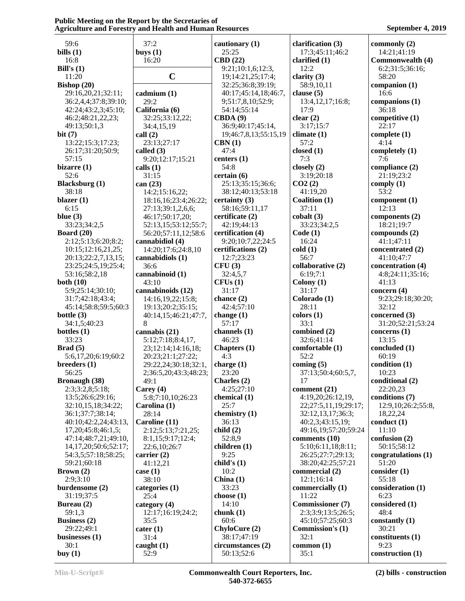| 59:6                       | 37:2                  | cautionary $(1)$      | clarification (3)       | commonly (2)        |
|----------------------------|-----------------------|-----------------------|-------------------------|---------------------|
| bills $(1)$                | buys $(1)$            | 25:25                 | 17:3;45:11;46:2         | 14:21;41:19         |
| 16:8                       | 16:20                 | CBD(22)               | clarified $(1)$         | Commonwealth (4)    |
| Bill's $(1)$               |                       | 9:21;10:1,6;12:3,     | 12:2                    | 6:2;31:5;36:16;     |
| 11:20                      | $\mathbf C$           | 19;14:21,25;17:4;     | clarity $(3)$           | 58:20               |
| Bishop $(20)$              |                       | 32:25;36:8;39:19;     | 58:9,10,11              | companion $(1)$     |
| 29:16,20,21;32:11;         | cadmium(1)            | 40:17;45:14,18;46:7,  | clause $(5)$            | 16:6                |
| 36:2,4,4;37:8;39:10;       | 29:2                  | 9;51:7,8,10;52:9;     | 13:4,12,17;16:8;        | companions (1)      |
| 42:24;43:2,3;45:10;        | California (6)        | 54:14;55:14           | 17:9                    | 36:18               |
| 46:2;48:21,22,23;          | 32:25;33:12,22;       | CBDA(9)               | clear $(2)$             | competitive (1)     |
| 49:13;50:1,3               | 34:4,15,19            | 36:9;40:17;45:14,     | 3:17;15:7               | 22:17               |
| bit(7)                     | call(2)               | 19;46:7,8,13;55:15,19 | climate $(1)$           | complete $(1)$      |
| 13:22;15:3;17:23;          | 23:13;27:17           | CBN(1)                | 57:2                    | 4:14                |
| 26:17;31:20;50:9;          | called (3)            | 47:4                  | closed $(1)$            | completely (1)      |
| 57:15                      | 9:20;12:17;15:21      | centers $(1)$         | 7:3                     | 7:6                 |
| bizarre $(1)$              | calls $(1)$           | 54:8                  | closely (2)             | compliance (2)      |
| 52:6                       | 31:15                 | certain (6)           | 3:19;20:18              | 21:19;23:2          |
| <b>Blacksburg</b> (1)      | can (23)              | 25:13;35:15;36:6;     | CO2(2)                  | comply $(1)$        |
| 38:18                      | 14:2;15:16,22;        | 38:12;40:13;53:18     | 41:19,20                | 53:2                |
| blazer $(1)$               | 18:16,16;23:4;26:22;  | certainty $(3)$       | <b>Coalition (1)</b>    | component $(1)$     |
| 6:15                       | 27:13;39:1,2,6,6;     | 58:16;59:11,17        | 37:11                   | 12:13               |
| blue $(3)$                 | 46:17;50:17,20;       | certificate (2)       | $\text{cobalt}(3)$      | components (2)      |
| 33:23;34:2,5               | 52:13,15;53:12;55:7;  | 42:19;44:13           | 33:23;34:2,5            | 18:21;19:7          |
| <b>Board</b> (20)          | 56:20;57:11,12;58:6   | certification (4)     | Code(1)                 | compounds (2)       |
| 2:12;5:13;6:20;8:2;        | cannabidiol (4)       | 9:20;10:7,22;24:5     | 16:24                   | 41:1;47:11          |
| 10:15;12:16,21,25;         | 14:20;17:6;24:8,10    | certifications (2)    | cold(1)                 | concentrated (2)    |
| 20:13;22:2,7,13,15;        | cannabidiols (1)      | 12:7;23:23            | 56:7                    | 41:10:47:7          |
| 23:25;24:5,19;25:4;        | 36:6                  | CFU(3)                | collaborative (2)       | concentration (4)   |
| 53:16;58:2,18              | cannabinoid (1)       | 32:4,5,7              | 6:19;7:1                | 4:8;24:11;35:16;    |
| both $(10)$                | 43:10                 | CFUs(1)               | Colony $(1)$            | 41:13               |
| 5:9;25:14;30:10;           | cannabinoids (12)     | 31:17                 | 31:17                   | concern $(4)$       |
| 31:7;42:18;43:4;           | 14:16,19,22;15:8;     | chance $(2)$          | Colorado (1)            | 9:23;29:18;30:20;   |
| 45:14;58:8;59:5;60:3       | 19:13;20:2;35:15;     | 42:4;57:10            | 28:11                   | 32:12               |
| bottle $(3)$               | 40:14,15;46:21;47:7,  | change $(1)$          | colors(1)               | concerned (3)       |
| 34:1,5;40:23               | 8                     | 57:17                 | 33:1                    | 31:20;52:21;53:24   |
| bottles $(1)$              | cannabis (21)         | channels (1)          | combined (2)            | concerns (1)        |
| 33:23                      | 5:12;7:18;8:4,17,     | 46:23                 | 32:6;41:14              | 13:15               |
| Brad(5)                    | 23;12:14;14:16,18;    | Chapters (1)          | comfortable (1)         | concluded (1)       |
| 5:6,17,20;6:19;60:2        | 20:23;21:1;27:22;     | 4:3                   | 52:2                    | 60:19               |
| breeders(1)                | 29:22,24;30:18;32:1,  | charge $(1)$          | coming $(5)$            | condition (1)       |
| 56:25                      | 2;36:5,20;43:3;48:23; | 23:20                 | 37:13;50:4;60:5,7,      | 10:23               |
| <b>Bronaugh (38)</b>       | 49:1                  | Charles (2)           | 17                      | conditional (2)     |
| 2:3;3:2,8;5:18;            | Carey $(4)$           | 4:25;27:10            | comment (21)            | 22:20,23            |
| 13:5;26:6;29:16;           | 5:8;7:10,10;26:23     | chemical $(1)$        | 4:19,20;26:12,19,       | conditions (7)      |
| 32:10,15,18;34:22;         | Carolina (1)          | 25:7                  | 22;27:5,11,19;29:17;    | 12:9,10;26:2;55:8,  |
| 36:1;37:7;38:14;           | 28:14                 | chemistry (1)         | 32:12,13,17;36:3;       | 18,22,24            |
| 40:10:42:2,24:43:13,       | Caroline (11)         | 36:13                 | 40:2,3;43:15,19;        | conduct $(1)$       |
| 17, 20; 45: 8; 46: 1, 5;   | 2:12;5:13;7:21,25;    | child(2)              | 49:16,19;57:20;59:24    | 11:10               |
| 47:14;48:7,21;49:10,       | 8:1,15;9:17;12:4;     | 52:8,9                | comments (10)           | confusion (2)       |
| 14, 17, 20; 50: 6; 52: 17; | 22:6,10;26:7          | children (1)          | 5:10;6:11,18;8:11;      | 50:15;58:12         |
| 54:3,5;57:18;58:25;        | carrier $(2)$         | 9:25                  | 26:25;27:7;29:13;       | congratulations (1) |
| 59:21;60:18                | 41:12,21              | child's $(1)$         | 38:20;42:25;57:21       | 51:20               |
| Brown(2)                   | case $(1)$            | 10:2                  | commercial (2)          | consider(1)         |
| 2:9;3:10                   | 38:10                 | China(1)              | 12:1;16:14              | 55:18               |
| burdensome (2)             | categories (1)        | 33:23                 | commercially (1)        | consideration (1)   |
| 31:19;37:5                 | 25:4                  | choose $(1)$          | 11:22                   | 6:23                |
| Bureau (2)                 | category (4)          | 14:10                 | <b>Commissioner</b> (7) | considered (1)      |
| 59:1,3                     | 12:17;16:19;24:2;     | chunk $(1)$           | 2:3;3:9;13:5;26:5;      | 48:4                |
| <b>Business</b> (2)        | 35:5                  | 60:6                  | 45:10;57:25;60:3        | constantly $(1)$    |
| 29:22;49:1                 | $\text{cater}$ (1)    | ChyloCure (2)         | <b>Commission's (1)</b> | 30:21               |
| businesses $(1)$           | 31:4                  | 38:17;47:19           | 32:1                    | constituents (1)    |
| 30:1                       | caught $(1)$          | circumstances (2)     | common $(1)$            | 9:23                |
| buy $(1)$                  | 52:9                  | 50:13;52:6            | 35:1                    | construction (1)    |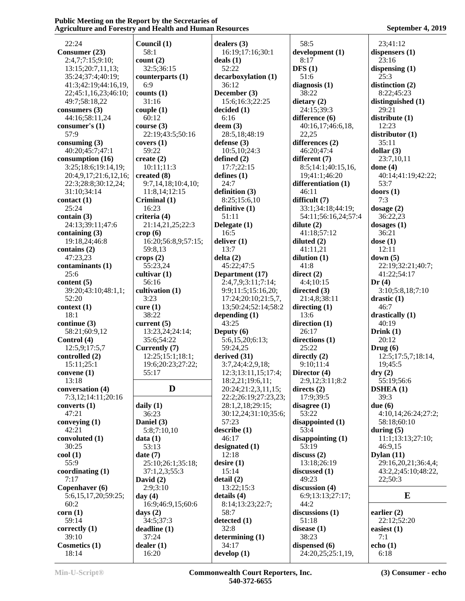| 22:24                 | Council (1)            | dealers $(3)$        | 58:5                | 23;41:12                     |  |
|-----------------------|------------------------|----------------------|---------------------|------------------------------|--|
| Consumer (23)         | 58:1                   | 16:19;17:16;30:1     | development (1)     | dispensers $(1)$             |  |
|                       |                        |                      |                     |                              |  |
| 2:4,7;7:15;9:10;      | count(2)               | deals $(1)$          | 8:17                | 23:16                        |  |
| 13:15;20:7,11,13;     | 32:5;36:15             | 52:22                | DFS(1)              | dispensing $(1)$             |  |
| 35:24;37:4;40:19;     | counterparts $(1)$     | decarboxylation (1)  | 51:6                | 25:3                         |  |
| 41:3:42:19:44:16.19.  | 6:9                    | 36:12                | diagnosis $(1)$     | distinction (2)              |  |
|                       | counts $(1)$           | December (3)         | 38:22               | 8:22;45:23                   |  |
| 22;45:1,16,23;46:10;  |                        |                      |                     |                              |  |
| 49:7;58:18,22         | 31:16                  | 15:6;16:3;22:25      | dietary $(2)$       | distinguished (1)            |  |
| consumers $(3)$       | couple(1)              | decided (1)          | 24:15;39:3          | 29:21                        |  |
| 44:16;58:11,24        | 60:12                  | 6:16                 | difference (6)      | distribute(1)                |  |
| consumer's $(1)$      | course $(3)$           | deem(3)              | 40:16,17;46:6,18,   | 12:23                        |  |
| 57:9                  |                        |                      | 22,25               | distribution(1)              |  |
|                       | 22:19;43:5;50:16       | 28:5,18;48:19        |                     |                              |  |
| consuming $(3)$       | covers $(1)$           | defense $(3)$        | differences (2)     | 35:11                        |  |
| 40:20;45:7;47:1       | 59:22                  | 10:5,10;24:3         | 46:20;47:4          | dollar $(3)$                 |  |
| consumption (16)      | create $(2)$           | defined $(2)$        | different (7)       | 23:7,10,11                   |  |
| 3:25;18:6;19:14,19;   | 10:11;11:3             | 17:7;22:15           | 8:5;14:1;40:15,16,  | done $(4)$                   |  |
|                       |                        |                      |                     |                              |  |
| 20:4,9,17;21:6,12,16; | created (8)            | defines $(1)$        | 19;41:1;46:20       | 40:14;41:19;42:22;           |  |
| 22:3;28:8;30:12,24;   | 9:7,14,18;10:4,10;     | 24:7                 | differentiation (1) | 53:7                         |  |
| 31:10;34:14           | 11:8,14;12:15          | definition $(3)$     | 46:11               | doors $(1)$                  |  |
| contact (1)           | Criminal (1)           | 8:25;15:6,10         | difficult (7)       | 7:3                          |  |
| 25:24                 | 16:23                  |                      |                     |                              |  |
|                       |                        | definitive (1)       | 33:1;34:18;44:19;   | dosage (2)                   |  |
| contain $(3)$         | criteria (4)           | 51:11                | 54:11;56:16,24;57:4 | 36:22,23                     |  |
| 24:13;39:11;47:6      | 21:14,21,25;22:3       | Delegate (1)         | dilute $(2)$        | dosages $(1)$                |  |
| containing $(3)$      | $\text{crop}(6)$       | 16:5                 | 41:18;57:12         | 36:21                        |  |
| 19:18,24;46:8         | 16:20;56:8,9;57:15;    | deliver $(1)$        | diluted $(2)$       | dose $(1)$                   |  |
|                       |                        | 13:7                 |                     | 12:11                        |  |
| contains $(2)$        | 59:8,13                |                      | 41:11,21            |                              |  |
| 47:23,23              | crops $(2)$            | delta(2)             | dilution $(1)$      | down(5)                      |  |
| contaminants (1)      | 55:23,24               | 45:22;47:5           | 41:8                | 22:19;32:21;40:7;            |  |
| 25:6                  | cultivar $(1)$         | Department (17)      | direct $(2)$        | 41:22;54:17                  |  |
| content $(5)$         | 56:16                  | 2:4,7,9;3:11;7:14;   | 4:4:10:15           | Dr(4)                        |  |
|                       |                        |                      |                     |                              |  |
| 39:20;43:10;48:1,1;   | cultivation (1)        | 9:9;11:5;15:16,20;   | directed $(3)$      | 3:10;5:8,18;7:10             |  |
| 52:20                 | 3:23                   | 17:24;20:10;21:5,7,  | 21:4,8;38:11        | drastic $(1)$                |  |
| context(1)            | curve(1)               | 13;50:24;52:14;58:2  | directing $(1)$     | 46:7                         |  |
| 18:1                  | 38:22                  | depending (1)        | 13:6                | drastically $(1)$            |  |
| continue $(3)$        | current $(5)$          | 43:25                | direction $(1)$     | 40:19                        |  |
|                       |                        |                      |                     |                              |  |
| 58:21;60:9,12         | 13:23,24;24:14;        | Deputy $(6)$         | 26:17               | Drink $(1)$                  |  |
| Control (4)           | 35:6;54:22             | 5:6,15,20;6:13;      | directions (1)      | 20:12                        |  |
| 12:5,9;17:5,7         | Currently (7)          | 59:24,25             | 25:22               | Drug(6)                      |  |
| controlled (2)        | 12:25;15:1;18:1;       | derived (31)         | directly $(2)$      | 12:5;17:5,7;18:14,           |  |
|                       |                        |                      | 9:10;11:4           |                              |  |
| 15:11;25:1            | 19:6;20:23;27:22;      | 3:7,24;4:2,9,18;     |                     | 19;45:5                      |  |
| convene $(1)$         | 55:17                  | 12:3;13:11,15;17:4;  | Director (4)        | $\mathbf{dry}\left(2\right)$ |  |
| 13:18                 |                        | 18:2,21;19:6,11;     | 2:9,12;3:11;8:2     | 55:19;56:6                   |  |
| conversation (4)      | D                      | 20:24;21:2,3,11,15;  | directs $(2)$       | DSHEA(1)                     |  |
| 7:3,12;14:11;20:16    |                        | 22:2;26:19;27:23,23; | 17:9;39:5           | 39:3                         |  |
|                       |                        |                      |                     |                              |  |
| converts $(1)$        | daily $(1)$            | 28:1,2,18;29:15;     | disagree $(1)$      | due $(6)$                    |  |
| 47:21                 | 36:23                  | 30:12,24;31:10;35:6; | 53:22               | 4:10,14;26:24;27:2;          |  |
| conveying $(1)$       | Daniel (3)             | 57:23                | disappointed $(1)$  | 58:18;60:10                  |  |
| 42:21                 | 5:8;7:10,10            | describe(1)          | 53:4                | during $(5)$                 |  |
| convoluted (1)        | data(1)                | 46:17                | disappointing(1)    | 11:1;13:13;27:10;            |  |
|                       |                        |                      |                     |                              |  |
| 30:25                 | 53:13                  | designated (1)       | 53:19               | 46:9,15                      |  |
| $\text{cool}(1)$      | date(7)                | 12:18                | discuss(2)          | Dylan $(11)$                 |  |
| 55:9                  | 25:10;26:1;35:18;      | desire(1)            | 13:18;26:19         | 29:16,20,21;36:4,4;          |  |
| coordinating $(1)$    | 37:1,2,3;55:3          | 15:14                | discussed $(1)$     | 43:2,2;45:10;48:22,          |  |
| 7:17                  | David $(2)$            | delta(2)             | 49:23               | 22;50:3                      |  |
|                       |                        |                      |                     |                              |  |
| Copenhaver (6)        | 2:9:3:10               | 13:22;15:3           | discussion (4)      |                              |  |
| 5:6,15,17,20;59:25;   | day $(4)$              | details $(4)$        | 6:9;13:13;27:17;    | E                            |  |
| 60:2                  | 16:9;46:9,15;60:6      | 8:14;13:23;22:7;     | 44:2                |                              |  |
| corr(1)               | days $(2)$             | 58:7                 | discussions $(1)$   | earlier $(2)$                |  |
|                       |                        |                      |                     |                              |  |
| 59:14                 | 34:5;37:3              | detected $(1)$       | 51:18               | 22:12;52:20                  |  |
| correctly $(1)$       | deadline (1)           | 32:8                 | disease $(1)$       | easiest $(1)$                |  |
| 39:10                 | 37:24                  | determining $(1)$    | 38:23               | 7:1                          |  |
| Cosmetics (1)         | $\text{d}$ ealer $(1)$ | 34:17                | dispensed $(6)$     | echo(1)                      |  |
|                       | 16:20                  | develop $(1)$        | 24:20,25;25:1,19,   | 6:18                         |  |
| 18:14                 |                        |                      |                     |                              |  |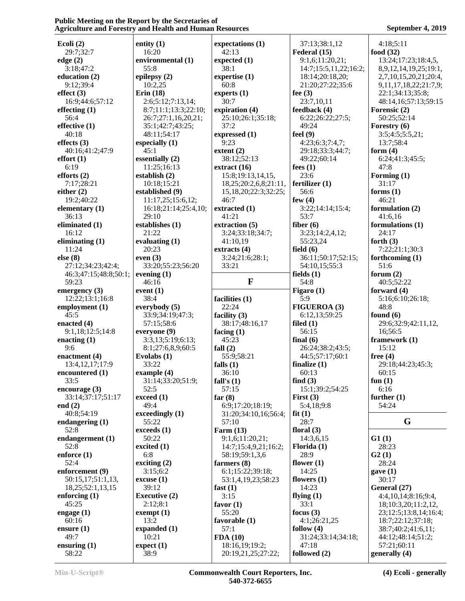| Ecoli $(2)$             | entity $(1)$         | expectations (1)                     | 37:13;38:1,12         | 4:18;5:11                    |
|-------------------------|----------------------|--------------------------------------|-----------------------|------------------------------|
| 29:7;32:7               | 16:20                | 42:13                                | Federal (15)          | food $(32)$                  |
| edge (2)                | environmental (1)    | expected $(1)$                       | 9:1,6;11:20,21;       | 13:24;17:23;18:4,5,          |
| 3:18;47:2               | 55:8                 | 38:1                                 | 14:7;15:5,11,22;16:2; | 8,9,12,14,19,25;19:1,        |
| education $(2)$         | epilepsy (2)         | expertise $(1)$                      | 18:14;20:18,20;       | 2,7,10,15,20,21;20:4,        |
| 9:12;39:4               | 10:2,25              | 60:8                                 | 21:20;27:22;35:6      | 9, 11, 17, 18, 22; 21: 7, 9; |
| effect $(3)$            | Erin $(18)$          | experts $(1)$                        | fee $(3)$             | 22:1;34:13;35:8;             |
| 16:9;44:6;57:12         | 2:6;5:12;7:13,14;    | 30:7                                 | 23:7,10,11            | 48:14,16;57:13;59:15         |
| effecting $(1)$         | 8:7;11:1;13:3;22:10; | expiration (4)                       | feedback (4)          | Forensic (2)                 |
| 56:4                    | 26:7;27:1,16,20,21;  | 25:10;26:1;35:18;                    | 6:22;26:22;27:5;      | 50:25;52:14                  |
| effective $(1)$         | 35:1;42:7;43:25;     | 37:2                                 | 49:24                 | Forestry (6)                 |
| 40:18                   | 48:11;54:17          | expressed (1)                        | feel $(9)$            | 3:5;4:5;5:5,21;              |
| effects $(3)$           | especially $(1)$     | 9:23                                 | 4:23;6:3;7:4,7;       | 13:7;58:4                    |
|                         | 45:1                 | extent $(2)$                         | 29:18;33:3;44:7;      | form $(4)$                   |
| 40:16;41:2;47:9         | essentially (2)      | 38:12;52:13                          |                       |                              |
| effort(1)               |                      |                                      | 49:22;60:14           | 6:24;41:3;45:5;              |
| 6:19                    | 11:25;16:13          | extract $(16)$                       | fees $(1)$            | 47:8                         |
| efforts $(2)$           | establish $(2)$      | 15:8;19:13,14,15,                    | 23:6                  | Forming (1)                  |
| 7:17;28:21              | 10:18;15:21          | 18,25;20:2,6,8;21:11,                | fertilizer $(1)$      | 31:17                        |
| either $(2)$            | established (9)      | 15,18,20;22:3;32:25;                 | 56:6                  | forms $(1)$                  |
| 19:2;40:22              | 11:17,25;15:6,12;    | 46:7                                 | few $(4)$             | 46:21                        |
| elementary $(1)$        | 16:18;21:14;25:4,10; | extracted (1)                        | 3:22;14:14;15:4;      | formulation (2)              |
| 36:13                   | 29:10                | 41:21                                | 53:7                  | 41:6,16                      |
| eliminated (1)          | establishes (1)      | extraction (5)                       | fiber $(6)$           | formulations $(1)$           |
| 16:12                   | 21:22                | 3:24;33:18;34:7;                     | 3:23;14:2,4,12;       | 24:17                        |
| eliminating $(1)$       | evaluating $(1)$     | 41:10,19                             | 55:23,24              | forth $(3)$                  |
| 11:24                   | 20:23                | extracts (4)                         | field $(6)$           | 7:22;21:1;30:3               |
| else(8)                 | even $(3)$           | 3:24;21:6;28:1;                      | 36:11;50:17;52:15;    | forthcoming $(1)$            |
| 27:12;34:23;42:4;       | 33:20;55:23;56:20    | 33:21                                | 54:10,15;55:3         | 51:6                         |
| 46:3;47:15;48:8;50:1;   | evening $(1)$        |                                      | fields $(1)$          | forum $(2)$                  |
|                         |                      | $\mathbf F$                          | 54:8                  |                              |
| 59:23                   | 46:16                |                                      |                       | 40:5;52:22                   |
| emergency $(3)$         | event $(1)$          |                                      | Figaro $(1)$          | forward $(4)$                |
| 12:22;13:1;16:8         | 38:4                 | facilities (1)                       | 5:9                   | 5:16;6:10;26:18;             |
| employment (1)          | everybody (5)        | 22:24                                | <b>FIGUEROA (3)</b>   | 48:8                         |
| 45:5                    | 33:9;34:19;47:3;     | facility $(3)$                       | 6:12,13;59:25         | found $(6)$                  |
| enacted $(4)$           | 57:15;58:6           | 38:17;48:16,17                       | filed $(1)$           | 29:6;32:9;42:11,12,          |
| 9:1,18;12:5;14:8        | everyone (9)         | facing $(1)$                         | 56:15                 | 16;56:5                      |
| enacting $(1)$          | 3:3,13;5:19;6:13;    | 45:23                                | final $(6)$           | framework (1)                |
| 9:6                     | 8:1;27:6,8,9;60:5    | fall $(2)$                           | 26:24;38:2;43:5;      | 15:12                        |
| enactment $(4)$         | Evolabs (1)          | 55:9;58:21                           | 44:5;57:17;60:1       | free $(4)$                   |
| 13:4, 12, 17; 17: 9     | 33:22                | falls $(1)$                          | finalize $(1)$        | 29:18;44:23;45:3;            |
| encountered (1)         | example (4)          | 36:10                                | 60:13                 | 60:15                        |
| 33:5                    | 31:14;33:20;51:9;    | fall's $(1)$                         | find $(3)$            | fun $(1)$                    |
| encourage $(3)$         | 52:5                 | 57:15                                | 15:1;39:2;54:25       | 6:16                         |
| 33:14;37:17;51:17       |                      | far $(8)$                            | First $(3)$           | further $(1)$                |
|                         | exceed (1)           |                                      |                       |                              |
| end $(2)$               | 49:4                 | 6:9;17:20;18:19;                     | 5:4,18;9:8            | 54:24                        |
| 40:8;54:19              | exceedingly (1)      | 31:20;34:10,16;56:4;                 | fit(1)                |                              |
| endangering $(1)$       | 55:22                | 57:10                                | 28:7                  | G                            |
| 52:8                    | exceeds(1)           | Farm $(13)$                          | floral $(3)$          |                              |
| endangerment (1)        | 50:22                | 9:1,6;11:20,21;                      | 14:3,6,15             | G1(1)                        |
| 52:8                    | excited $(1)$        | 14:7;15:4,9,21;16:2;                 | Florida (1)           | 28:23                        |
| enforce $(1)$           | 6:8                  | 58:19:59:1,3,6                       | 28:9                  | G2(1)                        |
| 52:4                    | exciting $(2)$       | farmers $(8)$                        | flower $(1)$          | 28:24                        |
| enforcement (9)         | 3:15;6:2             | 6:1;15:22;39:18;                     | 14:25                 | gave(1)                      |
| 50:15,17;51:1,13,       | excuse(1)            | 53:1,4,19,23;58:23                   | flowers $(1)$         | 30:17                        |
| 18, 25; 52: 1, 13, 15   | 39:12                | fast $(1)$                           | 14:23                 | General (27)                 |
| enforcing $(1)$         | <b>Executive (2)</b> | 3:15                                 | flying $(1)$          | 4:4,10,14;8:16;9:4,          |
| 45:25                   | 2:12;8:1             | favor $(1)$                          | 33:1                  | 18;10:3,20;11:2,12,          |
| engage $(1)$            | exempt $(1)$         | 55:20                                | focus $(3)$           |                              |
|                         | 13:2                 |                                      |                       | 23;12:5;13:8,14;16:4;        |
| 60:16                   |                      | favorable (1)                        | 4:1;26:21,25          | 18:7;22:12;37:18;            |
| ensure $(1)$            |                      |                                      |                       |                              |
|                         | expanded (1)         | 57:1                                 | follow $(4)$          | 38:7;40:2;41:6,11;           |
| 49:7                    | 10:21                | FDA(10)                              | 31:24;33:14;34:18;    | 44:12;48:14;51:2;            |
| ensuring $(1)$<br>58:22 | expect (1)<br>38:9   | 18:16,19;19:2;<br>20:19,21,25;27:22; | 47:18<br>followed (2) | 57:21;60:11<br>generally (4) |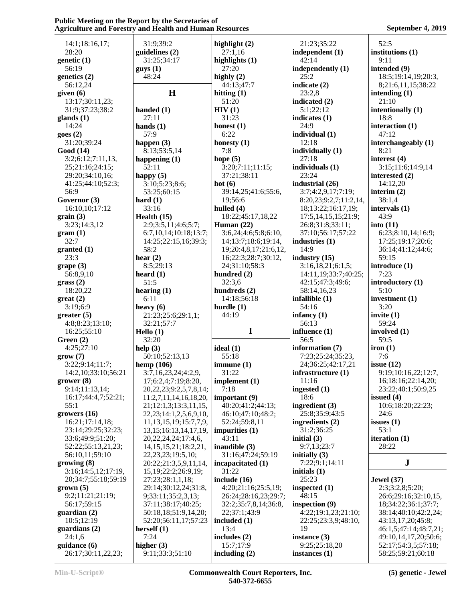|                                    | 31:9;39:2                                               | highlight $(2)$              | 21:23;35:22                    | 52:5                                     |
|------------------------------------|---------------------------------------------------------|------------------------------|--------------------------------|------------------------------------------|
| 14:1;18:16,17;<br>28:20            | guidelines (2)                                          | 27:1,16                      | independent (1)                | institutions (1)                         |
| genetic (1)                        | 31:25;34:17                                             | highlights (1)               | 42:14                          | 9:11                                     |
| 56:19                              | guys(1)                                                 | 27:20                        | independently (1)              | intended (9)                             |
| genetics (2)                       | 48:24                                                   | highly $(2)$                 | 25:2                           | 18:5;19:14,19;20:3,                      |
|                                    |                                                         | 44:13:47:7                   | indicate (2)                   |                                          |
| 56:12,24                           | H                                                       |                              |                                | 8;21:6,11,15;38:22<br>intending (1)      |
| given $(6)$                        |                                                         | hitting $(1)$                | 23:2,8                         |                                          |
| 13:17;30:11,23;                    |                                                         | 51:20                        | indicated (2)                  | 21:10                                    |
| 31:9;37:23;38:2                    | handed $(1)$                                            | HIV(1)                       | 5:1;22:12                      | intentionally (1)                        |
| glands $(1)$                       | 27:11                                                   | 31:23                        | indicates $(1)$                | 18:8                                     |
| 14:24                              | hands $(1)$                                             | honest $(1)$                 | 24:9                           | interaction $(1)$                        |
| goes(2)                            | 57:9                                                    | 6:22                         | individual $(1)$               | 47:12                                    |
| 31:20;39:24                        | happen $(3)$                                            | honesty $(1)$                | 12:18                          | interchangeably (1)                      |
| Good (14)                          | 8:13;53:5,14                                            | 7:8                          | individually (1)               | 8:21                                     |
| 3:2;6:12;7:11,13,                  | happening $(1)$                                         | hope $(5)$                   | 27:18                          | interest $(4)$                           |
| 25;21:16;24:15;                    | 52:11                                                   | 3:20;7:11;11:15;             | individuals (1)                | 3:15;11:6;14:9,14                        |
| 29:20;34:10,16;                    | happy $(5)$                                             | 37:21;38:11                  | 23:24                          | interested (2)                           |
| 41:25;44:10;52:3;                  | 3:10;5:23;8:6;                                          | hot(6)                       | industrial (26)                | 14:12,20                                 |
| 56:9                               | 53:25;60:15                                             | 39:14,25;41:6;55:6,          | 3:7;4:2,9,17;7:19;             | interim $(2)$                            |
| Governor (3)                       | hard $(1)$                                              | 19;56:6                      | 8:20,23;9:2,7;11:2,14,         | 38:1,4                                   |
| 16:10,10;17:12                     | 33:16                                                   | hulled $(4)$                 | 18;13:22;16:17,19;             | intervals (1)                            |
| grain(3)                           | Health $(15)$                                           | 18:22;45:17,18,22            | 17:5,14,15,15;21:9;            | 43:9                                     |
| 3:23;14:3,12                       | 2:9;3:5,11;4:6;5:7;                                     | Human $(22)$                 | 26:8;31:8;33:11;               | into $(11)$                              |
| gram(1)                            | 6:7,10,14;10:18;13:7;                                   | 3:6,24;4:6;5:8;6:10,         | 37:10;56:17;57:22              | 6:23;8:10,14;16:9;                       |
| 32:7                               | 14:25;22:15,16;39:3;                                    | 14;13:7;18:6;19:14,          | industries $(1)$               | 17:25;19:17;20:6;                        |
| granted (1)                        | 58:2                                                    | 19;20:4,8,17;21:6,12,        | 14:9                           | 36:14;41:12;44:6;                        |
| 23:3                               | hear $(2)$                                              | 16;22:3;28:7;30:12,          | industry $(15)$                | 59:15                                    |
| grape(3)                           | 8:5;29:13                                               | 24;31:10;58:3                | 3:16,18,21;6:1,5;              | introduce (1)                            |
| 56:8,9,10                          | heard $(1)$                                             | hundred (2)                  | 14:11,19;33:7;40:25;           | 7:23                                     |
| grass(2)                           | 51:5                                                    | 32:3,6                       | 42:15;47:3;49:6;               | introductory (1)                         |
| 18:20,22                           | hearing $(1)$                                           | hundreds (2)                 | 58:14,16,23                    | 5:10                                     |
| $gr(2)$                            | 6:11                                                    | 14:18;56:18                  | infallible $(1)$               | investment $(1)$                         |
| 3:19;6:9                           | heavy $(6)$                                             | hurdle $(1)$                 | 54:16                          | 3:20                                     |
| greater (5)                        | 21:23;25:6;29:1,1;                                      | 44:19                        | infancy $(1)$                  | invite $(1)$                             |
|                                    |                                                         |                              |                                |                                          |
| 4:8;8:23;13:10;                    | 32:21;57:7                                              |                              | 56:13                          | 59:24                                    |
| 16:25;55:10                        | Hello (1)                                               | I                            | influence (1)                  | involved $(1)$                           |
| Green $(2)$                        | 32:20                                                   |                              | 56:5                           | 59:5                                     |
| 4:25;27:10                         | help $(3)$                                              | ideal $(1)$                  | information (7)                | iron(1)                                  |
| grow(7)                            | 50:10;52:13,13                                          | 55:18                        | 7:23;25:24;35:23,              | 7:6                                      |
| 3:22;9:14;11:7;                    |                                                         | immune(1)                    | 24;36:25;42:17,21              | issue $(12)$                             |
| 14:2,10;33:10;56:21                | hemp (106)<br>3:7,16,23,24;4:2,9,                       | 31:22                        | infrastructure $(1)$           | 9:19;10:16,22;12:7,                      |
| grower(8)                          | 17;6:2,4;7:19;8:20,                                     | implement (1)                | 11:16                          | 16;18:16;22:14,20;                       |
| 9:14;11:13,14;                     | 20, 22, 23; 9: 2, 5, 7, 8, 14;                          | 7:18                         | ingested $(1)$                 | 23:22;40:1;50:9,25                       |
| 16:17;44:4,7;52:21;                | 11:2,7,11,14,16,18,20,                                  | important (9)                | 18:6                           | issued $(4)$                             |
| 55:1                               |                                                         | 40:20;41:2;44:13;            | ingredient $(3)$               | 10:6;18:20;22:23;                        |
|                                    | 21;12:1,3;13:3,11,15,<br>22, 23; 14: 1, 2, 5, 6, 9, 10, | 46:10;47:10;48:2;            | 25:8;35:9;43:5                 | 24:6                                     |
| growers (16)<br>16:21:17:14.18:    | 11, 13, 15, 19; 15: 7, 7, 9,                            | 52:24;59:8,11                | ingredients $(2)$              | issues $(1)$                             |
| 23:14;29:25;32:23;                 | 13, 15; 16: 13, 14, 17, 19,                             | impurities $(1)$             | 31:2;36:25                     | 53:1                                     |
| 33:6;49:9;51:20;                   |                                                         | 43:11                        | initial $(3)$                  |                                          |
|                                    | 20, 22, 24, 24; 17: 4, 6,                               |                              | 9:7,13;23:7                    | iteration (1)<br>28:22                   |
| 52:22;55:13,21,23;                 | 14, 15, 15, 21; 18: 2, 21,                              | inaudible $(3)$              |                                |                                          |
| 56:10,11;59:10                     | 22, 23, 23; 19: 5, 10;                                  | 31:16;47:24;59:19            | initially $(3)$                |                                          |
| growing(8)                         | 20:22;21:3,5,9,11,14,                                   | incapacitated (1)            | 7:22;9:1;14:11                 | ${\bf J}$                                |
| 3:16;14:5,12;17:19,                | 15, 19; 22: 2; 26: 9, 19;                               | 31:22                        | initials $(1)$                 |                                          |
| 20;34:7;55:18;59:19                | 27:23;28:1,1,18;                                        | include (16)                 | 25:23                          | <b>Jewel</b> (37)                        |
| $grown$ (5)                        | 29:14;30:12,24;31:8,                                    | 4:20;21:16;25:5,19;          | inspected $(1)$                | 2:3;3:2,8;5:20;                          |
| 9:2;11:21;21:19;                   | 9;33:11;35:2,3,13;                                      | 26:24;28:16,23;29:7;         | 48:15                          | 26:6;29:16;32:10,15,                     |
| 56:17;59:15                        | 37:11;38:17;40:25;                                      | 32:2;35:7,8,14;36:8,         | inspection $(9)$               | 18;34:22;36:1;37:7;                      |
| guardian $(2)$                     | 50:18,18;51:9,14,20;                                    | 22;37:1;43:9                 | 4:22;19:1,23;21:10;            | 38:14;40:10;42:2,24;                     |
| 10:5;12:19                         | 52:20;56:11,17;57:23                                    | included (1)                 | 22:25;23:3,9;48:10,            | 43:13,17,20;45:8;                        |
| guardians $(2)$                    | herself $(1)$                                           | 13:4                         | 19                             | 46:1,5;47:14;48:7,21;                    |
| 24:1,6                             | 7:24                                                    | includes $(2)$               | instance $(3)$                 | 49:10,14,17,20;50:6;                     |
| guidance (6)<br>26:17;30:11,22,23; | higher $(3)$<br>9:11;33:3;51:10                         | 15:7;17:9<br>including $(2)$ | 9:25;25:18,20<br>instances (1) | 52:17;54:3,5;57:18;<br>58:25;59:21;60:18 |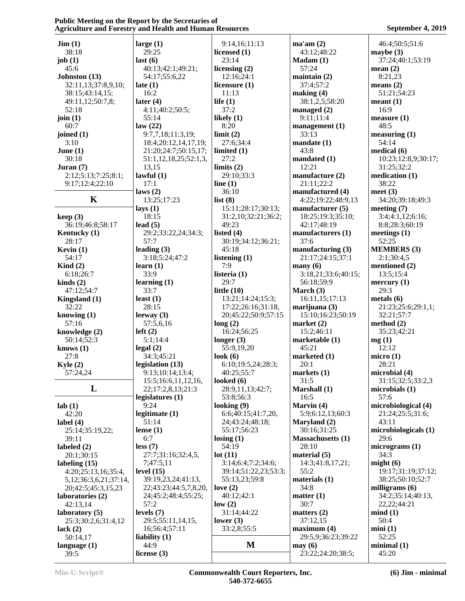| $\text{Jim} (1)$                       | large $(1)$           | 9:14,16;11:13         | ma'am(2)                 | 46:4;50:5;51:6       |
|----------------------------------------|-----------------------|-----------------------|--------------------------|----------------------|
| 38:18                                  | 29:25                 | licensed (1)          | 43:12;48:22              | maybe $(3)$          |
| job $(1)$                              | last(6)               | 23:14                 | $Madam (1)$              | 37:24;40:1;53:19     |
| 45:6                                   | 40:13;42:1;49:21;     | licensing $(2)$       | 57:24                    | mean $(2)$           |
| Johnston (13)                          | 54:17;55:6,22         | 12:16;24:1            | maintain $(2)$           | 8:21,23              |
| 32:11,13;37:8,9,10;                    | late $(1)$            | licensure (1)         | 37:4;57:2                | means $(2)$          |
| 38:15;43:14,15;                        | 16:2                  | 11:13                 | making (4)               | 51:21;54:23          |
| 49:11,12;50:7,8;                       | later $(4)$           | life $(1)$            | 38:1,2,5;58:20           | meant(1)             |
| 52:18                                  | 4:11;40:2;50:5;       | 37:2                  | managed $(2)$            | 16:9                 |
| join $(1)$                             | 55:14                 | likely $(1)$          | 9:11;11:4                | measure(1)           |
| 60:7                                   | law(22)               | 8:20                  | management (1)           | 48:5                 |
| joined $(1)$                           | 9:7,7,18;11:3,19;     | limit(2)              | 33:13                    | measuring (1)        |
| 3:10                                   | 18:4;20:12,14,17,19;  | 27:6;34:4             | mandate(1)               | 54:14                |
| June $(1)$                             | 21:20;24:7;50:15,17;  | limited $(1)$         | 43:8                     | medical (6)          |
| 30:18                                  | 51:1,12,18,25;52:1,3, | 27:2                  | mandated (1)             | 10:23;12:8,9;30:17;  |
| Juran $(7)$                            | 13,15                 | limits $(2)$          | 12:21                    | 31:25;32:2           |
| 2:12;5:13;7:25;8:1;                    | lawful $(1)$          | 29:10;33:3            | manufacture $(2)$        | medication (1)       |
| 9:17;12:4;22:10                        | 17:1                  | line $(1)$            | 21:11;22:2               | 38:22                |
|                                        | laws $(2)$            | 36:10                 | manufactured (4)         | meet $(3)$           |
| K                                      | 13:25;17:23           | list(8)               | 4:22;19:22;48:9,13       | 34:20;39:18;49:3     |
|                                        | lays $(1)$            | 15:11;28:17;30:13;    | manufacturer (5)         | meeting $(7)$        |
| keep(3)                                | 18:15                 | 31:2,10;32:21;36:2;   | 18:25;19:3;35:10;        | 3:4;4:1,12;6:16;     |
| 36:19;46:8;58:17                       | lead $(5)$            | 49:23                 | 42:17;48:19              | 8:8;28:3;60:19       |
| Kentucky (1)                           | 29:2;33:22,24;34:3;   | listed $(4)$          | manufacturers (1)        | meetings $(1)$       |
| 28:17                                  | 57:7                  | 30:19;34:12;36:21;    | 37:6                     | 52:25                |
| Kevin $(1)$                            | leading $(3)$         | 45:18                 | manufacturing $(3)$      | <b>MEMBERS</b> (3)   |
| 54:17                                  | 3:18;5:24;47:2        | listening $(1)$       | 21:17;24:15;37:1         | 2:1;30:4,5           |
| Kind $(2)$                             | learn $(1)$           | 7:9                   | $\mathbf{many}(6)$       | mentioned (2)        |
| 6:18;26:7                              | 33:9                  | listeria (1)          | 3:18,21;33:6;40:15;      | 13:5;15:4            |
| $\text{kinds}(2)$                      | learning $(1)$        | 29:7                  | 56:18;59:9               | mercury (1)          |
| 47:12:54:7                             | 33:7                  | little $(10)$         | March $(3)$              | 29:3                 |
| Kingsland (1)                          | least $(1)$           | 13:21;14:24;15:3;     | 16:11,15;17:13           | metals $(6)$         |
| 32:22                                  | 28:15                 | 17:22;26:16;31:18,    | marijuana (3)            | 21:23;25:6;29:1,1;   |
| knowing $(1)$                          | leeway $(3)$          | 20;45:22;50:9;57:15   | 15:10;16:23;50:19        | 32:21;57:7           |
| 57:16                                  | 57:5,6,16             | long(2)               | market $(2)$             | method $(2)$         |
| knowledge (2)                          | left(2)               | 16:24;56:25           | 15:2;46:11               | 35:23;42:21          |
| 50:14;52:3                             | 5:1;14:4              | longer $(3)$          | marketable (1)           | mg(1)                |
| knows $(1)$                            | legal(2)              | 55:9,19,20            | 45:21                    | 12:12                |
| 27:8                                   | 34:3;45:21            | look $(6)$            | marketed $(1)$           | micro $(1)$          |
| Kyle $(2)$                             | legislation (13)      | 6:10;19:5,24;28:3;    | 20:1                     | 28:21                |
| 57:24,24                               | 9:13;10:14;13:4;      | 40:25;55:7            | markets $(1)$            | microbial (4)        |
|                                        | 15:5;16:6,11,12,16,   | looked (6)            | 31:5                     | 31:15;32:5;33:2,3    |
| L                                      | 22;17:2,8,13;21:3     | 28:9,11,13;42:7;      | Marshall (1)             | microbials (1)       |
|                                        | legislatures $(1)$    | 53:8;56:3             | 16:5                     | 57:6                 |
| lab(1)                                 | 9:24                  | looking $(9)$         | Marvin (4)               | microbiological (4)  |
| 42:20                                  | legitimate $(1)$      | 6:6;40:15;41:7,20,    | 5:9;6:12,13;60:3         | 21:24;25:5;31:6;     |
| label $(4)$                            | 51:14                 | 24;43:24;48:18;       | Maryland (2)             | 43:11                |
| 25:14;35:19,22;                        | lense $(1)$           | 55:17;56:23           | 30:16;31:25              | microbiologicals (1) |
| 39:11                                  | 6:7                   | $\text{losing } (1)$  | <b>Massachusetts (1)</b> | 29:6                 |
| labeled $(2)$                          | less(7)               | 54:19                 | 28:10                    | micrograms (1)       |
| 20:1;30:15                             | 27:7;31:16;32:4,5,    | lot(11)               | material $(5)$           | 34:3                 |
| labeling $(15)$                        | 7;47:5,11             | 3:14;6:4;7:2;34:6;    | 14:3;41:8,17,21;         | might(6)             |
| 4:20;25:13,16;35:4,                    | level $(15)$          | 39:14;51:22,23;53:3;  | 55:2                     | 19:17;31:19;37:12;   |
|                                        | 39:19,23,24;41:13,    | 55:13,23;59:8         | materials $(1)$          | 38:25;50:10;52:7     |
| 5, 12; 36: 3, 6, 21; 37: 14,           | 22;43:23;44:5,7,8,20, | love $(2)$            | 34:8                     | milligrams $(6)$     |
| 20;42:5;45:3,15,23<br>laboratories (2) | 24;45:2;48:4;55:25;   | 40:12;42:1            | matter (1)               | 34:2;35:14;40:13,    |
|                                        | 57:2                  |                       | 30:7                     | 22, 22; 44: 21       |
| 42:13,14                               | levels $(7)$          | low(2)<br>31:14;44:22 |                          | mind(1)              |
| laboratory (5)                         |                       |                       | matters $(2)$            | 50:4                 |
| 25:3;30:2,6;31:4,12                    | 29:5;55:11,14,15,     | lower $(3)$           | 37:12,15                 |                      |
| lack $(2)$                             | 16;56:4;57:11         | 33:2,8;55:5           | maximum(4)               | min(1)               |
| 50:14,17                               | liability $(1)$       | M                     | 29:5,9;36:23;39:22       | 52:25                |
| language $(1)$                         | 44:9                  |                       | may(6)                   | minimal(1)           |
| 39:5                                   | license $(3)$         |                       | 23:22;24:20;38:5;        | 45:20                |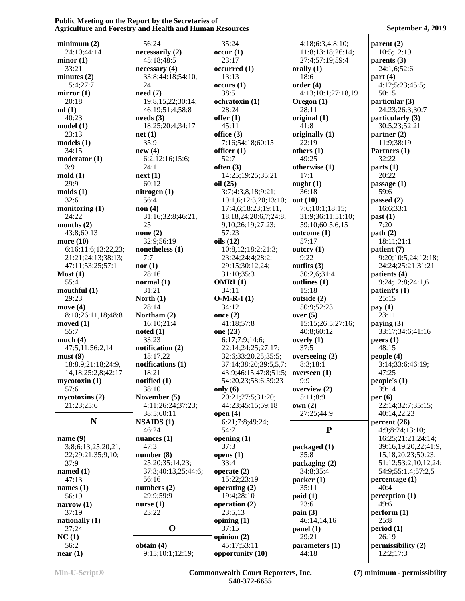| minimum(2)               | 56:24                | 35:24                                | 4:18;6:3,4;8:10;    | parent(2)            |  |
|--------------------------|----------------------|--------------------------------------|---------------------|----------------------|--|
| 24:10;44:14              | necessarily (2)      | occur(1)                             | 11:8;13:18;26:14;   | 10:5;12:19           |  |
| minor(1)                 | 45:18:48:5           | 23:17                                | 27:4;57:19;59:4     | parents $(3)$        |  |
| 33:21                    | necessary(4)         | occurred(1)                          | orally $(1)$        | 24:1,6;52:6          |  |
| minutes $(2)$            | 33:8;44:18;54:10,    | 13:13                                | 18:6                | part $(4)$           |  |
|                          | 24                   |                                      |                     |                      |  |
| 15:4;27:7                |                      | occurs(1)                            | order(4)            | 4:12;5:23;45:5;      |  |
| mirror $(1)$             | need(7)              | 38:5                                 | 4:13;10:1;27:18,19  | 50:15                |  |
| 20:18                    | 19:8, 15, 22; 30:14; | ochratoxin (1)                       | Oregon $(1)$        | particular (3)       |  |
| ml(1)                    | 46:19;51:4;58:8      | 28:24                                | 28:11               | 24:23;26:3;30:7      |  |
| 40:23                    | needs(3)             | offer $(1)$                          | original $(1)$      | particularly (3)     |  |
| model(1)                 | 18:25;20:4;34:17     | 45:11                                | 41:8                | 30:5,23;52:21        |  |
| 23:13                    | net(1)               | office (3)                           | originally $(1)$    | partner $(2)$        |  |
| models(1)                | 35:9                 | 7:16;54:18;60:15                     | 22:19               | 11:9;38:19           |  |
| 34:15                    | new(4)               | officer $(1)$                        | others $(1)$        | Partners (1)         |  |
| modern (1)               | 6:2;12:16;15:6;      | 52:7                                 | 49:25               | 32:22                |  |
| 3:9                      | 24:1                 | often $(3)$                          | otherwise (1)       | parts(1)             |  |
| mod(1)                   | next(1)              | 14:25;19:25;35:21                    | 17:1                | 20:22                |  |
| 29:9                     | 60:12                | oil $(25)$                           | ought $(1)$         | passage $(1)$        |  |
| $\text{molds}$ $(1)$     | nitrogen $(1)$       | 3:7;4:3,8,18;9:21;                   | 36:18               | 59:6                 |  |
| 32:6                     |                      |                                      |                     |                      |  |
|                          | 56:4                 | 10:1,6;12:3,20;13:10;                | out $(10)$          | passed $(2)$         |  |
| monitoring $(1)$         | non(4)               | 17:4,6;18:23;19:11,                  | 7:6;10:1;18:15;     | 16:6;33:1            |  |
| 24:22                    | 31:16;32:8;46:21,    | 18, 18, 24; 20: 6, 7; 24: 8,         | 31:9;36:11;51:10;   | past(1)              |  |
| months $(2)$             | 25                   | 9,10;26:19;27:23;                    | 59:10;60:5,6,15     | 7:20                 |  |
| 43:8;60:13               | none $(2)$           | 57:23                                | outcome(1)          | path(2)              |  |
| more $(10)$              | 32:9;56:19           | oils (12)                            | 57:17               | 18:11;21:1           |  |
| 6:16;11:6;13:22,23;      | nonetheless (1)      | 10:8,12;18:2;21:3;                   | outcry $(1)$        | patient (7)          |  |
| 21:21;24:13;38:13;       | 7:7                  | 23:24;24:4;28:2;                     | 9:22                | 9:20;10:5,24;12:18;  |  |
| 47:11;53:25;57:1         | nor(1)               | 29:15;30:12,24;                      | outfits (3)         | 24:24;25:21;31:21    |  |
| Most (1)                 | 28:16                | 31:10;35:3                           | 30:2,6;31:4         | patients (4)         |  |
| 55:4                     | normal $(1)$         | OMRI(1)                              | outlines (1)        | 9:24;12:8;24:1,6     |  |
| mouthful $(1)$           | 31:21                | 34:11                                | 15:18               | patient's $(1)$      |  |
| 29:23                    | North $(1)$          | $O-M-R-I(1)$                         | outside (2)         | 25:15                |  |
| move $(4)$               | 28:14                | 34:12                                | 50:9;52:23          | pay(1)               |  |
| 8:10;26:11,18;48:8       | Northam (2)          | once $(2)$                           | over $(5)$          | 23:11                |  |
|                          | 16:10;21:4           | 41:18;57:8                           | 15:15;26:5;27:16;   | paying $(3)$         |  |
| moved $(1)$              |                      |                                      |                     |                      |  |
| 55:7                     | noted(1)             | one (23)                             | 40:8;60:12          | 33:17;34:6;41:16     |  |
| much $(4)$               | 33:23                | 6:17;7:9;14:6;                       | overly $(1)$        | peers(1)             |  |
| 47:5,11;56:2,14          | notification $(2)$   | 22:14;24:25;27:17;                   | 37:5                | 48:15                |  |
| must(9)                  | 18:17,22             | 32:6;33:20,25;35:5;                  | overseeing $(2)$    | people (4)           |  |
| 18:8,9;21:18;24:9,       | notifications $(1)$  | 37:14;38:20;39:5,5,7;                | 8:3;18:1            | 3:14;33:6;46:19;     |  |
| 14, 18; 25: 2, 8; 42: 17 | 18:21                | $43:9;46:15;47:8;51:5;$ overseen (1) |                     | 47:25                |  |
| mycotoxin(1)             | notified $(1)$       | 54:20,23;58:6;59:23                  | 9:9                 | people's $(1)$       |  |
| 57:6                     | 38:10                | only $(6)$                           | overview (2)        | 39:14                |  |
| mycotoxins(2)            | November (5)         | 20:21;27:5;31:20;                    | 5:11;8:9            | per $(6)$            |  |
| 21:23;25:6               | 4:11;26:24;37:23;    | 44:23;45:15;59:18                    | own(2)              | 22:14;32:7;35:15;    |  |
|                          | 38:5;60:11           | open $(4)$                           | 27:25;44:9          | 40:14,22,23          |  |
| N                        | NSAIDS(1)            | 6:21;7:8;49:24;                      |                     | percent (26)         |  |
|                          | 46:24                | 54:7                                 | ${\bf P}$           | 4:9;8:24;13:10;      |  |
| name $(9)$               | nuances $(1)$        | opening $(1)$                        |                     | 16:25;21:21;24:14;   |  |
|                          | 47:3                 | 37:3                                 | packaged (1)        | 39:16,19,20,22;41:9, |  |
| 3:8;6:13;25:20,21,       |                      |                                      |                     |                      |  |
| 22;29:21;35:9,10;        | number $(8)$         | opens $(1)$                          | 35:8                | 15,18,20,23;50:23;   |  |
| 37:9                     | 25:20;35:14,23;      | 33:4                                 | packaging (2)       | 51:12;53:2,10,12,24; |  |
| named $(1)$              | 37:3;40:13,25;44:6;  | operate $(2)$                        | 34:8;35:4           | 54:9;55:1,4;57:2,5   |  |
| 47:13                    | 56:16                | 15:22;23:19                          | packet(1)           | percentage(1)        |  |
| names $(1)$              | numbers $(2)$        | operating $(2)$                      | 35:11               | 40:4                 |  |
| 56:19                    | 29:9;59:9            | 19:4:28:10                           | paid(1)             | perception (1)       |  |
| narrow $(1)$             | nurse $(1)$          | operation (2)                        | 23:6                | 49:6                 |  |
| 37:19                    | 23:22                | 23:5,13                              | $\textbf{pain} (3)$ | perform (1)          |  |
| nationally $(1)$         |                      | opining $(1)$                        | 46:14,14,16         | 25:8                 |  |
| 27:24                    | $\mathbf 0$          | 37:15                                | panel (1)           | period(1)            |  |
|                          |                      |                                      | 29:21               | 26:19                |  |
| NC(1)                    |                      | opinion (2)                          |                     |                      |  |
| 56:2                     | obtain $(4)$         | 45:17;53:11                          | parameters (1)      | permissibility (2)   |  |
| near(1)                  | 9:15;10:1;12:19;     | opportunity (10)                     | 44:18               | 12:2;17:3            |  |

**Min-U-Script® Commonwealth Court Reporters, Inc. 540-372-6655**

**(7) minimum - permissibility**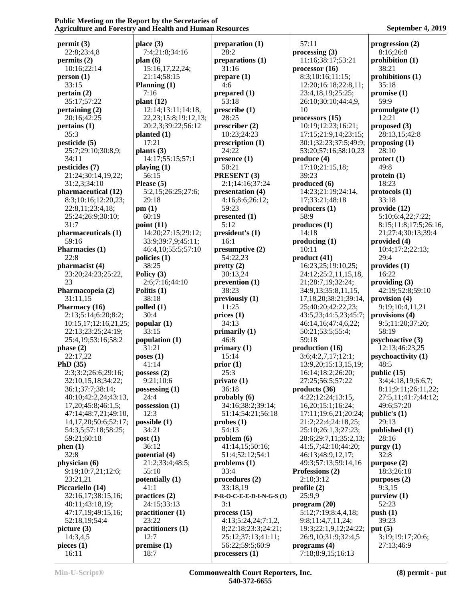**permit (3)** 22:8;23:4,8 **permits (2)** 10:16;22:14 **person (1)** 33:15 **pertain (2)** 35:17;57:22 **pertaining (2)** 20:16;42:25 **pertains (1)** 35:3 **pesticide (5)** 25:7;29:10;30:8,9; 34:11 **pesticides (7)** 21:24;30:14,19,22; 31:2,3;34:10 **pharmaceutical (12)** 8:3;10:16;12:20,23; 22:8,11;23:4,18; 25:24;26:9;30:10; 31:7 **pharmaceuticals (1)** 59:16 **Pharmacies (1)** 22:8 **pharmacist (4)** 23:20;24:23;25:22, 23 **Pharmacopeia (2)** 31:11,15 **Pharmacy (16)** 2:13;5:14;6:20;8:2; 10:15,17;12:16,21,25; 22:13;23:25;24:19; 25:4,19;53:16;58:2 **phase (2)** 22:17,22 **PhD (35)** 2:3;3:2;26:6;29:16; 32:10,15,18;34:22; 36:1;37:7;38:14; 40:10;42:2,24;43:13, 17,20;45:8;46:1,5; 47:14;48:7,21;49:10, 14,17,20;50:6;52:17; 54:3,5;57:18;58:25; 59:21;60:18 **phen (1)** 32:8 **physician (6)** 9:19;10:7,21;12:6; 23:21,21 **Piccariello (14)** 32:16,17;38:15,16; 40:11;43:18,19; 47:17,19;49:15,16; 52:18,19;54:4 **picture (3)** 14:3,4,5 **pieces (1)** 16:11 **place (3)** 7:4;21:8;34:16 **plan (6)** 15:16,17,22,24; 21:14;58:15 **Planning (1)** 7:16 **plant (12)** 12:14;13:11;14:18, 22,23;15:8;19:12,13; 20:2,3;39:22;56:12 **planted (1)** 17:21 **plants (3)** 14:17;55:15;57:1 **playing (1)** 56:15 **Please (5)** 5:2,15;26:25;27:6; 29:18 **pm (1)** 60:19 **point (11)** 14:20;27:15;29:12; 33:9;39:7,9;45:11; 46:4,10;55:5;57:10 **policies (1)** 38:25 **Policy (3)** 2:6;7:16;44:10 **Politis (1)** 38:18 **polled (1)** 30:4 **popular (1)** 33:15 **population (1)** 31:21 **poses (1)** 41:14 **possess (2)** 9:21;10:6 **possessing (1)** 24:4 **possession (1)** 12:3 **possible (1)** 34:21 **post (1)** 36:12 **potential (4)** 21:2;33:4;48:5; 55:10 **potentially (1)** 41:1 **practices (2)** 24:15;33:13 **practitioner (1)** 23:22 **practitioners (1)** 12:7 **premise (1)** 18:7

**preparation (1)** 28:2 **preparations (1)** 31:16 **prepare (1)** 4:6 **prepared (1)** 53:18 **prescribe (1)** 28:25 **prescriber (2)** 10:23;24:23 **prescription (1)** 24:22 **presence (1)** 50:21 **PRESENT (3)** 2:1;14:16;37:24 **presentation (4)** 4:16;8:6;26:12; 59:23 **presented (1)** 5:12 **president's (1)** 16:1 **presumptive (2)** 54:22,23 **pretty (2)** 30:13,24 **prevention (1)** 38:23 **previously (1)** 11:25 **prices (1)** 34:13 **primarily (1)** 46:8 **primary (1)** 15:14 **prior (1)** 25:3 **private (1)** 36:18 **probably (6)** 34:16;38:2;39:14; 51:14;54:21;56:18 **probes (1)** 54:13 **problem (6)** 41:14,15;50:16; 51:4;52:12;54:1 **problems (1)** 33:4 **procedures (2)** 33:18,19 **P-R-O-C-E-E-D-I-N-G-S (1)** 3:1 **process (15)** 4:13;5:24,24;7:1,2, 8;22:18;23:3;24:21; 25:12;37:13;41:11; 56:22;59:5;60:9 **processers (1)**

 57:11 **processing (3)** 11:16;38:17;53:21 **processor (16)** 8:3;10:16;11:15; 12:20;16:18;22:8,11; 23:4,18,19;25:25; 26:10;30:10;44:4,9, 10 **processors (15)** 10:19;12:23;16:21; 17:15;21:9,14;23:15; 30:1;32:23;37:5;49:9; 53:20;57:16;58:10,23 **produce (4)** 17:10;21:15,18; 39:23 **produced (6)** 14:23;21:19;24:14, 17;33:21;48:18 **producers (1)** 58:9 **produces (1)** 14:18 **producing (1)** 10:11 **product (41)** 16:23,25;19:10,25; 24:12;25:2,11,15,18, 21;28:7,19;32:24; 34:9,13;35:8,11,15, 17,18,20;38:21;39:14, 25;40:20;42:22,23; 43:5,23;44:5,23;45:7; 46:14,16;47:4,6,22; 50:21;53:5;55:4; 59:18 **production (16)** 3:6;4:2,7,17;12:1; 13:9,20;15:13,15,19; 16:14;18:2;26:20; 27:25;56:5;57:22 **products (36)** 4:22;12:24;13:15, 16,20;15:1;16:24; 17:11;19:6,21;20:24; 21:2;22:4;24:18,25; 25:10;26:1,3;27:23; 28:6;29:7,11;35:2,13; 41:5,7;42:10;44:20; 46:13;48:9,12,17; 49:3;57:13;59:14,16 **Professions (2)** 2:10;3:12 **profile (2)** 25:9,9 **program (20)** 5:12;7:19;8:4,4,18; 9:8;11:4,7,11,24; 19:3;22:1,9,12;24:22; 26:9,10;31:9;32:4,5 **programs (4)** 7:18;8:9,15;16:13

**progression (2)** 8:16;26:8 **prohibition (1)** 38:21 **prohibitions (1)** 35:18 **promise (1)** 59:9 **promulgate (1)** 12:21 **proposed (3)** 28:13,15;42:8 **proposing (1)** 28:10 **protect (1)** 49:8 **protein (1)** 18:23 **protocols (1)** 33:18 **provide (12)** 5:10;6:4,22;7:22; 8:15;11:8;17:5;26:16, 21;27:4;30:13;39:4 **provided (4)** 10:4;17:2;22:13; 29:4 **provides (1)** 16:22 **providing (3)** 42:19;52:8;59:10 **provision (4)** 9:19;10:4,11,21 **provisions (4)** 9:5;11:20;37:20; 58:19 **psychoactive (3)** 12:13;46:23,25 **psychoactivity (1)** 48:5 **public (15)** 3:4;4:18,19;6:6,7; 8:11;9:11;26:11,22; 27:5,11;41:7;44:12; 49:6;57:20 **public's (1)** 29:13 **published (1)** 28:16 **purgy (1)** 32:8 **purpose (2)** 18:3;26:18 **purposes (2)** 9:3,15 **purview (1)** 52:23 **push (1)** 39:23 **put (5)** 3:19;19:17;20:6; 27:13;46:9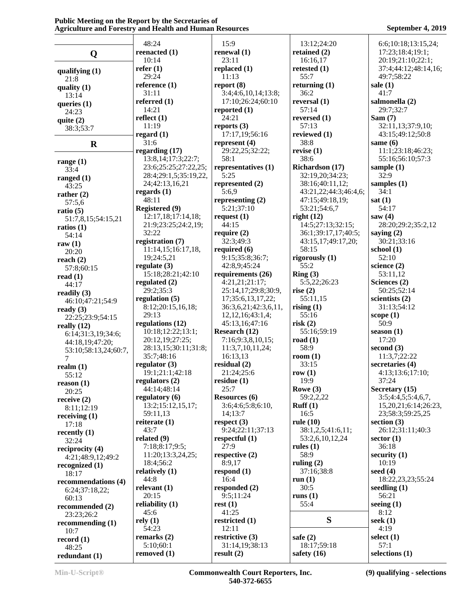|                                 | 48:24                                     | 15:9                       | 13:12;24:20                               | 6:6;10:18;13:15,24;         |
|---------------------------------|-------------------------------------------|----------------------------|-------------------------------------------|-----------------------------|
| Q                               | reenacted $(1)$                           | renewal $(1)$              | retained $(2)$                            | 17:23;18:4;19:1;            |
|                                 | 10:14                                     | 23:11                      | 16:16,17                                  | 20:19;21:10;22:1;           |
| qualifying $(1)$                | refer $(1)$                               | replaced $(1)$             | retested $(1)$                            | 37:4;44:12;48:14,16;        |
| 21:8                            | 29:24                                     | 11:13                      | 55:7                                      | 49:7;58:22                  |
| quality $(1)$                   | reference $(1)$                           | report $(8)$               | returning $(1)$                           | sale $(1)$                  |
| 13:14                           | 31:11                                     | 3:4;4:6,10,14;13:8;        | 36:2                                      | 41:7                        |
| queries $(1)$                   | referred $(1)$                            | 17:10;26:24;60:10          | reversal $(1)$                            | salmonella (2)              |
| 24:23                           | 14:21                                     | reported $(1)$             | 57:14                                     | 29:7;32:7                   |
| quite $(2)$                     | reflect $(1)$                             | 24:21                      | reversed $(1)$                            | Sam(7)                      |
| 38:3:53:7                       | 11:19                                     | reports $(3)$              | 57:13                                     | 32:11,13;37:9,10;           |
|                                 | regard $(1)$                              | 17:17,19;56:16             | reviewed (1)                              | 43:15;49:12;50:8            |
| $\mathbf R$                     | 31:6                                      | represent $(4)$            | 38:8                                      | same $(6)$                  |
|                                 | regarding $(17)$                          | 29:22,25;32:22;            | revise $(1)$                              | 11:1;23:18;46:23;           |
| range $(1)$                     | 13:8, 14; 17:3; 22:7;                     | 58:1                       | 38:6                                      | 55:16;56:10;57:3            |
| 33:4                            | 23:6;25:25;27:22,25;                      | representatives (1)        | Richardson (17)                           | sample $(1)$                |
| ranged $(1)$                    | 28:4;29:1,5;35:19,22,                     | 5:25                       | 32:19,20;34:23;                           | 32:9                        |
| 43:25                           | 24;42:13,16,21                            | represented (2)            | 38:16;40:11,12;                           | samples $(1)$               |
| rather $(2)$                    | regards $(1)$                             | 5:6,9                      | 43:21,22;44:3;46:4,6;                     | 34:1                        |
| 57:5,6                          | 48:11                                     | representing $(2)$         | 47:15;49:18,19;                           | sat(1)                      |
| ratio $(5)$                     | Registered (9)                            | 5:21;37:10                 | 53:21;54:6,7                              | 54:17                       |
| 51:7,8,15;54:15,21              | 12:17,18;17:14,18;<br>21:9;23:25;24:2,19; | request $(1)$<br>44:15     | right $(12)$<br>14:5;27:13;32:15;         | saw $(4)$                   |
| ratios $(1)$                    | 32:22                                     | require $(2)$              |                                           | 28:20;29:2;35:2,12          |
| 54:14                           | registration (7)                          | 32:3;49:3                  | 36:1;39:17,17;40:5;<br>43:15,17;49:17,20; | saying $(2)$<br>30:21;33:16 |
| raw $(1)$                       | 11:14,15;16:17,18,                        | required $(6)$             | 58:15                                     | school $(1)$                |
| 20:20                           | 19;24:5,21                                | 9:15;35:8;36:7;            | rigorously (1)                            | 52:10                       |
| reach $(2)$                     | regulate $(3)$                            | 42:8,9;45:24               | 55:2                                      | science $(2)$               |
| 57:8;60:15                      | 15:18;28:21;42:10                         | requirements (26)          | Ring(3)                                   | 53:11,12                    |
| read $(1)$                      | regulated $(2)$                           | 4:21,21;21:17;             | 5:5,22;26:23                              | Sciences (2)                |
| 44:17                           | 29:2;35:3                                 | 25:14,17;29:8;30:9,        | rise $(2)$                                | 50:25;52:14                 |
| readily $(3)$                   | regulation $(5)$                          | 17;35:6,13,17,22;          | 55:11,15                                  | scientists (2)              |
| 46:10;47:21;54:9                | 8:12;20:15,16,18;                         | 36:3,6,21;42:3,6,11,       | rising $(1)$                              | 31:13:54:12                 |
| ready $(3)$<br>22:25;23:9;54:15 | 29:13                                     | 12, 12, 16; 43: 1, 4;      | 55:16                                     | scope $(1)$                 |
| really $(12)$                   | regulations (12)                          | 45:13,16;47:16             | risk(2)                                   | 50:9                        |
| 6:14;31:3,19;34:6;              | 10:18;12:22;13:1;                         | Research (12)              | 55:16;59:19                               | season $(1)$                |
| 44:18,19;47:20;                 | 20:12,19;27:25;                           | 7:16;9:3,8,10,15;          | road $(1)$                                | 17:20                       |
| 53:10;58:13,24;60:7,            | 28:13,15;30:11;31:8;                      | 11:3,7,10,11,24;           | 58:9                                      | second $(3)$                |
| 7                               | 35:7;48:16                                | 16:13,13                   | room $(1)$                                | 11:3,7;22:22                |
| realm $(1)$                     | regulator $(3)$                           | residual $(2)$             | 33:15                                     | secretaries (4)             |
| 55:12                           | 19:1;21:1;42:18                           | 21:24;25:6                 | row $(1)$                                 | 4:13;13:6;17:10;            |
| reason(1)                       | regulators $(2)$                          | residue $(1)$              | 19:9                                      | 37:24                       |
| 20:25                           | 44:14:48:14                               | 25:7                       | Rowe $(3)$                                | Secretary (15)              |
| receive $(2)$                   | regulatory $(6)$                          | <b>Resources (6)</b>       | 59:2,2,22                                 | $3:5;4:4,5;5:4,6,7$ ,       |
| 8:11;12:19                      | 13:2;15:12,15,17;                         | 3:6;4:6;5:8;6:10,          | Ruff(1)                                   | 15,20,21;6:14;26:23,        |
| receiving $(1)$                 | 59:11,13                                  | 14;13:7                    | 16:5                                      | 23;58:3;59:25,25            |
| 17:18                           | reiterate $(1)$                           | respect $(3)$              | rule $(10)$                               | section $(3)$               |
| recently $(1)$                  | 43:7                                      | 9:24;22:11;37:13           | 38:1,2,5;41:6,11;                         | 26:12;31:11;40:3            |
| 32:24                           | related $(9)$                             | respectful $(1)$           | 53:2,6,10,12,24                           | sector $(1)$                |
| reciprocity (4)                 | 7:18;8:17;9:5;                            | 27:9                       | rules $(1)$                               | 36:18                       |
| 4:21;48:9,12;49:2               | 11:20;13:3,24,25;                         | respective $(2)$<br>8:9,17 | 58:9                                      | security $(1)$<br>10:19     |
| recognized $(1)$                | 18:4;56:2                                 |                            | ruling $(2)$                              | seed $(4)$                  |
| 18:17                           | relatively $(1)$<br>44:8                  | respond $(1)$<br>16:4      | 37:16;38:8<br>run $(1)$                   | 18:22,23,23;55:24           |
| recommendations (4)             | relevant $(1)$                            | responded $(2)$            | 30:5                                      | seedling $(1)$              |
| 6:24;37:18,22;                  | 20:15                                     | 9:5;11:24                  | runs $(1)$                                | 56:21                       |
| 60:13                           | reliability $(1)$                         | rest(1)                    | 55:4                                      | seeing $(1)$                |
| recommended (2)                 | 45:6                                      | 41:25                      |                                           | 8:12                        |
| 23:23;26:2                      | rely(1)                                   | restricted (1)             | S                                         | seek $(1)$                  |
| recommending $(1)$              | 54:23                                     | 12:11                      |                                           | 4:19                        |
| 10:7                            | remarks $(2)$                             | restrictive (3)            | safe $(2)$                                | select $(1)$                |
| record $(1)$<br>48:25           | 5:10;60:1                                 | 31:14,19;38:13             | 18:17;59:18                               | 57:1                        |
| redundant (1)                   | removed (1)                               | result(2)                  | safety $(16)$                             | selections (1)              |
|                                 |                                           |                            |                                           |                             |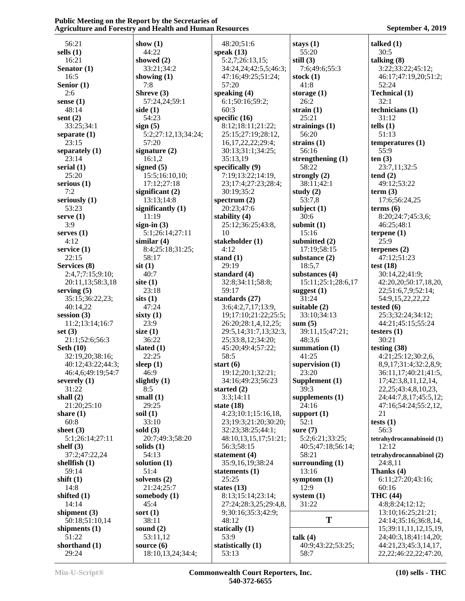| 56:21             | show $(1)$          | 48:20;51:6            | stays $(1)$         | talked $(1)$                |
|-------------------|---------------------|-----------------------|---------------------|-----------------------------|
| sells $(1)$       | 44:22               | speak $(13)$          | 55:20               | 30:5                        |
| 16:21             | showed $(2)$        | 5:2,7;26:13,15;       | still $(3)$         | talking $(8)$               |
|                   |                     |                       |                     |                             |
| Senator (1)       | 33:21;34:2          | 34:24,24;42:5,5;46:3; | 7:6;49:6;55:3       | 3:22;33:22;45:12;           |
| 16:5              | showing $(1)$       | 47:16;49:25;51:24;    | stock $(1)$         | 46:17;47:19,20;51:2;        |
| Senior (1)        | 7:8                 | 57:20                 | 41:8                | 52:24                       |
| 2:6               | Shreve (3)          | speaking $(4)$        | storage $(1)$       | <b>Technical (1)</b>        |
|                   |                     |                       |                     |                             |
| sense $(1)$       | 57:24,24;59:1       | 6:1;50:16;59:2;       | 26:2                | 32:1                        |
| 48:14             | side $(1)$          | 60:3                  | strain $(1)$        | technicians (1)             |
| sent $(2)$        | 54:23               | specific $(16)$       | 25:21               | 31:12                       |
|                   |                     |                       |                     |                             |
| 33:25;34:1        | sign(5)             | 8:12;18:11;21:22;     | strainings $(1)$    | tells $(1)$                 |
| separate $(1)$    | 5:2;27:12,13;34:24; | 25:15;27:19;28:12,    | 56:20               | 51:13                       |
| 23:15             | 57:20               | 16,17,22,22;29:4;     | strains $(1)$       | temperatures $(1)$          |
| separately $(1)$  | signature (2)       | 30:13;31:1;34:25;     | 56:16               | 55:9                        |
|                   |                     |                       |                     |                             |
| 23:14             | 16:1,2              | 35:13,19              | strengthening $(1)$ | ten(3)                      |
| serial $(1)$      | signed $(5)$        | specifically (9)      | 58:22               | 23:7,11;32:5                |
| 25:20             | 15:5;16:10,10;      | 7:19;13:22;14:19,     | strongly $(2)$      | tend(2)                     |
| serious $(1)$     | 17:12;27:18         | 23;17:4;27:23;28:4;   | 38:11;42:1          | 49:12;53:22                 |
|                   |                     |                       |                     |                             |
| 7:2               | significant $(2)$   | 30:19;35:2            | study $(2)$         | term $(3)$                  |
| seriously (1)     | 13:13;14:8          | spectrum $(2)$        | 53:7,8              | 17:6;56:24,25               |
| 53:23             | significantly $(1)$ | 20:23;47:6            | subject $(1)$       | terms(6)                    |
|                   |                     |                       |                     |                             |
| serve $(1)$       | 11:19               | stability $(4)$       | 30:6                | 8:20;24:7;45:3,6;           |
| 3:9               | sign-in $(3)$       | 25:12;36:25;43:8,     | submit $(1)$        | 46:25;48:1                  |
| serves $(1)$      | 5:1;26:14;27:11     | 10                    | 15:16               | terpene $(1)$               |
| 4:12              | similar $(4)$       | stakeholder (1)       | submitted $(2)$     | 25:9                        |
|                   |                     |                       |                     |                             |
| service $(1)$     | 8:4;25:18;31:25;    | 4:12                  | 17:19:58:15         | terpenes $(2)$              |
| 22:15             | 58:17               | stand $(1)$           | substance $(2)$     | 47:12;51:23                 |
| Services (8)      | $s$ it $(1)$        | 29:19                 | 18:5,7              | test $(18)$                 |
| 2:4,7;7:15;9:10;  | 40:7                | standard $(4)$        | substances (4)      | 30:14,22;41:9;              |
|                   |                     |                       |                     |                             |
| 20:11,13;58:3,18  | site $(1)$          | 32:8;34:11;58:8;      | 15:11;25:1;28:6,17  | 42:20,20;50:17,18,20,       |
| serving $(5)$     | 23:18               | 59:17                 | suggest $(1)$       | 22;51:6,7,9;52:14;          |
| 35:15;36:22,23;   | sits(1)             | standards (27)        | 31:24               | 54:9,15,22,22,22            |
|                   | 47:24               |                       |                     |                             |
| 40:14,22          |                     | 3:6;4:2,7,17;13:9,    | suitable (2)        | tested $(6)$                |
| session $(3)$     | sixty $(1)$         | 19;17:10;21:22;25:5;  | 33:10;34:13         | 25:3;32:24;34:12;           |
| 11:2;13:14;16:7   | 23:9                | 26:20;28:1,4,12,25;   | sum(5)              | 44:21;45:15;55:24           |
| set $(3)$         | size $(1)$          | 29:5,14;31:7,13;32:3, | 39:11,15;47:21;     | testers $(1)$               |
|                   |                     |                       |                     |                             |
| 21:1;52:6;56:3    | 36:22               | 25;33:8,12;34:20;     | 48:3,6              | 30:21                       |
| Seth $(10)$       | slated $(1)$        | 45:20;49:4;57:22;     | summation $(1)$     | testing $(38)$              |
| 32:19,20;38:16;   | 22:25               | 58:5                  | 41:25               | 4:21;25:12;30:2,6,          |
| 40:12;43:22;44:3; | sleep $(1)$         | start $(6)$           | supervision (1)     | 8,9,17;31:4;32:2,8,9;       |
|                   |                     |                       |                     |                             |
| 46:4,6;49:19;54:7 | 46:9                | 19:12;20:1;32:21;     | 23:20               | 36:11,17;40:21;41:5,        |
| severely $(1)$    | slightly $(1)$      | 34:16;49:23;56:23     | Supplement (1)      | 17;42:3,8,11,12,14,         |
| 31:22             | 8:5                 | started $(2)$         | 39:3                | 22, 25; 43: 4, 8, 10, 23,   |
| shall $(2)$       | small $(1)$         | 3:3;14:11             | supplements $(1)$   | 24;44:7,8,17;45:5,12;       |
|                   |                     |                       |                     |                             |
| 21:20;25:10       | 29:25               | state $(18)$          | 24:16               | 47:16;54:24;55:2,12,        |
| share $(1)$       | soil $(1)$          | 4:23;10:1;15:16,18,   | support (1)         | 21                          |
| 60:8              | 33:10               | 23;19:3;21:20;30:20;  | 52:1                | tests $(1)$                 |
| sheet $(3)$       | sold $(3)$          | 32:23;38:25;44:1;     | sure $(7)$          | 56:3                        |
|                   |                     |                       |                     |                             |
| 5:1;26:14;27:11   | 20:7;49:3;58:20     | 48:10,13,15,17;51:21; | 5:2;6:21;33:25;     | tetrahydrocannabinoid (1)   |
| shelf $(3)$       | solids $(1)$        | 56:3;58:15            | 40:5;47:18;56:14;   | 12:12                       |
| 37:2;47:22,24     | 54:13               | statement (4)         | 58:21               | tetrahydrocannabinol (2)    |
| shellfish $(1)$   | solution $(1)$      | 35:9,16,19;38:24      | surrounding $(1)$   | 24:8,11                     |
|                   |                     |                       |                     |                             |
| 59:14             | 51:4                | statements $(1)$      | 13:16               | Thanks $(4)$                |
| shift $(1)$       | solvents $(2)$      | 25:25                 | symptom $(1)$       | 6:11;27:20;43:16;           |
| 14:8              | 21:24;25:7          | states $(13)$         | 12:9                | 60:16                       |
|                   |                     |                       |                     |                             |
| shifted $(1)$     | somebody $(1)$      | 8:13;15:14;23:14;     | system $(1)$        | <b>THC</b> (44)             |
| 14:14             | 45:4                | 27:24;28:3,25;29:4,8, | 31:22               | 4:8;8:24;12:12;             |
| shipment $(3)$    | sort $(1)$          | 9;30:16;35:3;42:9;    |                     | 13:10;16:25;21:21;          |
| 50:18;51:10,14    | 38:11               | 48:12                 | T                   | 24:14;35:16;36:8,14,        |
|                   |                     |                       |                     |                             |
| shipments $(1)$   | sound $(2)$         | statically $(1)$      |                     | 15;39:11,11,12,15,19,       |
| 51:22             | 53:11,12            | 53:9                  | talk (4)            | 24;40:3,18;41:14,20;        |
| shorthand (1)     | source $(6)$        | statistically (1)     | 40:9;43:22;53:25;   | 44:21,23;45:3,14,17,        |
| 29:24             | 18:10,13,24;34:4;   | 53:13                 | 58:7                | 22, 22; 46: 22, 22; 47: 20, |
|                   |                     |                       |                     |                             |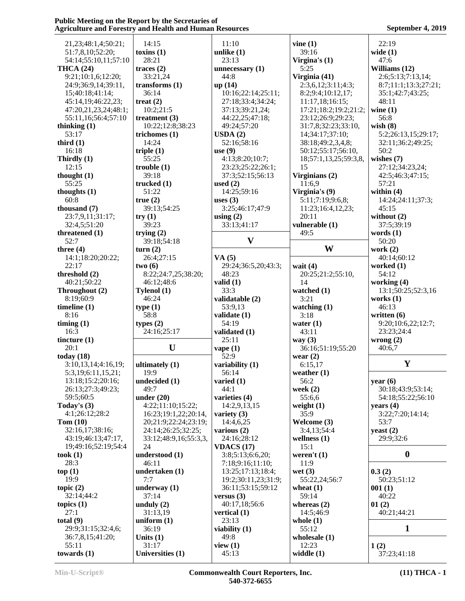| 21, 23; 48: 1, 4; 50: 21; | 14:15                 | 11:10<br>vine $(1)$ |                       | 22:19                |  |
|---------------------------|-----------------------|---------------------|-----------------------|----------------------|--|
| 51:7,8,10;52:20;          | toxins $(1)$          | unlike $(1)$        | 39:16                 | wide $(1)$           |  |
|                           | 28:21                 | 23:13               |                       | 47:6                 |  |
| 54:14;55:10,11;57:10      |                       |                     | Virgina's $(1)$       |                      |  |
| <b>THCA (24)</b>          | traces $(2)$          | unnecessary $(1)$   | 5:25                  | Williams (12)        |  |
| 9:21;10:1,6;12:20;        | 33:21,24              | 44:8                | Virginia (41)         | 2:6;5:13;7:13,14;    |  |
| 24:9;36:9,14;39:11,       | transforms $(1)$      | up(14)              | 2:3,6,12;3:11;4:3;    | 8:7;11:1;13:3;27:21; |  |
| 15;40:18;41:14;           | 36:14                 | 10:16;22:14;25:11;  | 8:2;9:4;10:12,17;     | 35:1;42:7;43:25;     |  |
| 45:14,19;46:22,23;        | treat $(2)$           | 27:18;33:4;34:24;   | 11:17,18;16:15;       | 48:11                |  |
| 47:20,21,23,24;48:1;      | 10:2;21:5             | 37:13;39:21,24;     | 17:21;18:2;19:2;21:2; | wine $(1)$           |  |
| 55:11,16;56:4;57:10       |                       |                     |                       | 56:8                 |  |
|                           | treatment $(3)$       | 44:22,25;47:18;     | 23:12;26:9;29:23;     |                      |  |
| thinking $(1)$            | 10:22;12:8;38:23      | 49:24;57:20         | 31:7,8;32:23;33:10,   | wish $(8)$           |  |
| 53:17                     | trichomes (1)         | USDA(2)             | 14;34:17;37:10;       | 5:2;26:13,15;29:17;  |  |
| third $(1)$               | 14:24                 | 52:16;58:16         | 38:18;49:2,3,4,8;     | 32:11;36:2;49:25;    |  |
| 16:18                     | triple $(1)$          | use $(9)$           | 50:12;55:17;56:10,    | 50:2                 |  |
| Thirdly (1)               | 55:25                 | 4:13;8:20;10:7;     | 18;57:1,13,25;59:3,8, | wishes $(7)$         |  |
| 12:15                     | trouble(1)            | 23:23;25:22;26:1;   | 15                    | 27:12;34:23,24;      |  |
|                           |                       |                     |                       |                      |  |
| thought $(1)$             | 39:18                 | 37:3;52:15;56:13    | Virginians (2)        | 42:5;46:3;47:15;     |  |
| 55:25                     | trucked $(1)$         | used $(2)$          | 11:6,9                | 57:21                |  |
| thoughts $(1)$            | 51:22                 | 14:25;59:16         | Virginia's (9)        | within $(4)$         |  |
| 60:8                      | true(2)               | uses $(3)$          | 5:11;7:19;9:6,8;      | 14:24:24:11;37:3;    |  |
| thousand (7)              | 39:13;54:25           | 3:25;46:17;47:9     | 11:23;16:4,12,23;     | 45:15                |  |
| 23:7,9,11;31:17;          | try(1)                | using $(2)$         | 20:11                 | without (2)          |  |
| 32:4,5;51:20              | 39:23                 | 33:13;41:17         | vulnerable (1)        | 37:5;39:19           |  |
|                           |                       |                     |                       |                      |  |
| threatened (1)            | trying $(2)$          |                     | 49:5                  | words $(1)$          |  |
| 52:7                      | 39:18;54:18           | $\mathbf{V}$        |                       | 50:20                |  |
| three $(4)$               | turn(2)               |                     | W                     | work $(2)$           |  |
| 14:1;18:20;20:22;         | 26:4;27:15            | VA(5)               |                       | 40:14;60:12          |  |
| 22:17                     | two(6)                | 29:24;36:5,20;43:3; | wait $(4)$            | worked $(1)$         |  |
| threshold (2)             | 8:22;24:7,25;38:20;   | 48:23               | 20:25;21:2;55:10,     | 54:12                |  |
| 40:21;50:22               | 46:12;48:6            | valid $(1)$         | 14                    | working (4)          |  |
|                           |                       |                     |                       |                      |  |
| Throughout (2)            | Tylenol (1)           | 33:3                | watched (1)           | 13:1;50:25;52:3,16   |  |
| 8:19;60:9                 | 46:24                 | validatable (2)     | 3:21                  | works $(1)$          |  |
| timeline $(1)$            | type(1)               | 53:9,13             | watching $(1)$        | 46:13                |  |
| 8:16                      | 58:8                  | validate (1)        | 3:18                  | written $(6)$        |  |
| $\lim_{t \to \infty}$ (1) | types $(2)$           | 54:19               | water $(1)$           | 9:20;10:6,22;12:7;   |  |
| 16:3                      | 24:16;25:17           | validated (1)       | 43:11                 | 23:23;24:4           |  |
| tincture (1)              |                       | 25:11               | way $(3)$             | wrong $(2)$          |  |
|                           | U                     |                     |                       |                      |  |
| 20:1                      |                       | vape $(1)$          | 36:16;51:19;55:20     | 40:6,7               |  |
| today $(18)$              |                       | 52:9                | wear $(2)$            |                      |  |
| 3:10,13,14;4:16,19;       | ultimately (1)        | variability (1)     | 6:15,17               | $\mathbf Y$          |  |
| 5:3,19;6:11,15,21;        | 19:9                  | 56:14               | weather $(1)$         |                      |  |
| 13:18;15:2;20:16;         | undecided (1)         | varied $(1)$        | 56:2                  | year $(6)$           |  |
| 26:13;27:3;49:23;         | 49:7                  | 44:1                | week $(2)$            | 30:18;43:9;53:14;    |  |
| 59:5;60:5                 |                       | varieties (4)       | 55:6,6                | 54:18;55:22;56:10    |  |
|                           | under $(20)$          |                     |                       |                      |  |
| Today's $(3)$             | 4:22;11:10;15:22;     | 14:2,9,13,15        | weight $(1)$          | years $(4)$          |  |
| 4:1;26:12;28:2            | 16:23;19:1,22;20:14,  | variety $(3)$       | 35:9                  | 3:22;7:20;14:14;     |  |
| Tom $(10)$                | 20;21:9;22:24;23:19;  | 14:4,6,25           | Welcome (3)           | 53:7                 |  |
| 32:16,17;38:16;           | 24:14;26:25;32:25;    | various $(2)$       | 3:4,13;54:4           | yeast $(2)$          |  |
| 43:19;46:13;47:17,        | 33:12;48:9,16;55:3,3, | 24:16;28:12         | wellness $(1)$        | 29:9;32:6            |  |
| 19;49:16;52:19;54:4       | 24                    | <b>VDACS</b> (17)   | 15:1                  |                      |  |
|                           |                       |                     |                       | $\bf{0}$             |  |
|                           |                       |                     |                       |                      |  |
| took(1)                   | understood (1)        | 3:8;5:13;6:6,20;    | weren't $(1)$         |                      |  |
| 28:3                      | 46:11                 | 7:18;9:16;11:10;    | 11:9                  |                      |  |
| top(1)                    | undertaken (1)        | 13:25;17:13;18:4;   | wet $(3)$             | 0.3(2)               |  |
| 19:9                      | 7:7                   | 19:2;30:11,23;31:9; | 55:22,24;56:7         | 50:23;51:12          |  |
| topic $(2)$               | underway $(1)$        | 36:11;53:15;59:12   | wheat $(1)$           | 001(1)               |  |
| 32:14;44:2                |                       |                     |                       |                      |  |
|                           | 37:14                 | versus $(3)$        | 59:14                 | 40:22                |  |
| topics $(1)$              | unduly $(2)$          | 40:17,18;56:6       | whereas $(2)$         | 01(2)                |  |
| 27:1                      | 31:13,19              | vertical $(1)$      | 14:5;46:9             | 40:21;44:21          |  |
| total $(9)$               | uniform $(1)$         | 23:13               | whole $(1)$           |                      |  |
| 29:9;31:15;32:4,6;        | 36:19                 | viability $(1)$     | 55:12                 | $\mathbf{1}$         |  |
| 36:7,8,15;41:20;          | Units $(1)$           | 49:8                | wholesale $(1)$       |                      |  |
| 55:11                     | 31:17                 | view $(1)$          | 12:23                 | 1(2)                 |  |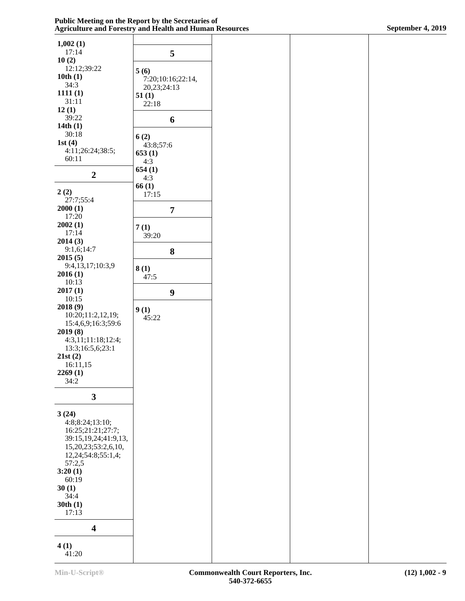| 1,002(1)<br>17:14                         | 5                                |
|-------------------------------------------|----------------------------------|
| 10(2)                                     |                                  |
| 12:12;39:22<br>10th(1)                    | 5(6)                             |
| 34:3                                      | 7:20;10:16;22:14,<br>20,23;24:13 |
| 1111(1)                                   | 51(1)                            |
| 31:11<br>12(1)                            | 22:18                            |
| 39:22                                     | 6                                |
| 14th(1)<br>30:18                          |                                  |
| 1st $(4)$                                 | 6(2)<br>43:8;57:6                |
| 4:11;26:24;38:5;                          | 653(1)                           |
| 60:11                                     | 4:3                              |
| 2                                         | 654(1)<br>4:3                    |
|                                           | 66(1)                            |
| 2(2)<br>27:7;55:4                         | 17:15                            |
| 2000(1)                                   | 7                                |
| 17:20                                     |                                  |
| 2002(1)<br>17:14                          | 7(1)                             |
| 2014(3)                                   | 39:20                            |
| 9:1,6;14:7                                | 8                                |
| 2015(5)<br>9:4,13,17;10:3,9               |                                  |
| 2016(1)                                   | 8(1)<br>47:5                     |
| 10:13                                     |                                  |
| 2017(1)<br>10:15                          | 9                                |
| 2018 (9)                                  | 9(1)                             |
| 10:20;11:2,12,19;<br>15:4,6,9;16:3;59:6   | 45:22                            |
| 2019 (8)                                  |                                  |
| 4:3,11;11:18;12:4;                        |                                  |
| 13:3;16:5,6;23:1<br>21st(2)               |                                  |
| 16:11,15                                  |                                  |
| 2269(1)                                   |                                  |
| 34:2                                      |                                  |
| 3                                         |                                  |
| 3(24)                                     |                                  |
| 4:8;8:24;13:10;                           |                                  |
| 16:25;21:21;27:7;<br>39:15,19,24;41:9,13, |                                  |
| 15,20,23;53:2,6,10,                       |                                  |
| 12,24;54:8;55:1,4;                        |                                  |
| 57:2,5<br>3:20(1)                         |                                  |
| 60:19                                     |                                  |
| 30(1)                                     |                                  |
| 34:4<br>30th(1)                           |                                  |
| 17:13                                     |                                  |
| 4                                         |                                  |
| 4(1)                                      |                                  |

41:20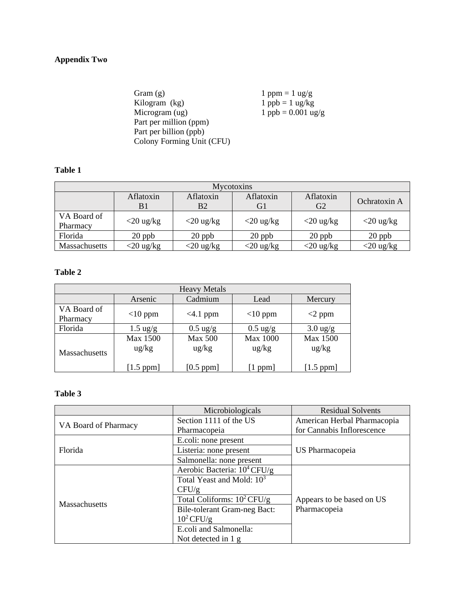# **Appendix Two**

Gram (g)  $1$  ppm = 1 ug/g<br>Kilogram (kg)  $1$  ppb = 1 ug/kg Kilogram (kg)<br>  $\begin{array}{l}\n\text{Kilogram (kg)} \\
\text{Microsoft (kg)} \\
\text{1 ppb} = 1 \text{ ug/kg} \\
\text{1 ppb} = 0.001 \text{ ug}\n\end{array}$  $1 \text{ pb} = 0.001 \text{ ug/g}$ Part per million (ppm) Part per billion (ppb) Colony Forming Unit (CFU)

# **Table 1**

| Mycotoxins              |                 |                 |                 |                             |              |  |
|-------------------------|-----------------|-----------------|-----------------|-----------------------------|--------------|--|
|                         | Aflatoxin<br>B1 | Aflatoxin<br>Β2 | Aflatoxin<br>Gl | Aflatoxin<br>G <sub>2</sub> | Ochratoxin A |  |
| VA Board of<br>Pharmacy | $<$ 20 ug/kg    | $<$ 20 ug/kg    | $<$ 20 ug/kg    | $<$ 20 ug/kg                | $<$ 20 ug/kg |  |
| Florida                 | $20$ ppb        | $20$ ppb        | $20$ ppb        | $20$ ppb                    | $20$ ppb     |  |
| Massachusetts           | $<$ 20 ug/kg    | $<$ 20 ug/kg    | $<$ 20 ug/kg    | $<$ 20 ug/kg                | $<$ 20 ug/kg |  |

### **Table 2**

| <b>Heavy Metals</b>     |                                              |                                                    |                                                  |                                              |  |
|-------------------------|----------------------------------------------|----------------------------------------------------|--------------------------------------------------|----------------------------------------------|--|
|                         | Arsenic                                      | Cadmium                                            | Lead                                             | Mercury                                      |  |
| VA Board of<br>Pharmacy | $<$ 10 ppm                                   | $<4.1$ ppm                                         | $<$ 10 ppm                                       | $<$ 2 ppm                                    |  |
| Florida                 | $1.5 \text{ ug/g}$                           | $0.5 \text{ ug/g}$                                 | $0.5 \text{ ug/g}$                               | $3.0 \text{ ug/g}$                           |  |
| <b>Massachusetts</b>    | Max 1500<br>$\frac{u g}{k g}$<br>$[1.5$ ppm] | <b>Max 500</b><br>$\frac{u g}{k g}$<br>$[0.5$ ppm] | Max 1000<br>$\frac{u g}{k g}$<br>$\lfloor$ 1 ppm | Max 1500<br>$\frac{u g}{k g}$<br>$[1.5$ ppm] |  |

# **Table 3**

|                      | Microbiologicals                      | <b>Residual Solvents</b>                  |  |
|----------------------|---------------------------------------|-------------------------------------------|--|
| VA Board of Pharmacy | Section 1111 of the US                | American Herbal Pharmacopia               |  |
|                      | Pharmacopeia                          | for Cannabis Inflorescence                |  |
|                      | E.coli: none present                  | US Pharmacopeia                           |  |
| Florida              | Listeria: none present                |                                           |  |
|                      | Salmonella: none present              |                                           |  |
|                      | Aerobic Bacteria: $10^4$ CFU/g        |                                           |  |
|                      | Total Yeast and Mold: 10 <sup>3</sup> |                                           |  |
|                      | CFU/g                                 | Appears to be based on US<br>Pharmacopeia |  |
| <b>Massachusetts</b> | Total Coliforms: $10^2$ CFU/g         |                                           |  |
|                      | Bile-tolerant Gram-neg Bact:          |                                           |  |
|                      | $10^2$ CFU/g                          |                                           |  |
|                      | E.coli and Salmonella:                |                                           |  |
|                      | Not detected in 1 g                   |                                           |  |